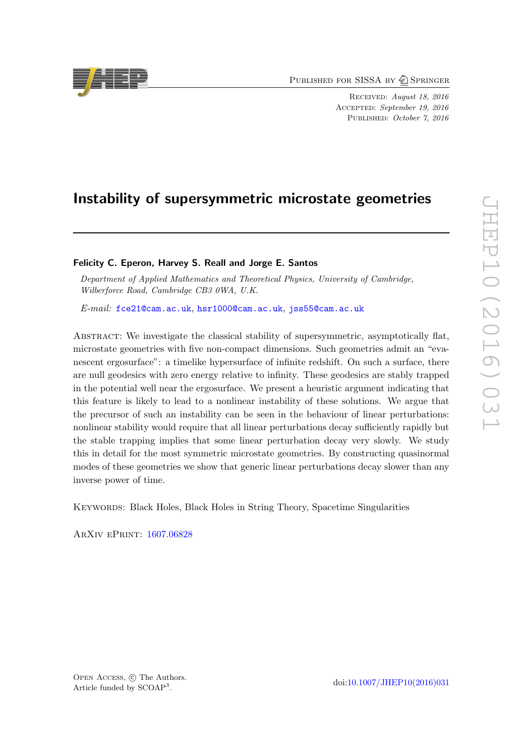PUBLISHED FOR SISSA BY 2 SPRINGER

Received: August 18, 2016 ACCEPTED: September 19, 2016 PUBLISHED: October 7, 2016

# Instability of supersymmetric microstate geometries

# Felicity C. Eperon, Harvey S. Reall and Jorge E. Santos

Department of Applied Mathematics and Theoretical Physics, University of Cambridge, Wilberforce Road, Cambridge CB3 0WA, U.K.

E-mail: [fce21@cam.ac.uk](mailto:fce21@cam.ac.uk), [hsr1000@cam.ac.uk](mailto:hsr1000@cam.ac.uk), [jss55@cam.ac.uk](mailto:jss55@cam.ac.uk)

Abstract: We investigate the classical stability of supersymmetric, asymptotically flat, microstate geometries with five non-compact dimensions. Such geometries admit an "evanescent ergosurface": a timelike hypersurface of infinite redshift. On such a surface, there are null geodesics with zero energy relative to infinity. These geodesics are stably trapped in the potential well near the ergosurface. We present a heuristic argument indicating that this feature is likely to lead to a nonlinear instability of these solutions. We argue that the precursor of such an instability can be seen in the behaviour of linear perturbations: nonlinear stability would require that all linear perturbations decay sufficiently rapidly but the stable trapping implies that some linear perturbation decay very slowly. We study this in detail for the most symmetric microstate geometries. By constructing quasinormal modes of these geometries we show that generic linear perturbations decay slower than any inverse power of time.

Keywords: Black Holes, Black Holes in String Theory, Spacetime Singularities

ArXiv ePrint: [1607.06828](https://arxiv.org/abs/1607.06828)

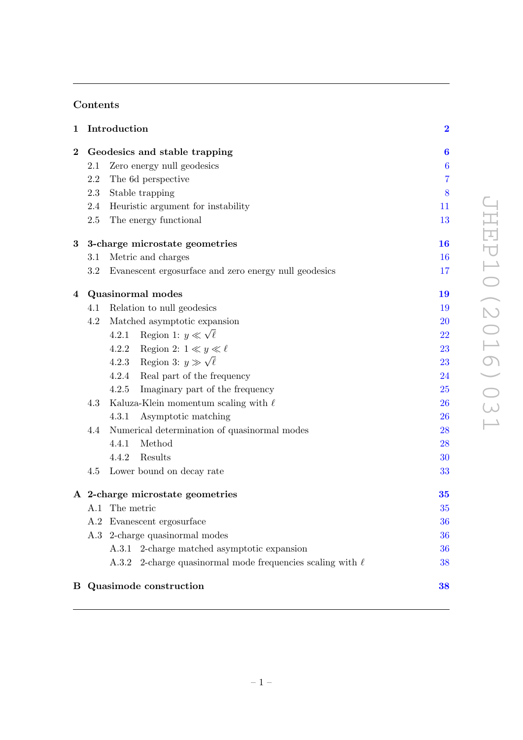# Contents

| 1        |                                  | Introduction                                                    | $\bf{2}$         |  |
|----------|----------------------------------|-----------------------------------------------------------------|------------------|--|
| $\bf{2}$ |                                  | Geodesics and stable trapping                                   | 6                |  |
|          | 2.1                              | Zero energy null geodesics                                      | $\boldsymbol{6}$ |  |
|          | 2.2                              | The 6d perspective                                              | $\overline{7}$   |  |
|          | 2.3                              | Stable trapping                                                 | 8                |  |
|          | 2.4                              | Heuristic argument for instability                              | 11               |  |
|          | 2.5                              | The energy functional                                           | 13               |  |
| $\bf{3}$ | 3-charge microstate geometries   |                                                                 | 16               |  |
|          | 3.1                              | Metric and charges                                              | 16               |  |
|          | 3.2                              | Evanescent ergosurface and zero energy null geodesics           | 17               |  |
| 4        | Quasinormal modes                |                                                                 | 19               |  |
|          | 4.1                              | Relation to null geodesics                                      | 19               |  |
|          | 4.2                              | Matched asymptotic expansion                                    | 20               |  |
|          |                                  | 4.2.1 Region 1: $y \ll \sqrt{\ell}$                             | 22               |  |
|          |                                  | 4.2.2 Region 2: $1 \ll y \ll l$                                 | 23               |  |
|          |                                  | 4.2.3 Region 3: $y \gg \sqrt{\ell}$                             | 23               |  |
|          |                                  | 4.2.4 Real part of the frequency                                | 24               |  |
|          |                                  | 4.2.5<br>Imaginary part of the frequency                        | <b>25</b>        |  |
|          | 4.3                              | Kaluza-Klein momentum scaling with $\ell$                       | <b>26</b>        |  |
|          |                                  | Asymptotic matching<br>4.3.1                                    | 26               |  |
|          | 4.4                              | Numerical determination of quasinormal modes                    | 28               |  |
|          |                                  | Method<br>4.4.1                                                 | 28               |  |
|          |                                  | 4.4.2<br>Results                                                | 30               |  |
|          | 4.5                              | Lower bound on decay rate                                       | 33               |  |
|          | A 2-charge microstate geometries |                                                                 | 35               |  |
|          |                                  | A.1 The metric                                                  | 35               |  |
|          |                                  | A.2 Evanescent ergosurface                                      | 36               |  |
|          |                                  | A.3 2-charge quasinormal modes                                  | 36               |  |
|          |                                  | A.3.1 2-charge matched asymptotic expansion                     | 36               |  |
|          |                                  | A.3.2 2-charge quasinormal mode frequencies scaling with $\ell$ | 38               |  |
|          |                                  | <b>B</b> Quasimode construction                                 | 38               |  |
|          |                                  |                                                                 |                  |  |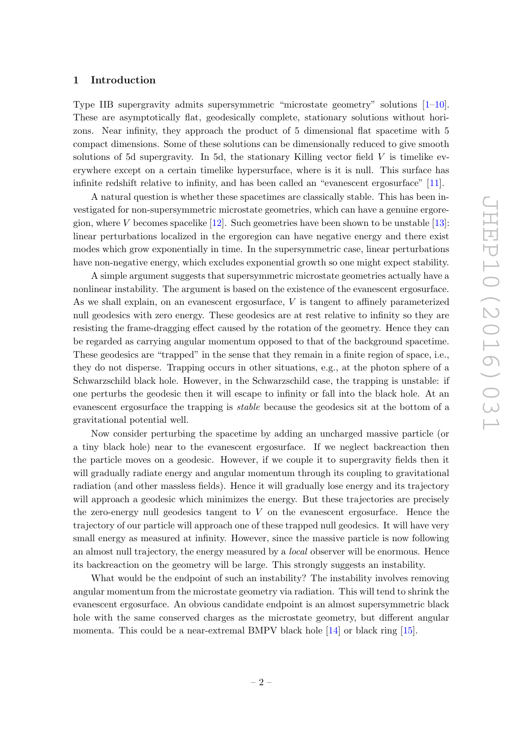#### <span id="page-2-0"></span>1 Introduction

Type IIB supergravity admits supersymmetric "microstate geometry" solutions  $[1-10]$  $[1-10]$ . These are asymptotically flat, geodesically complete, stationary solutions without horizons. Near infinity, they approach the product of 5 dimensional flat spacetime with 5 compact dimensions. Some of these solutions can be dimensionally reduced to give smooth solutions of 5d supergravity. In 5d, the stationary Killing vector field  $V$  is timelike everywhere except on a certain timelike hypersurface, where is it is null. This surface has infinite redshift relative to infinity, and has been called an "evanescent ergosurface" [\[11\]](#page-40-2).

A natural question is whether these spacetimes are classically stable. This has been investigated for non-supersymmetric microstate geometries, which can have a genuine ergoregion, where V becomes spacelike  $[12]$ . Such geometries have been shown to be unstable  $[13]$ : linear perturbations localized in the ergoregion can have negative energy and there exist modes which grow exponentially in time. In the supersymmetric case, linear perturbations have non-negative energy, which excludes exponential growth so one might expect stability.

A simple argument suggests that supersymmetric microstate geometries actually have a nonlinear instability. The argument is based on the existence of the evanescent ergosurface. As we shall explain, on an evanescent ergosurface, V is tangent to affinely parameterized null geodesics with zero energy. These geodesics are at rest relative to infinity so they are resisting the frame-dragging effect caused by the rotation of the geometry. Hence they can be regarded as carrying angular momentum opposed to that of the background spacetime. These geodesics are "trapped" in the sense that they remain in a finite region of space, i.e., they do not disperse. Trapping occurs in other situations, e.g., at the photon sphere of a Schwarzschild black hole. However, in the Schwarzschild case, the trapping is unstable: if one perturbs the geodesic then it will escape to infinity or fall into the black hole. At an evanescent ergosurface the trapping is stable because the geodesics sit at the bottom of a gravitational potential well.

Now consider perturbing the spacetime by adding an uncharged massive particle (or a tiny black hole) near to the evanescent ergosurface. If we neglect backreaction then the particle moves on a geodesic. However, if we couple it to supergravity fields then it will gradually radiate energy and angular momentum through its coupling to gravitational radiation (and other massless fields). Hence it will gradually lose energy and its trajectory will approach a geodesic which minimizes the energy. But these trajectories are precisely the zero-energy null geodesics tangent to  $V$  on the evanescent ergosurface. Hence the trajectory of our particle will approach one of these trapped null geodesics. It will have very small energy as measured at infinity. However, since the massive particle is now following an almost null trajectory, the energy measured by a local observer will be enormous. Hence its backreaction on the geometry will be large. This strongly suggests an instability.

What would be the endpoint of such an instability? The instability involves removing angular momentum from the microstate geometry via radiation. This will tend to shrink the evanescent ergosurface. An obvious candidate endpoint is an almost supersymmetric black hole with the same conserved charges as the microstate geometry, but different angular momenta. This could be a near-extremal BMPV black hole [\[14\]](#page-40-5) or black ring [\[15\]](#page-40-6).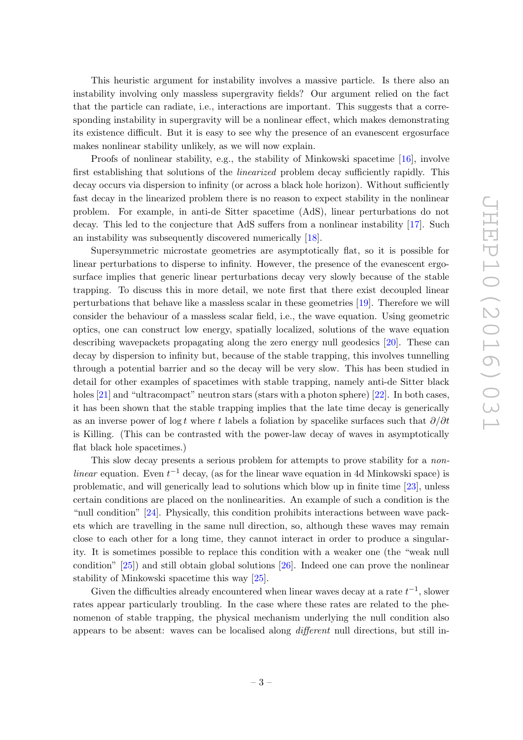This heuristic argument for instability involves a massive particle. Is there also an instability involving only massless supergravity fields? Our argument relied on the fact that the particle can radiate, i.e., interactions are important. This suggests that a corresponding instability in supergravity will be a nonlinear effect, which makes demonstrating its existence difficult. But it is easy to see why the presence of an evanescent ergosurface makes nonlinear stability unlikely, as we will now explain.

Proofs of nonlinear stability, e.g., the stability of Minkowski spacetime [\[16\]](#page-40-7), involve first establishing that solutions of the *linearized* problem decay sufficiently rapidly. This decay occurs via dispersion to infinity (or across a black hole horizon). Without sufficiently fast decay in the linearized problem there is no reason to expect stability in the nonlinear problem. For example, in anti-de Sitter spacetime (AdS), linear perturbations do not decay. This led to the conjecture that AdS suffers from a nonlinear instability [\[17\]](#page-40-8). Such an instability was subsequently discovered numerically [\[18\]](#page-41-0).

Supersymmetric microstate geometries are asymptotically flat, so it is possible for linear perturbations to disperse to infinity. However, the presence of the evanescent ergosurface implies that generic linear perturbations decay very slowly because of the stable trapping. To discuss this in more detail, we note first that there exist decoupled linear perturbations that behave like a massless scalar in these geometries [\[19\]](#page-41-1). Therefore we will consider the behaviour of a massless scalar field, i.e., the wave equation. Using geometric optics, one can construct low energy, spatially localized, solutions of the wave equation describing wavepackets propagating along the zero energy null geodesics [\[20\]](#page-41-2). These can decay by dispersion to infinity but, because of the stable trapping, this involves tunnelling through a potential barrier and so the decay will be very slow. This has been studied in detail for other examples of spacetimes with stable trapping, namely anti-de Sitter black holes [\[21\]](#page-41-3) and "ultracompact" neutron stars (stars with a photon sphere) [\[22\]](#page-41-4). In both cases, it has been shown that the stable trapping implies that the late time decay is generically as an inverse power of log t where t labels a foliation by spacelike surfaces such that  $\partial/\partial t$ is Killing. (This can be contrasted with the power-law decay of waves in asymptotically flat black hole spacetimes.)

This slow decay presents a serious problem for attempts to prove stability for a *nonlinear* equation. Even  $t^{-1}$  decay, (as for the linear wave equation in 4d Minkowski space) is problematic, and will generically lead to solutions which blow up in finite time [\[23\]](#page-41-5), unless certain conditions are placed on the nonlinearities. An example of such a condition is the "null condition" [\[24\]](#page-41-6). Physically, this condition prohibits interactions between wave packets which are travelling in the same null direction, so, although these waves may remain close to each other for a long time, they cannot interact in order to produce a singularity. It is sometimes possible to replace this condition with a weaker one (the "weak null condition" [\[25\]](#page-41-7)) and still obtain global solutions [\[26\]](#page-41-8). Indeed one can prove the nonlinear stability of Minkowski spacetime this way [\[25\]](#page-41-7).

Given the difficulties already encountered when linear waves decay at a rate  $t^{-1}$ , slower rates appear particularly troubling. In the case where these rates are related to the phenomenon of stable trapping, the physical mechanism underlying the null condition also appears to be absent: waves can be localised along different null directions, but still in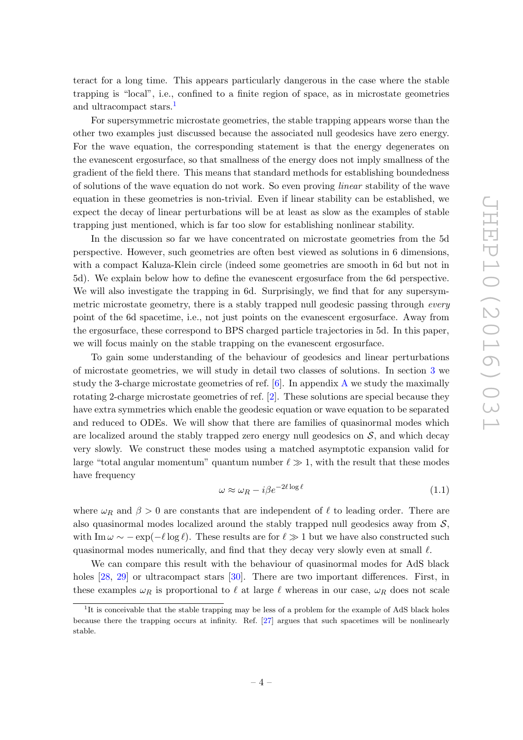teract for a long time. This appears particularly dangerous in the case where the stable trapping is "local", i.e., confined to a finite region of space, as in microstate geometries and ultracompact stars.<sup>[1](#page-4-0)</sup>

For supersymmetric microstate geometries, the stable trapping appears worse than the other two examples just discussed because the associated null geodesics have zero energy. For the wave equation, the corresponding statement is that the energy degenerates on the evanescent ergosurface, so that smallness of the energy does not imply smallness of the gradient of the field there. This means that standard methods for establishing boundedness of solutions of the wave equation do not work. So even proving linear stability of the wave equation in these geometries is non-trivial. Even if linear stability can be established, we expect the decay of linear perturbations will be at least as slow as the examples of stable trapping just mentioned, which is far too slow for establishing nonlinear stability.

In the discussion so far we have concentrated on microstate geometries from the 5d perspective. However, such geometries are often best viewed as solutions in 6 dimensions, with a compact Kaluza-Klein circle (indeed some geometries are smooth in 6d but not in 5d). We explain below how to define the evanescent ergosurface from the 6d perspective. We will also investigate the trapping in 6d. Surprisingly, we find that for any supersymmetric microstate geometry, there is a stably trapped null geodesic passing through *every* point of the 6d spacetime, i.e., not just points on the evanescent ergosurface. Away from the ergosurface, these correspond to BPS charged particle trajectories in 5d. In this paper, we will focus mainly on the stable trapping on the evanescent ergosurface.

To gain some understanding of the behaviour of geodesics and linear perturbations of microstate geometries, we will study in detail two classes of solutions. In section [3](#page-16-0) we study the 3-charge microstate geometries of ref.  $[6]$ . In appendix [A](#page-35-0) we study the maximally rotating 2-charge microstate geometries of ref. [\[2\]](#page-40-10). These solutions are special because they have extra symmetries which enable the geodesic equation or wave equation to be separated and reduced to ODEs. We will show that there are families of quasinormal modes which are localized around the stably trapped zero energy null geodesics on  $S$ , and which decay very slowly. We construct these modes using a matched asymptotic expansion valid for large "total angular momentum" quantum number  $\ell \gg 1$ , with the result that these modes have frequency

$$
\omega \approx \omega_R - i\beta e^{-2\ell \log \ell} \tag{1.1}
$$

where  $\omega_R$  and  $\beta > 0$  are constants that are independent of  $\ell$  to leading order. There are also quasinormal modes localized around the stably trapped null geodesics away from  $S$ , with Im  $\omega \sim -\exp(-\ell \log \ell)$ . These results are for  $\ell \gg 1$  but we have also constructed such quasinormal modes numerically, and find that they decay very slowly even at small  $\ell$ .

We can compare this result with the behaviour of quasinormal modes for AdS black holes [\[28,](#page-41-9) [29\]](#page-41-10) or ultracompact stars [\[30\]](#page-41-11). There are two important differences. First, in these examples  $\omega_R$  is proportional to  $\ell$  at large  $\ell$  whereas in our case,  $\omega_R$  does not scale

<span id="page-4-0"></span><sup>&</sup>lt;sup>1</sup>It is conceivable that the stable trapping may be less of a problem for the example of AdS black holes because there the trapping occurs at infinity. Ref. [\[27\]](#page-41-12) argues that such spacetimes will be nonlinearly stable.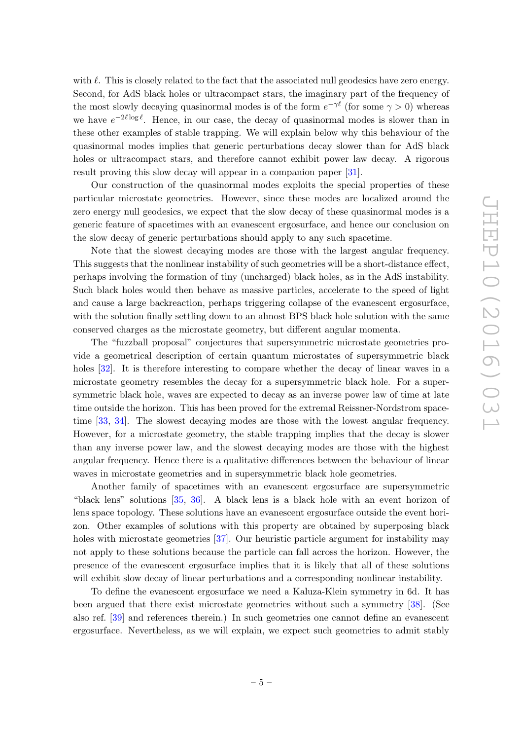with  $\ell$ . This is closely related to the fact that the associated null geodesics have zero energy. Second, for AdS black holes or ultracompact stars, the imaginary part of the frequency of the most slowly decaying quasinormal modes is of the form  $e^{-\gamma \ell}$  (for some  $\gamma > 0$ ) whereas we have  $e^{-2\ell \log \ell}$ . Hence, in our case, the decay of quasinormal modes is slower than in these other examples of stable trapping. We will explain below why this behaviour of the quasinormal modes implies that generic perturbations decay slower than for AdS black holes or ultracompact stars, and therefore cannot exhibit power law decay. A rigorous result proving this slow decay will appear in a companion paper [\[31\]](#page-41-13).

Our construction of the quasinormal modes exploits the special properties of these particular microstate geometries. However, since these modes are localized around the zero energy null geodesics, we expect that the slow decay of these quasinormal modes is a generic feature of spacetimes with an evanescent ergosurface, and hence our conclusion on the slow decay of generic perturbations should apply to any such spacetime.

Note that the slowest decaying modes are those with the largest angular frequency. This suggests that the nonlinear instability of such geometries will be a short-distance effect, perhaps involving the formation of tiny (uncharged) black holes, as in the AdS instability. Such black holes would then behave as massive particles, accelerate to the speed of light and cause a large backreaction, perhaps triggering collapse of the evanescent ergosurface, with the solution finally settling down to an almost BPS black hole solution with the same conserved charges as the microstate geometry, but different angular momenta.

The "fuzzball proposal" conjectures that supersymmetric microstate geometries provide a geometrical description of certain quantum microstates of supersymmetric black holes [\[32\]](#page-41-14). It is therefore interesting to compare whether the decay of linear waves in a microstate geometry resembles the decay for a supersymmetric black hole. For a supersymmetric black hole, waves are expected to decay as an inverse power law of time at late time outside the horizon. This has been proved for the extremal Reissner-Nordstrom spacetime [\[33,](#page-41-15) [34\]](#page-41-16). The slowest decaying modes are those with the lowest angular frequency. However, for a microstate geometry, the stable trapping implies that the decay is slower than any inverse power law, and the slowest decaying modes are those with the highest angular frequency. Hence there is a qualitative differences between the behaviour of linear waves in microstate geometries and in supersymmetric black hole geometries.

Another family of spacetimes with an evanescent ergosurface are supersymmetric "black lens" solutions [\[35,](#page-41-17) [36\]](#page-42-0). A black lens is a black hole with an event horizon of lens space topology. These solutions have an evanescent ergosurface outside the event horizon. Other examples of solutions with this property are obtained by superposing black holes with microstate geometries [\[37\]](#page-42-1). Our heuristic particle argument for instability may not apply to these solutions because the particle can fall across the horizon. However, the presence of the evanescent ergosurface implies that it is likely that all of these solutions will exhibit slow decay of linear perturbations and a corresponding nonlinear instability.

To define the evanescent ergosurface we need a Kaluza-Klein symmetry in 6d. It has been argued that there exist microstate geometries without such a symmetry [\[38\]](#page-42-2). (See also ref. [\[39\]](#page-42-3) and references therein.) In such geometries one cannot define an evanescent ergosurface. Nevertheless, as we will explain, we expect such geometries to admit stably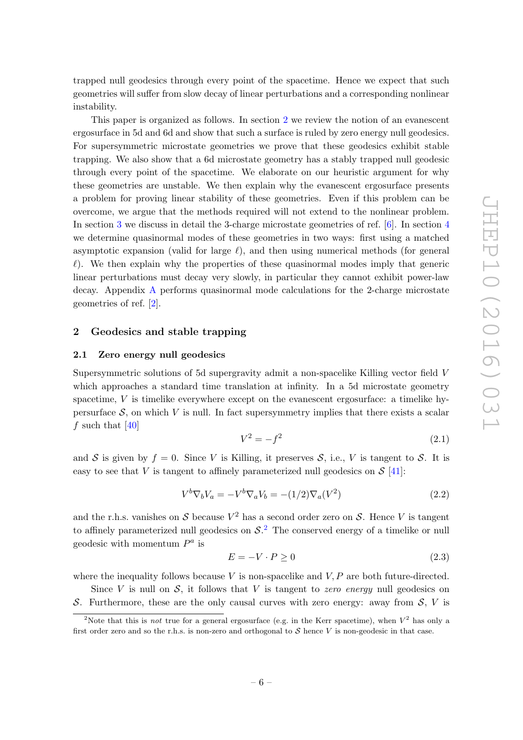trapped null geodesics through every point of the spacetime. Hence we expect that such geometries will suffer from slow decay of linear perturbations and a corresponding nonlinear instability.

This paper is organized as follows. In section [2](#page-6-0) we review the notion of an evanescent ergosurface in 5d and 6d and show that such a surface is ruled by zero energy null geodesics. For supersymmetric microstate geometries we prove that these geodesics exhibit stable trapping. We also show that a 6d microstate geometry has a stably trapped null geodesic through every point of the spacetime. We elaborate on our heuristic argument for why these geometries are unstable. We then explain why the evanescent ergosurface presents a problem for proving linear stability of these geometries. Even if this problem can be overcome, we argue that the methods required will not extend to the nonlinear problem. In section [3](#page-16-0) we discuss in detail the 3-charge microstate geometries of ref. [\[6\]](#page-40-9). In section [4](#page-19-0) we determine quasinormal modes of these geometries in two ways: first using a matched asymptotic expansion (valid for large  $\ell$ ), and then using numerical methods (for general  $\ell$ ). We then explain why the properties of these quasinormal modes imply that generic linear perturbations must decay very slowly, in particular they cannot exhibit power-law decay. Appendix [A](#page-35-0) performs quasinormal mode calculations for the 2-charge microstate geometries of ref. [\[2\]](#page-40-10).

# <span id="page-6-0"></span>2 Geodesics and stable trapping

#### <span id="page-6-1"></span>2.1 Zero energy null geodesics

Supersymmetric solutions of 5d supergravity admit a non-spacelike Killing vector field V which approaches a standard time translation at infinity. In a 5d microstate geometry spacetime, V is timelike everywhere except on the evanescent ergosurface: a timelike hypersurface  $S$ , on which V is null. In fact supersymmetry implies that there exists a scalar f such that  $[40]$ 

$$
V^2 = -f^2 \tag{2.1}
$$

and S is given by  $f = 0$ . Since V is Killing, it preserves S, i.e., V is tangent to S. It is easy to see that V is tangent to affinely parameterized null geodesics on  $\mathcal{S}$  [\[41\]](#page-42-5):

<span id="page-6-3"></span>
$$
V^b \nabla_b V_a = -V^b \nabla_a V_b = -(1/2) \nabla_a (V^2)
$$
\n
$$
(2.2)
$$

and the r.h.s. vanishes on S because  $V^2$  has a second order zero on S. Hence V is tangent to affinely parameterized null geodesics on  $S<sup>2</sup>$  $S<sup>2</sup>$  $S<sup>2</sup>$ . The conserved energy of a timelike or null geodesic with momentum  $P^a$  is

$$
E = -V \cdot P \ge 0\tag{2.3}
$$

where the inequality follows because  $V$  is non-spacelike and  $V, P$  are both future-directed. Since V is null on S, it follows that V is tangent to *zero energy* null geodesics on S. Furthermore, these are the only causal curves with zero energy: away from S, V is

<span id="page-6-2"></span><sup>&</sup>lt;sup>2</sup>Note that this is *not* true for a general ergosurface (e.g. in the Kerr spacetime), when  $V^2$  has only a first order zero and so the r.h.s. is non-zero and orthogonal to  $S$  hence V is non-geodesic in that case.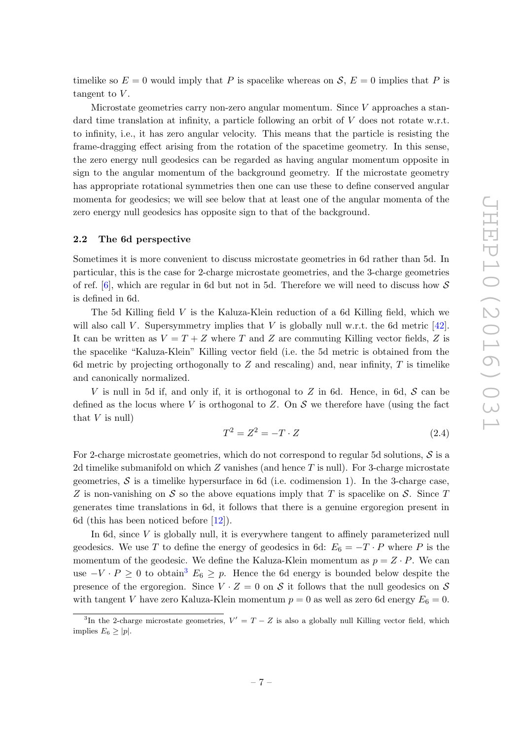timelike so  $E = 0$  would imply that P is spacelike whereas on  $S, E = 0$  implies that P is tangent to  $V$ .

Microstate geometries carry non-zero angular momentum. Since V approaches a standard time translation at infinity, a particle following an orbit of  $V$  does not rotate w.r.t. to infinity, i.e., it has zero angular velocity. This means that the particle is resisting the frame-dragging effect arising from the rotation of the spacetime geometry. In this sense, the zero energy null geodesics can be regarded as having angular momentum opposite in sign to the angular momentum of the background geometry. If the microstate geometry has appropriate rotational symmetries then one can use these to define conserved angular momenta for geodesics; we will see below that at least one of the angular momenta of the zero energy null geodesics has opposite sign to that of the background.

#### <span id="page-7-0"></span>2.2 The 6d perspective

Sometimes it is more convenient to discuss microstate geometries in 6d rather than 5d. In particular, this is the case for 2-charge microstate geometries, and the 3-charge geometries of ref.  $[6]$ , which are regular in 6d but not in 5d. Therefore we will need to discuss how S is defined in 6d.

The 5d Killing field  $V$  is the Kaluza-Klein reduction of a 6d Killing field, which we will also call V. Supersymmetry implies that V is globally null w.r.t. the 6d metric  $[42]$ . It can be written as  $V = T + Z$  where T and Z are commuting Killing vector fields, Z is the spacelike "Kaluza-Klein" Killing vector field (i.e. the 5d metric is obtained from the 6d metric by projecting orthogonally to  $Z$  and rescaling) and, near infinity,  $T$  is timelike and canonically normalized.

V is null in 5d if, and only if, it is orthogonal to Z in 6d. Hence, in 6d, S can be defined as the locus where V is orthogonal to Z. On  $S$  we therefore have (using the fact that  $V$  is null)

$$
T^2 = Z^2 = -T \cdot Z \tag{2.4}
$$

For 2-charge microstate geometries, which do not correspond to regular 5d solutions,  $\mathcal{S}$  is a 2d timelike submanifold on which  $Z$  vanishes (and hence  $T$  is null). For 3-charge microstate geometries,  $S$  is a timelike hypersurface in 6d (i.e. codimension 1). In the 3-charge case, Z is non-vanishing on S so the above equations imply that T is spacelike on S. Since T generates time translations in 6d, it follows that there is a genuine ergoregion present in 6d (this has been noticed before [\[12\]](#page-40-3)).

In 6d, since  $V$  is globally null, it is everywhere tangent to affinely parameterized null geodesics. We use T to define the energy of geodesics in 6d:  $E_6 = -T \cdot P$  where P is the momentum of the geodesic. We define the Kaluza-Klein momentum as  $p = Z \cdot P$ . We can use  $-V \cdot P \ge 0$  to obtain<sup>[3](#page-7-1)</sup>  $E_6 \ge p$ . Hence the 6d energy is bounded below despite the presence of the ergoregion. Since  $V \cdot Z = 0$  on S it follows that the null geodesics on S with tangent V have zero Kaluza-Klein momentum  $p = 0$  as well as zero 6d energy  $E_6 = 0$ .

<span id="page-7-1"></span><sup>&</sup>lt;sup>3</sup>In the 2-charge microstate geometries,  $V' = T - Z$  is also a globally null Killing vector field, which implies  $E_6 \geq |p|$ .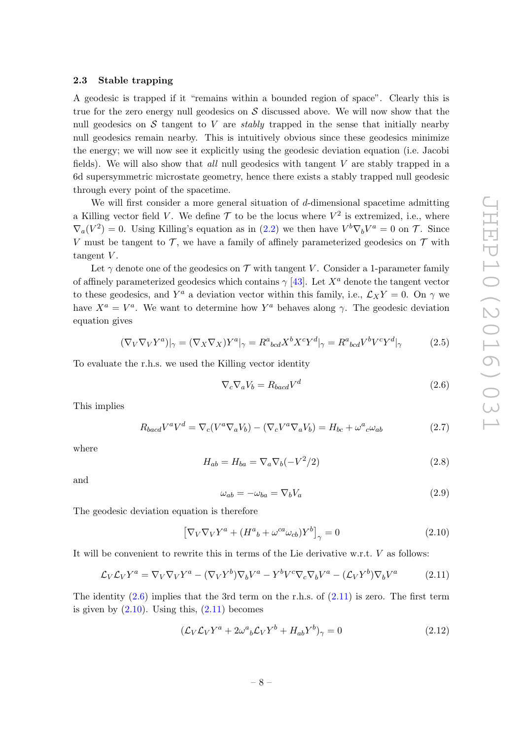#### <span id="page-8-0"></span>2.3 Stable trapping

A geodesic is trapped if it "remains within a bounded region of space". Clearly this is true for the zero energy null geodesics on  $\mathcal S$  discussed above. We will now show that the null geodesics on  $S$  tangent to V are *stably* trapped in the sense that initially nearby null geodesics remain nearby. This is intuitively obvious since these geodesics minimize the energy; we will now see it explicitly using the geodesic deviation equation (i.e. Jacobi fields). We will also show that *all* null geodesics with tangent  $V$  are stably trapped in a 6d supersymmetric microstate geometry, hence there exists a stably trapped null geodesic through every point of the spacetime.

We will first consider a more general situation of d-dimensional spacetime admitting a Killing vector field V. We define  $\mathcal T$  to be the locus where  $V^2$  is extremized, i.e., where  $\nabla_a(V^2) = 0$ . Using Killing's equation as in [\(2.2\)](#page-6-3) we then have  $V^b \nabla_b V^a = 0$  on T. Since V must be tangent to  $\mathcal{T}$ , we have a family of affinely parameterized geodesics on  $\mathcal{T}$  with tangent  $V$ .

Let  $\gamma$  denote one of the geodesics on  $\mathcal T$  with tangent V. Consider a 1-parameter family of affinely parameterized geodesics which contains  $\gamma$  [\[43\]](#page-42-7). Let  $X^a$  denote the tangent vector to these geodesics, and  $Y^a$  a deviation vector within this family, i.e.,  $\mathcal{L}_X Y = 0$ . On  $\gamma$  we have  $X^a = V^a$ . We want to determine how  $Y^a$  behaves along  $\gamma$ . The geodesic deviation equation gives

$$
(\nabla_V \nabla_V Y^a)|_{\gamma} = (\nabla_X \nabla_X) Y^a|_{\gamma} = R^a{}_{bcd} X^b X^c Y^d|_{\gamma} = R^a{}_{bcd} V^b V^c Y^d|_{\gamma}
$$
 (2.5)

To evaluate the r.h.s. we used the Killing vector identity

<span id="page-8-1"></span>
$$
\nabla_c \nabla_a V_b = R_{bacd} V^d \tag{2.6}
$$

This implies

$$
R_{bacd}V^aV^d = \nabla_c(V^a\nabla_a V_b) - (\nabla_c V^a \nabla_a V_b) = H_{bc} + \omega^a{}_c \omega_{ab} \tag{2.7}
$$

where

$$
H_{ab} = H_{ba} = \nabla_a \nabla_b (-V^2/2)
$$
\n
$$
\tag{2.8}
$$

and

$$
\omega_{ab} = -\omega_{ba} = \nabla_b V_a \tag{2.9}
$$

The geodesic deviation equation is therefore

<span id="page-8-3"></span>
$$
\left[\nabla_V \nabla_V Y^a + (H^a{}_b + \omega^{ca} \omega_{cb}) Y^b\right]_\gamma = 0\tag{2.10}
$$

It will be convenient to rewrite this in terms of the Lie derivative w.r.t. V as follows:

<span id="page-8-2"></span>
$$
\mathcal{L}_V \mathcal{L}_V Y^a = \nabla_V \nabla_V Y^a - (\nabla_V Y^b) \nabla_b V^a - Y^b V^c \nabla_c \nabla_b V^a - (\mathcal{L}_V Y^b) \nabla_b V^a \tag{2.11}
$$

The identity  $(2.6)$  implies that the 3rd term on the r.h.s. of  $(2.11)$  is zero. The first term is given by  $(2.10)$ . Using this,  $(2.11)$  becomes

$$
(\mathcal{L}_V \mathcal{L}_V Y^a + 2\omega^a{}_b \mathcal{L}_V Y^b + H_{ab} Y^b)_{\gamma} = 0
$$
\n(2.12)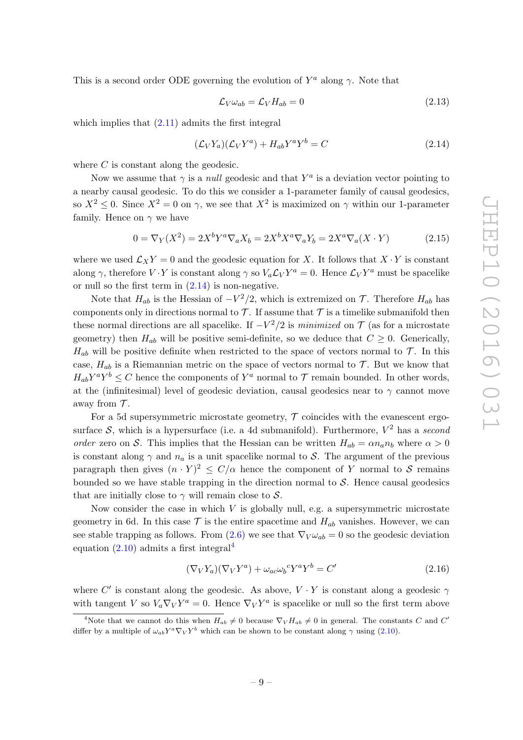This is a second order ODE governing the evolution of  $Y^a$  along  $\gamma$ . Note that

$$
\mathcal{L}_V \omega_{ab} = \mathcal{L}_V H_{ab} = 0 \tag{2.13}
$$

which implies that  $(2.11)$  admits the first integral

<span id="page-9-0"></span>
$$
(\mathcal{L}_V Y_a)(\mathcal{L}_V Y^a) + H_{ab} Y^a Y^b = C \tag{2.14}
$$

where C is constant along the geodesic.

Now we assume that  $\gamma$  is a *null* geodesic and that  $Y^a$  is a deviation vector pointing to a nearby causal geodesic. To do this we consider a 1-parameter family of causal geodesics, so  $X^2 \leq 0$ . Since  $X^2 = 0$  on  $\gamma$ , we see that  $X^2$  is maximized on  $\gamma$  within our 1-parameter family. Hence on  $\gamma$  we have

$$
0 = \nabla_Y(X^2) = 2X^b Y^a \nabla_a X_b = 2X^b X^a \nabla_a Y_b = 2X^a \nabla_a (X \cdot Y) \tag{2.15}
$$

where we used  $\mathcal{L}_X Y = 0$  and the geodesic equation for X. It follows that  $X \cdot Y$  is constant along  $\gamma$ , therefore  $V \cdot Y$  is constant along  $\gamma$  so  $V_a \mathcal{L}_V Y^a = 0$ . Hence  $\mathcal{L}_V Y^a$  must be spacelike or null so the first term in  $(2.14)$  is non-negative.

Note that  $H_{ab}$  is the Hessian of  $-V^2/2$ , which is extremized on  $\mathcal{T}$ . Therefore  $H_{ab}$  has components only in directions normal to  $\mathcal T$ . If assume that  $\mathcal T$  is a timelike submanifold then these normal directions are all spacelike. If  $-V^2/2$  is minimized on  $\mathcal T$  (as for a microstate geometry) then  $H_{ab}$  will be positive semi-definite, so we deduce that  $C \geq 0$ . Generically,  $H_{ab}$  will be positive definite when restricted to the space of vectors normal to  $\mathcal{T}$ . In this case,  $H_{ab}$  is a Riemannian metric on the space of vectors normal to  $\mathcal{T}$ . But we know that  $H_{ab}Y^aY^b \leq C$  hence the components of  $Y^a$  normal to  $\mathcal T$  remain bounded. In other words, at the (infinitesimal) level of geodesic deviation, causal geodesics near to  $\gamma$  cannot move away from  $\mathcal{T}$ .

For a 5d supersymmetric microstate geometry,  $\mathcal T$  coincides with the evanescent ergosurface S, which is a hypersurface (i.e. a 4d submanifold). Furthermore,  $V^2$  has a second order zero on S. This implies that the Hessian can be written  $H_{ab} = \alpha n_a n_b$  where  $\alpha > 0$ is constant along  $\gamma$  and  $n_a$  is a unit spacelike normal to S. The argument of the previous paragraph then gives  $(n \cdot Y)^2 \le C/\alpha$  hence the component of Y normal to S remains bounded so we have stable trapping in the direction normal to  $S$ . Hence causal geodesics that are initially close to  $\gamma$  will remain close to S.

Now consider the case in which  $V$  is globally null, e.g. a supersymmetric microstate geometry in 6d. In this case  $\mathcal T$  is the entire spacetime and  $H_{ab}$  vanishes. However, we can see stable trapping as follows. From [\(2.6\)](#page-8-1) we see that  $\nabla_V \omega_{ab} = 0$  so the geodesic deviation equation  $(2.10)$  admits a first integral<sup>[4](#page-9-1)</sup>

$$
(\nabla_V Y_a)(\nabla_V Y^a) + \omega_{ac} \omega_b{}^c Y^a Y^b = C'
$$
\n(2.16)

where C' is constant along the geodesic. As above,  $V \cdot Y$  is constant along a geodesic  $\gamma$ with tangent V so  $V_a \nabla_V Y^a = 0$ . Hence  $\nabla_V Y^a$  is spacelike or null so the first term above

<span id="page-9-1"></span><sup>&</sup>lt;sup>4</sup>Note that we cannot do this when  $H_{ab} \neq 0$  because  $\nabla_V H_{ab} \neq 0$  in general. The constants C and C' differ by a multiple of  $\omega_{ab} Y^a \nabla_V Y^b$  which can be shown to be constant along  $\gamma$  using [\(2.10\)](#page-8-3).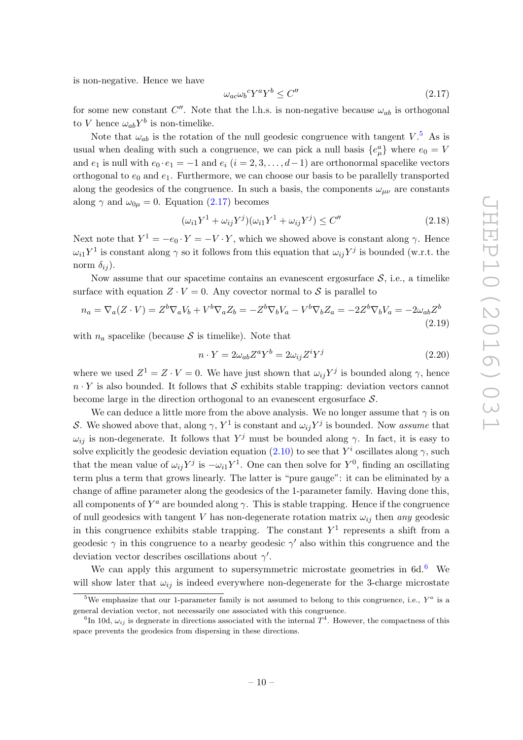is non-negative. Hence we have

<span id="page-10-1"></span>
$$
\omega_{ac}\omega_b{}^c Y^a Y^b \le C'' \tag{2.17}
$$

for some new constant  $C''$ . Note that the l.h.s. is non-negative because  $\omega_{ab}$  is orthogonal to V hence  $\omega_{ab} Y^b$  is non-timelike.

Note that  $\omega_{ab}$  is the rotation of the null geodesic congruence with tangent  $V$ .<sup>[5](#page-10-0)</sup> As is usual when dealing with such a congruence, we can pick a null basis  ${e^a_\mu}$  where  $e_0 = V$ and  $e_1$  is null with  $e_0 \cdot e_1 = -1$  and  $e_i$   $(i = 2, 3, \ldots, d-1)$  are orthonormal spacelike vectors orthogonal to  $e_0$  and  $e_1$ . Furthermore, we can choose our basis to be parallelly transported along the geodesics of the congruence. In such a basis, the components  $\omega_{\mu\nu}$  are constants along  $\gamma$  and  $\omega_{0\mu} = 0$ . Equation [\(2.17\)](#page-10-1) becomes

$$
(\omega_{i1}Y^1 + \omega_{ij}Y^j)(\omega_{i1}Y^1 + \omega_{ij}Y^j) \le C''
$$
\n(2.18)

Next note that  $Y^1 = -e_0 \cdot Y = -V \cdot Y$ , which we showed above is constant along  $\gamma$ . Hence  $\omega_{i1}Y^{1}$  is constant along  $\gamma$  so it follows from this equation that  $\omega_{ij}Y^{j}$  is bounded (w.r.t. the norm  $\delta_{ij}$ ).

Now assume that our spacetime contains an evanescent ergosurface  $S$ , i.e., a timelike surface with equation  $Z \cdot V = 0$ . Any covector normal to S is parallel to

$$
n_a = \nabla_a (Z \cdot V) = Z^b \nabla_a V_b + V^b \nabla_a Z_b = -Z^b \nabla_b V_a - V^b \nabla_b Z_a = -2Z^b \nabla_b V_a = -2\omega_{ab} Z^b
$$
\n(2.19)

with  $n_a$  spacelike (because S is timelike). Note that

$$
n \cdot Y = 2\omega_{ab} Z^a Y^b = 2\omega_{ij} Z^i Y^j \tag{2.20}
$$

where we used  $Z^1 = Z \cdot V = 0$ . We have just shown that  $\omega_{ij} Y^j$  is bounded along  $\gamma$ , hence  $n \cdot Y$  is also bounded. It follows that S exhibits stable trapping: deviation vectors cannot become large in the direction orthogonal to an evanescent ergosurface S.

We can deduce a little more from the above analysis. We no longer assume that  $\gamma$  is on S. We showed above that, along  $\gamma$ ,  $Y^1$  is constant and  $\omega_{ij} Y^j$  is bounded. Now assume that  $\omega_{ij}$  is non-degenerate. It follows that  $Y^j$  must be bounded along  $\gamma$ . In fact, it is easy to solve explicitly the geodesic deviation equation [\(2.10\)](#page-8-3) to see that  $Y^i$  oscillates along  $\gamma$ , such that the mean value of  $\omega_{ij} Y^j$  is  $-\omega_{i1} Y^1$ . One can then solve for  $Y^0$ , finding an oscillating term plus a term that grows linearly. The latter is "pure gauge": it can be eliminated by a change of affine parameter along the geodesics of the 1-parameter family. Having done this, all components of  $Y^a$  are bounded along  $\gamma$ . This is stable trapping. Hence if the congruence of null geodesics with tangent V has non-degenerate rotation matrix  $\omega_{ij}$  then any geodesic in this congruence exhibits stable trapping. The constant  $Y^1$  represents a shift from a geodesic  $\gamma$  in this congruence to a nearby geodesic  $\gamma'$  also within this congruence and the deviation vector describes oscillations about  $\gamma'$ .

We can apply this argument to supersymmetric microstate geometries in  $6d.6$  $6d.6$  We will show later that  $\omega_{ij}$  is indeed everywhere non-degenerate for the 3-charge microstate

<span id="page-10-0"></span><sup>&</sup>lt;sup>5</sup>We emphasize that our 1-parameter family is not assumed to belong to this congruence, i.e.,  $Y^a$  is a general deviation vector, not necessarily one associated with this congruence.

<span id="page-10-2"></span><sup>&</sup>lt;sup>6</sup>In 10d,  $\omega_{ij}$  is degnerate in directions associated with the internal  $T^4$ . However, the compactness of this space prevents the geodesics from dispersing in these directions.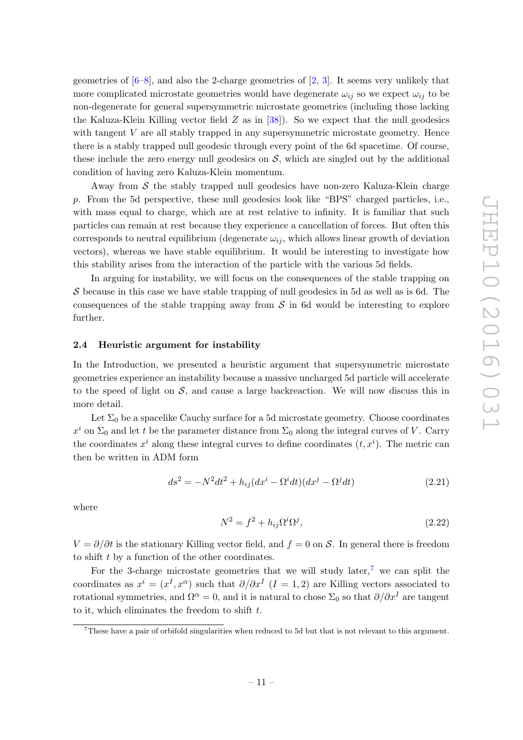geometries of  $[6-8]$  $[6-8]$ , and also the 2-charge geometries of  $[2, 3]$  $[2, 3]$ . It seems very unlikely that more complicated microstate geometries would have degenerate  $\omega_{ij}$  so we expect  $\omega_{ij}$  to be non-degenerate for general supersymmetric microstate geometries (including those lacking the Kaluza-Klein Killing vector field Z as in [\[38\]](#page-42-2)). So we expect that the null geodesics with tangent  $V$  are all stably trapped in any supersymmetric microstate geometry. Hence there is a stably trapped null geodesic through every point of the 6d spacetime. Of course, these include the zero energy null geodesics on  $S$ , which are singled out by the additional condition of having zero Kaluza-Klein momentum.

Away from  $S$  the stably trapped null geodesics have non-zero Kaluza-Klein charge p. From the 5d perspective, these null geodesics look like "BPS" charged particles, i.e., with mass equal to charge, which are at rest relative to infinity. It is familiar that such particles can remain at rest because they experience a cancellation of forces. But often this corresponds to neutral equilibrium (degenerate  $\omega_{ij}$ , which allows linear growth of deviation vectors), whereas we have stable equilibrium. It would be interesting to investigate how this stability arises from the interaction of the particle with the various 5d fields.

In arguing for instability, we will focus on the consequences of the stable trapping on S because in this case we have stable trapping of null geodesics in 5d as well as is 6d. The consequences of the stable trapping away from  $\mathcal S$  in 6d would be interesting to explore further.

#### <span id="page-11-0"></span>2.4 Heuristic argument for instability

In the Introduction, we presented a heuristic argument that supersymmetric microstate geometries experience an instability because a massive uncharged 5d particle will accelerate to the speed of light on  $S$ , and cause a large backreaction. We will now discuss this in more detail.

Let  $\Sigma_0$  be a spacelike Cauchy surface for a 5d microstate geometry. Choose coordinates  $x^i$  on  $\Sigma_0$  and let t be the parameter distance from  $\Sigma_0$  along the integral curves of V. Carry the coordinates  $x^i$  along these integral curves to define coordinates  $(t, x^i)$ . The metric can then be written in ADM form

$$
ds^{2} = -N^{2}dt^{2} + h_{ij}(dx^{i} - \Omega^{i}dt)(dx^{j} - \Omega^{j}dt)
$$
\n(2.21)

where

$$
N^2 = f^2 + h_{ij}\Omega^i\Omega^j,\tag{2.22}
$$

 $V = \partial/\partial t$  is the stationary Killing vector field, and  $f = 0$  on S. In general there is freedom to shift t by a function of the other coordinates.

For the 3-charge microstate geometries that we will study later,<sup>[7](#page-11-1)</sup> we can split the coordinates as  $x^i = (x^I, x^{\alpha})$  such that  $\partial/\partial x^I$   $(I = 1, 2)$  are Killing vectors associated to rotational symmetries, and  $\Omega^{\alpha} = 0$ , and it is natural to chose  $\Sigma_0$  so that  $\partial/\partial x^I$  are tangent to it, which eliminates the freedom to shift  $t$ .

<span id="page-11-1"></span><sup>7</sup>These have a pair of orbifold singularities when reduced to 5d but that is not relevant to this argument.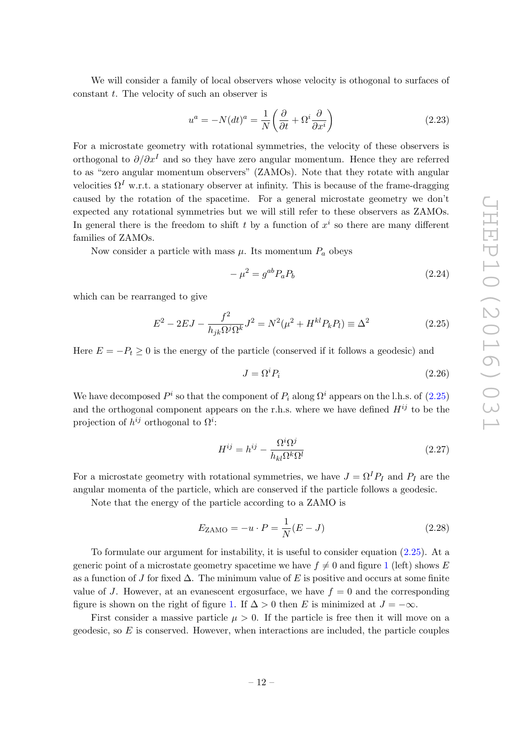We will consider a family of local observers whose velocity is othogonal to surfaces of constant t. The velocity of such an observer is

$$
u^{a} = -N(dt)^{a} = \frac{1}{N} \left( \frac{\partial}{\partial t} + \Omega^{i} \frac{\partial}{\partial x^{i}} \right)
$$
 (2.23)

For a microstate geometry with rotational symmetries, the velocity of these observers is orthogonal to  $\partial/\partial x^I$  and so they have zero angular momentum. Hence they are referred to as "zero angular momentum observers" (ZAMOs). Note that they rotate with angular velocities  $\Omega^I$  w.r.t. a stationary observer at infinity. This is because of the frame-dragging caused by the rotation of the spacetime. For a general microstate geometry we don't expected any rotational symmetries but we will still refer to these observers as ZAMOs. In general there is the freedom to shift t by a function of  $x^i$  so there are many different families of ZAMOs.

Now consider a particle with mass  $\mu$ . Its momentum  $P_a$  obeys

$$
-\mu^2 = g^{ab} P_a P_b \tag{2.24}
$$

which can be rearranged to give

<span id="page-12-0"></span>
$$
E^2 - 2EJ - \frac{f^2}{h_{jk}\Omega^j\Omega^k}J^2 = N^2(\mu^2 + H^{kl}P_kP_l) \equiv \Delta^2
$$
 (2.25)

Here  $E = -P_t \ge 0$  is the energy of the particle (conserved if it follows a geodesic) and

$$
J = \Omega^i P_i \tag{2.26}
$$

We have decomposed  $P^i$  so that the component of  $P_i$  along  $\Omega^i$  appears on the l.h.s. of  $(2.25)$ and the orthogonal component appears on the r.h.s. where we have defined  $H^{ij}$  to be the projection of  $h^{ij}$  orthogonal to  $\Omega^i$ :

$$
H^{ij} = h^{ij} - \frac{\Omega^i \Omega^j}{h_{kl} \Omega^k \Omega^l}
$$
\n(2.27)

For a microstate geometry with rotational symmetries, we have  $J = \Omega^I P_I$  and  $P_I$  are the angular momenta of the particle, which are conserved if the particle follows a geodesic.

Note that the energy of the particle according to a ZAMO is

$$
E_{\text{ZAMO}} = -u \cdot P = \frac{1}{N}(E - J)
$$
\n(2.28)

To formulate our argument for instability, it is useful to consider equation [\(2.25\)](#page-12-0). At a generic point of a microstate geometry spacetime we have  $f \neq 0$  and figure [1](#page-13-1) (left) shows E as a function of J for fixed  $\Delta$ . The minimum value of E is positive and occurs at some finite value of J. However, at an evanescent ergosurface, we have  $f = 0$  and the corresponding figure is shown on the right of figure [1.](#page-13-1) If  $\Delta > 0$  then E is minimized at  $J = -\infty$ .

First consider a massive particle  $\mu > 0$ . If the particle is free then it will move on a geodesic, so  $E$  is conserved. However, when interactions are included, the particle couples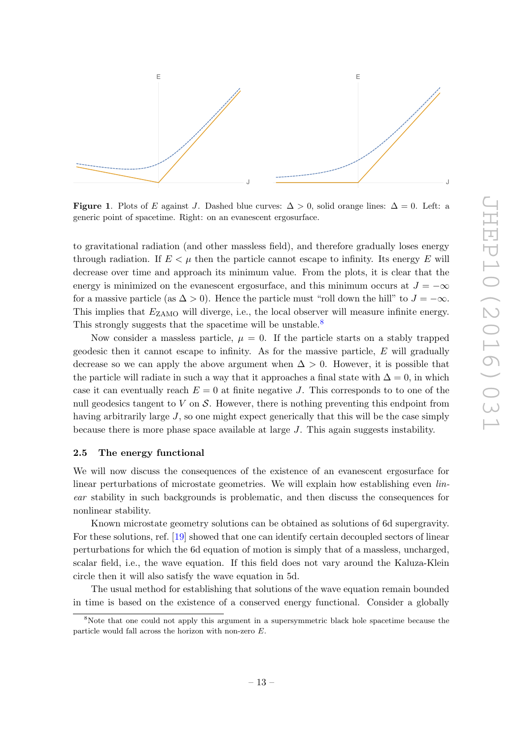

<span id="page-13-1"></span>Figure 1. Plots of E against J. Dashed blue curves:  $\Delta > 0$ , solid orange lines:  $\Delta = 0$ . Left: a generic point of spacetime. Right: on an evanescent ergosurface.

to gravitational radiation (and other massless field), and therefore gradually loses energy through radiation. If  $E < \mu$  then the particle cannot escape to infinity. Its energy E will decrease over time and approach its minimum value. From the plots, it is clear that the energy is minimized on the evanescent ergosurface, and this minimum occurs at  $J = -\infty$ for a massive particle (as  $\Delta > 0$ ). Hence the particle must "roll down the hill" to  $J = -\infty$ . This implies that  $E_{ZAMO}$  will diverge, i.e., the local observer will measure infinite energy. This strongly suggests that the spacetime will be unstable.<sup>[8](#page-13-2)</sup>

Now consider a massless particle,  $\mu = 0$ . If the particle starts on a stably trapped geodesic then it cannot escape to infinity. As for the massive particle,  $E$  will gradually decrease so we can apply the above argument when  $\Delta > 0$ . However, it is possible that the particle will radiate in such a way that it approaches a final state with  $\Delta = 0$ , in which case it can eventually reach  $E = 0$  at finite negative J. This corresponds to to one of the null geodesics tangent to  $V$  on  $\mathcal S$ . However, there is nothing preventing this endpoint from having arbitrarily large  $J$ , so one might expect generically that this will be the case simply because there is more phase space available at large J. This again suggests instability.

#### <span id="page-13-0"></span>2.5 The energy functional

We will now discuss the consequences of the existence of an evanescent ergosurface for linear perturbations of microstate geometries. We will explain how establishing even *lin*ear stability in such backgrounds is problematic, and then discuss the consequences for nonlinear stability.

Known microstate geometry solutions can be obtained as solutions of 6d supergravity. For these solutions, ref. [\[19\]](#page-41-1) showed that one can identify certain decoupled sectors of linear perturbations for which the 6d equation of motion is simply that of a massless, uncharged, scalar field, i.e., the wave equation. If this field does not vary around the Kaluza-Klein circle then it will also satisfy the wave equation in 5d.

The usual method for establishing that solutions of the wave equation remain bounded in time is based on the existence of a conserved energy functional. Consider a globally

<span id="page-13-2"></span><sup>&</sup>lt;sup>8</sup>Note that one could not apply this argument in a supersymmetric black hole spacetime because the particle would fall across the horizon with non-zero E.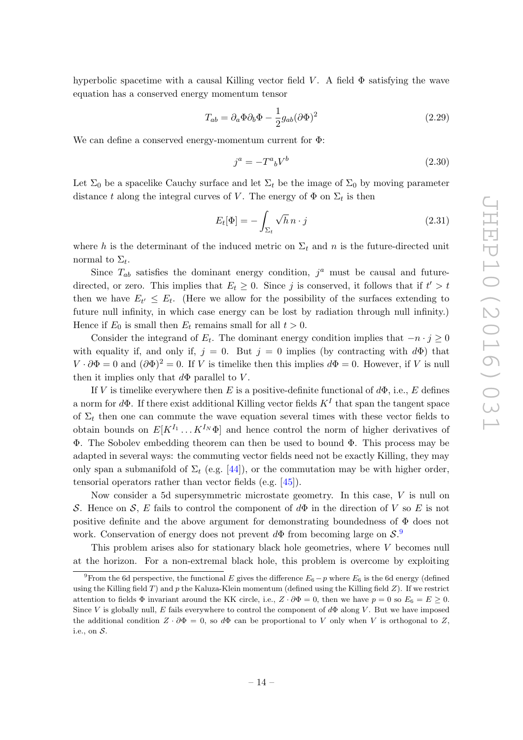hyperbolic spacetime with a causal Killing vector field  $V$ . A field  $\Phi$  satisfying the wave equation has a conserved energy momentum tensor

$$
T_{ab} = \partial_a \Phi \partial_b \Phi - \frac{1}{2} g_{ab} (\partial \Phi)^2
$$
\n(2.29)

We can define a conserved energy-momentum current for Φ:

$$
j^a = -T^a{}_b V^b \tag{2.30}
$$

Let  $\Sigma_0$  be a spacelike Cauchy surface and let  $\Sigma_t$  be the image of  $\Sigma_0$  by moving parameter distance t along the integral curves of V. The energy of  $\Phi$  on  $\Sigma_t$  is then

$$
E_t[\Phi] = -\int_{\Sigma_t} \sqrt{h} \, n \cdot j \tag{2.31}
$$

where h is the determinant of the induced metric on  $\Sigma_t$  and n is the future-directed unit normal to  $\Sigma_t$ .

Since  $T_{ab}$  satisfies the dominant energy condition,  $j^a$  must be causal and futuredirected, or zero. This implies that  $E_t \geq 0$ . Since j is conserved, it follows that if  $t' > t$ then we have  $E_{t'} \leq E_t$ . (Here we allow for the possibility of the surfaces extending to future null infinity, in which case energy can be lost by radiation through null infinity.) Hence if  $E_0$  is small then  $E_t$  remains small for all  $t > 0$ .

Consider the integrand of  $E_t$ . The dominant energy condition implies that  $-n \cdot j \ge 0$ with equality if, and only if,  $j = 0$ . But  $j = 0$  implies (by contracting with  $d\Phi$ ) that  $V \cdot \partial \Phi = 0$  and  $(\partial \Phi)^2 = 0$ . If V is timelike then this implies  $d\Phi = 0$ . However, if V is null then it implies only that  $d\Phi$  parallel to V.

If V is timelike everywhere then E is a positive-definite functional of  $d\Phi$ , i.e., E defines a norm for  $d\Phi$ . If there exist additional Killing vector fields  $K^I$  that span the tangent space of  $\Sigma_t$  then one can commute the wave equation several times with these vector fields to obtain bounds on  $E[K^{I_1} \dots K^{I_N} \Phi]$  and hence control the norm of higher derivatives of Φ. The Sobolev embedding theorem can then be used to bound Φ. This process may be adapted in several ways: the commuting vector fields need not be exactly Killing, they may only span a submanifold of  $\Sigma_t$  (e.g. [\[44\]](#page-42-8)), or the commutation may be with higher order, tensorial operators rather than vector fields (e.g. [\[45\]](#page-42-9)).

Now consider a 5d supersymmetric microstate geometry. In this case, V is null on S. Hence on S, E fails to control the component of  $d\Phi$  in the direction of V so E is not positive definite and the above argument for demonstrating boundedness of Φ does not work. Conservation of energy does not prevent  $d\Phi$  from becoming large on  $\mathcal{S}^9$  $\mathcal{S}^9$ .

This problem arises also for stationary black hole geometries, where V becomes null at the horizon. For a non-extremal black hole, this problem is overcome by exploiting

<span id="page-14-0"></span><sup>&</sup>lt;sup>9</sup>From the 6d perspective, the functional E gives the difference  $E_6 - p$  where  $E_6$  is the 6d energy (defined using the Killing field  $T$ ) and p the Kaluza-Klein momentum (defined using the Killing field  $Z$ ). If we restrict attention to fields  $\Phi$  invariant around the KK circle, i.e.,  $Z \cdot \partial \Phi = 0$ , then we have  $p = 0$  so  $E_6 = E \ge 0$ . Since V is globally null, E fails everywhere to control the component of  $d\Phi$  along V. But we have imposed the additional condition  $Z \cdot \partial \Phi = 0$ , so  $d\Phi$  can be proportional to V only when V is orthogonal to Z, i.e., on S.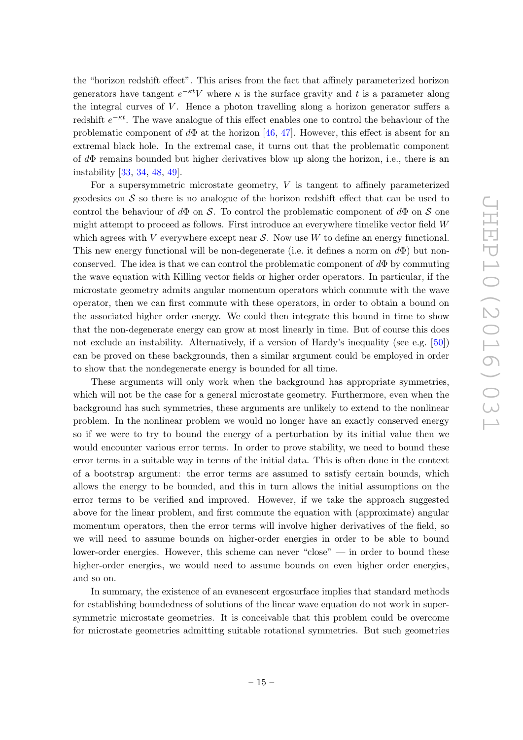the "horizon redshift effect". This arises from the fact that affinely parameterized horizon generators have tangent  $e^{-\kappa t}V$  where  $\kappa$  is the surface gravity and t is a parameter along the integral curves of  $V$ . Hence a photon travelling along a horizon generator suffers a redshift  $e^{-\kappa t}$ . The wave analogue of this effect enables one to control the behaviour of the problematic component of  $d\Phi$  at the horizon [\[46,](#page-42-10) [47\]](#page-42-11). However, this effect is absent for an extremal black hole. In the extremal case, it turns out that the problematic component of dΦ remains bounded but higher derivatives blow up along the horizon, i.e., there is an instability [\[33,](#page-41-15) [34,](#page-41-16) [48,](#page-42-12) [49\]](#page-42-13).

For a supersymmetric microstate geometry,  $V$  is tangent to affinely parameterized geodesics on  $S$  so there is no analogue of the horizon redshift effect that can be used to control the behaviour of  $d\Phi$  on S. To control the problematic component of  $d\Phi$  on S one might attempt to proceed as follows. First introduce an everywhere timelike vector field W which agrees with V everywhere except near  $S$ . Now use W to define an energy functional. This new energy functional will be non-degenerate (i.e. it defines a norm on  $d\Phi$ ) but nonconserved. The idea is that we can control the problematic component of  $d\Phi$  by commuting the wave equation with Killing vector fields or higher order operators. In particular, if the microstate geometry admits angular momentum operators which commute with the wave operator, then we can first commute with these operators, in order to obtain a bound on the associated higher order energy. We could then integrate this bound in time to show that the non-degenerate energy can grow at most linearly in time. But of course this does not exclude an instability. Alternatively, if a version of Hardy's inequality (see e.g. [\[50\]](#page-42-14)) can be proved on these backgrounds, then a similar argument could be employed in order to show that the nondegenerate energy is bounded for all time.

These arguments will only work when the background has appropriate symmetries, which will not be the case for a general microstate geometry. Furthermore, even when the background has such symmetries, these arguments are unlikely to extend to the nonlinear problem. In the nonlinear problem we would no longer have an exactly conserved energy so if we were to try to bound the energy of a perturbation by its initial value then we would encounter various error terms. In order to prove stability, we need to bound these error terms in a suitable way in terms of the initial data. This is often done in the context of a bootstrap argument: the error terms are assumed to satisfy certain bounds, which allows the energy to be bounded, and this in turn allows the initial assumptions on the error terms to be verified and improved. However, if we take the approach suggested above for the linear problem, and first commute the equation with (approximate) angular momentum operators, then the error terms will involve higher derivatives of the field, so we will need to assume bounds on higher-order energies in order to be able to bound lower-order energies. However, this scheme can never "close" — in order to bound these higher-order energies, we would need to assume bounds on even higher order energies, and so on.

In summary, the existence of an evanescent ergosurface implies that standard methods for establishing boundedness of solutions of the linear wave equation do not work in supersymmetric microstate geometries. It is conceivable that this problem could be overcome for microstate geometries admitting suitable rotational symmetries. But such geometries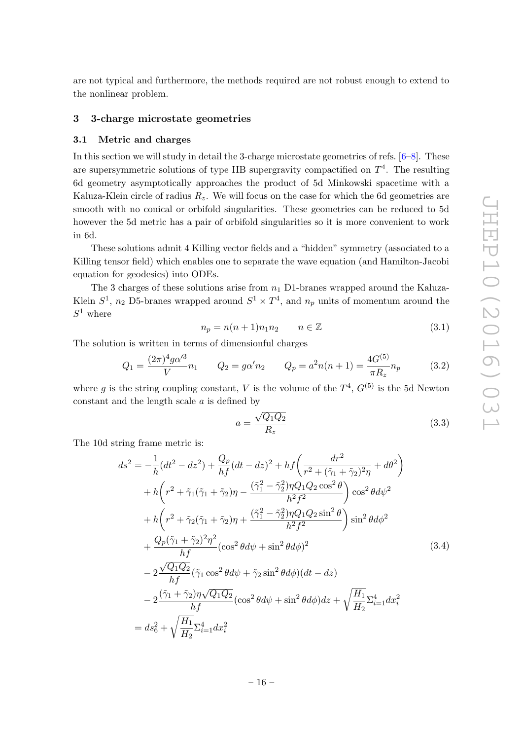are not typical and furthermore, the methods required are not robust enough to extend to the nonlinear problem.

# <span id="page-16-0"></span>3 3-charge microstate geometries

## <span id="page-16-1"></span>3.1 Metric and charges

In this section we will study in detail the 3-charge microstate geometries of refs.  $[6-8]$  $[6-8]$ . These are supersymmetric solutions of type IIB supergravity compactified on  $T<sup>4</sup>$ . The resulting 6d geometry asymptotically approaches the product of 5d Minkowski spacetime with a Kaluza-Klein circle of radius  $R_z$ . We will focus on the case for which the 6d geometries are smooth with no conical or orbifold singularities. These geometries can be reduced to 5d however the 5d metric has a pair of orbifold singularities so it is more convenient to work in 6d.

These solutions admit 4 Killing vector fields and a "hidden" symmetry (associated to a Killing tensor field) which enables one to separate the wave equation (and Hamilton-Jacobi equation for geodesics) into ODEs.

The 3 charges of these solutions arise from  $n_1$  D1-branes wrapped around the Kaluza-Klein  $S^1$ ,  $n_2$  D5-branes wrapped around  $S^1 \times T^4$ , and  $n_p$  units of momentum around the  $S^1$  where

$$
n_p = n(n+1)n_1n_2 \qquad n \in \mathbb{Z} \tag{3.1}
$$

The solution is written in terms of dimensionful charges

$$
Q_1 = \frac{(2\pi)^4 g \alpha'^3}{V} n_1 \qquad Q_2 = g \alpha' n_2 \qquad Q_p = a^2 n(n+1) = \frac{4G^{(5)}}{\pi R_z} n_p \tag{3.2}
$$

where g is the string coupling constant, V is the volume of the  $T^4$ ,  $G^{(5)}$  is the 5d Newton constant and the length scale a is defined by

<span id="page-16-3"></span>
$$
a = \frac{\sqrt{Q_1 Q_2}}{R_z} \tag{3.3}
$$

The 10d string frame metric is:

<span id="page-16-2"></span>
$$
ds^{2} = -\frac{1}{h}(dt^{2} - dz^{2}) + \frac{Q_{p}}{hf}(dt - dz)^{2} + hf\left(\frac{dr^{2}}{r^{2} + (\tilde{\gamma}_{1} + \tilde{\gamma}_{2})^{2}\eta} + d\theta^{2}\right) + h\left(r^{2} + \tilde{\gamma}_{1}(\tilde{\gamma}_{1} + \tilde{\gamma}_{2})\eta - \frac{(\tilde{\gamma}_{1}^{2} - \tilde{\gamma}_{2}^{2})\eta Q_{1}Q_{2}\cos^{2}\theta}{h^{2}f^{2}}\right)\cos^{2}\theta d\psi^{2} + h\left(r^{2} + \tilde{\gamma}_{2}(\tilde{\gamma}_{1} + \tilde{\gamma}_{2})\eta + \frac{(\tilde{\gamma}_{1}^{2} - \tilde{\gamma}_{2}^{2})\eta Q_{1}Q_{2}\sin^{2}\theta}{h^{2}f^{2}}\right)\sin^{2}\theta d\phi^{2} + \frac{Q_{p}(\tilde{\gamma}_{1} + \tilde{\gamma}_{2})^{2}\eta^{2}}{hf}(\cos^{2}\theta d\psi + \sin^{2}\theta d\phi)^{2} - 2\frac{\sqrt{Q_{1}Q_{2}}}{hf}(\tilde{\gamma}_{1}\cos^{2}\theta d\psi + \tilde{\gamma}_{2}\sin^{2}\theta d\phi)(dt - dz) - 2\frac{(\tilde{\gamma}_{1} + \tilde{\gamma}_{2})\eta\sqrt{Q_{1}Q_{2}}}{hf}(\cos^{2}\theta d\psi + \sin^{2}\theta d\phi)dz + \sqrt{\frac{H_{1}}{H_{2}}}\Sigma_{i=1}^{4}dx_{i}^{2} = ds_{6}^{2} + \sqrt{\frac{H_{1}}{H_{2}}}\Sigma_{i=1}^{4}dx_{i}^{2}
$$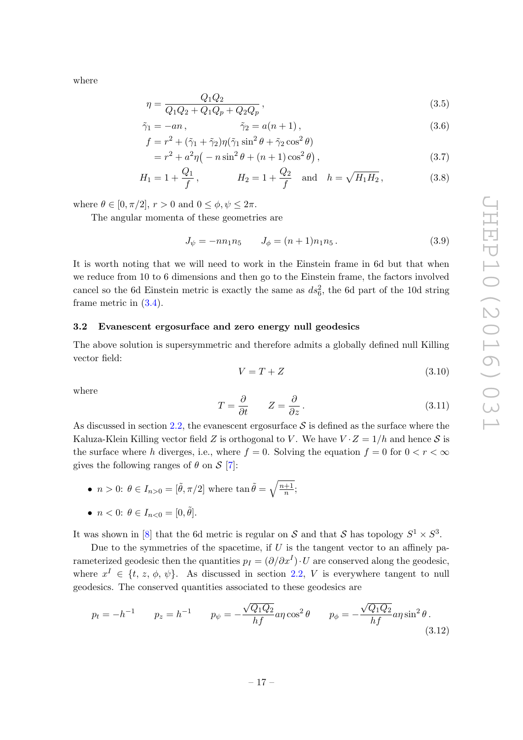where

$$
\eta = \frac{Q_1 Q_2}{Q_1 Q_2 + Q_1 Q_p + Q_2 Q_p},\tag{3.5}
$$

$$
\tilde{\gamma}_1 = -an, \qquad \qquad \tilde{\gamma}_2 = a(n+1), \qquad (3.6)
$$

$$
f = r2 + (\tilde{\gamma}_1 + \tilde{\gamma}_2)\eta(\tilde{\gamma}_1 \sin^2 \theta + \tilde{\gamma}_2 \cos^2 \theta)
$$
  
=  $r2 + a2 \eta$  (2.7)

$$
= r^{2} + a^{2}\eta \left( -n\sin^{2}\theta + (n+1)\cos^{2}\theta \right),
$$
\n(3.7)

$$
H_1 = 1 + \frac{Q_1}{f}
$$
,  $H_2 = 1 + \frac{Q_2}{f}$  and  $h = \sqrt{H_1 H_2}$ , (3.8)

where  $\theta \in [0, \pi/2], r > 0$  and  $0 \leq \phi, \psi \leq 2\pi$ .

The angular momenta of these geometries are

$$
J_{\psi} = -n n_1 n_5 \qquad J_{\phi} = (n+1)n_1 n_5. \tag{3.9}
$$

It is worth noting that we will need to work in the Einstein frame in 6d but that when we reduce from 10 to 6 dimensions and then go to the Einstein frame, the factors involved cancel so the 6d Einstein metric is exactly the same as  $ds_6^2$ , the 6d part of the 10d string frame metric in [\(3.4\)](#page-16-2).

# <span id="page-17-0"></span>3.2 Evanescent ergosurface and zero energy null geodesics

The above solution is supersymmetric and therefore admits a globally defined null Killing vector field:

$$
V = T + Z \tag{3.10}
$$

where

$$
T = \frac{\partial}{\partial t} \qquad Z = \frac{\partial}{\partial z} \,. \tag{3.11}
$$

As discussed in section [2.2,](#page-7-0) the evanescent ergosurface  $S$  is defined as the surface where the Kaluza-Klein Killing vector field Z is orthogonal to V. We have  $V \cdot Z = 1/h$  and hence S is the surface where h diverges, i.e., where  $f = 0$ . Solving the equation  $f = 0$  for  $0 < r < \infty$ gives the following ranges of  $\theta$  on  $\mathcal{S}$  [\[7\]](#page-40-13):

•  $n > 0$ :  $\theta \in I_{n>0} = [\tilde{\theta}, \pi/2]$  where  $\tan \tilde{\theta} = \sqrt{\frac{n+1}{n}}$  $\frac{+1}{n}$ ;

• 
$$
n < 0
$$
:  $\theta \in I_{n<0} = [0, \tilde{\theta}].$ 

It was shown in [\[8\]](#page-40-11) that the 6d metric is regular on S and that S has topology  $S^1 \times S^3$ .

Due to the symmetries of the spacetime, if  $U$  is the tangent vector to an affinely parameterized geodesic then the quantities  $p_I = (\partial/\partial x^I) \cdot U$  are conserved along the geodesic, where  $x^I \in \{t, z, \phi, \psi\}$ . As discussed in section [2.2,](#page-7-0) V is everywhere tangent to null geodesics. The conserved quantities associated to these geodesics are

$$
p_t = -h^{-1} \qquad p_z = h^{-1} \qquad p_\psi = -\frac{\sqrt{Q_1 Q_2}}{hf} a\eta \cos^2 \theta \qquad p_\phi = -\frac{\sqrt{Q_1 Q_2}}{hf} a\eta \sin^2 \theta \,. \tag{3.12}
$$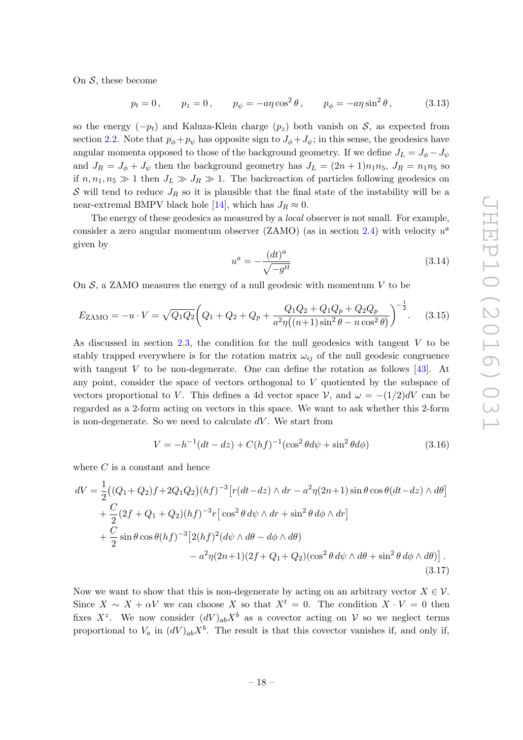On  $S$ , these become

$$
p_t = 0
$$
,  $p_z = 0$ ,  $p_\psi = -a\eta \cos^2 \theta$ ,  $p_\phi = -a\eta \sin^2 \theta$ , (3.13)

so the energy  $(-p_t)$  and Kaluza-Klein charge  $(p_z)$  both vanish on S, as expected from section [2.2.](#page-7-0) Note that  $p_{\phi}+p_{\psi}$  has opposite sign to  $J_{\phi}+J_{\psi}$ ; in this sense, the geodesics have angular momenta opposed to those of the background geometry. If we define  $J_L = J_\phi - J_\psi$ and  $J_R = J_\phi + J_\psi$  then the background geometry has  $J_L = (2n+1)n_1n_5$ ,  $J_R = n_1n_5$  so if  $n, n_1, n_5 \gg 1$  then  $J_L \gg J_R \gg 1$ . The backreaction of particles following geodesics on S will tend to reduce  $J_R$  so it is plausible that the final state of the instability will be a near-extremal BMPV black hole [\[14\]](#page-40-5), which has  $J_R \approx 0$ .

The energy of these geodesics as measured by a *local* observer is not small. For example, consider a zero angular momentum observer (ZAMO) (as in section [2.4\)](#page-11-0) with velocity  $u^a$ given by

$$
u^a = -\frac{(dt)^a}{\sqrt{-g^{tt}}} \tag{3.14}
$$

On  $S$ , a ZAMO measures the energy of a null geodesic with momentum V to be

$$
E_{\text{ZAMO}} = -u \cdot V = \sqrt{Q_1 Q_2} \left( Q_1 + Q_2 + Q_p + \frac{Q_1 Q_2 + Q_1 Q_p + Q_2 Q_p}{a^2 \eta \left( (n+1) \sin^2 \theta - n \cos^2 \theta \right)} \right)^{-\frac{1}{2}}.
$$
 (3.15)

As discussed in section [2.3,](#page-8-0) the condition for the null geodesics with tangent  $V$  to be stably trapped everywhere is for the rotation matrix  $\omega_{ij}$  of the null geodesic congruence with tangent V to be non-degenerate. One can define the rotation as follows  $[43]$ . At any point, consider the space of vectors orthogonal to  $V$  quotiented by the subspace of vectors proportional to V. This defines a 4d vector space V, and  $\omega = -(1/2)dV$  can be regarded as a 2-form acting on vectors in this space. We want to ask whether this 2-form is non-degenerate. So we need to calculate  $dV$ . We start from

$$
V = -h^{-1}(dt - dz) + C(hf)^{-1}(\cos^2\theta d\psi + \sin^2\theta d\phi)
$$
 (3.16)

where  $C$  is a constant and hence

$$
dV = \frac{1}{2} \left( (Q_1 + Q_2)f + 2Q_1Q_2 \right) (hf)^{-3} \left[ r(dt - dz) \wedge dr - a^2 \eta (2n+1) \sin \theta \cos \theta (dt - dz) \wedge d\theta \right] + \frac{C}{2} (2f + Q_1 + Q_2) (hf)^{-3} r \left[ \cos^2 \theta \, d\psi \wedge dr + \sin^2 \theta \, d\phi \wedge dr \right] + \frac{C}{2} \sin \theta \cos \theta (hf)^{-3} \left[ 2(hf)^2 (d\psi \wedge d\theta - d\phi \wedge d\theta) \right] - a^2 \eta (2n+1) (2f + Q_1 + Q_2) (\cos^2 \theta \, d\psi \wedge d\theta + \sin^2 \theta \, d\phi \wedge d\theta) \right].
$$
\n(3.17)

Now we want to show that this is non-degenerate by acting on an arbitrary vector  $X \in \mathcal{V}$ . Since  $X \sim X + \alpha V$  we can choose X so that  $X^t = 0$ . The condition  $X \cdot V = 0$  then fixes  $X^z$ . We now consider  $(dV)_{ab}X^b$  as a covector acting on V so we neglect terms proportional to  $V_a$  in  $(dV)_{ab}X^b$ . The result is that this covector vanishes if, and only if,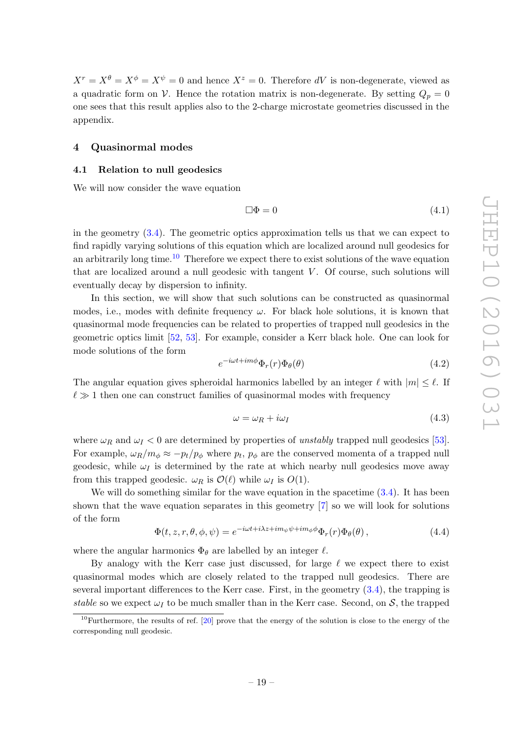$X^r = X^{\theta} = X^{\phi} = X^{\psi} = 0$  and hence  $X^z = 0$ . Therefore dV is non-degenerate, viewed as a quadratic form on V. Hence the rotation matrix is non-degenerate. By setting  $Q_p = 0$ one sees that this result applies also to the 2-charge microstate geometries discussed in the appendix.

# <span id="page-19-0"></span>4 Quasinormal modes

# <span id="page-19-1"></span>4.1 Relation to null geodesics

We will now consider the wave equation

$$
\Box \Phi = 0 \tag{4.1}
$$

in the geometry [\(3.4\)](#page-16-2). The geometric optics approximation tells us that we can expect to find rapidly varying solutions of this equation which are localized around null geodesics for an arbitrarily long time.<sup>[10](#page-19-2)</sup> Therefore we expect there to exist solutions of the wave equation that are localized around a null geodesic with tangent  $V$ . Of course, such solutions will eventually decay by dispersion to infinity.

In this section, we will show that such solutions can be constructed as quasinormal modes, i.e., modes with definite frequency  $\omega$ . For black hole solutions, it is known that quasinormal mode frequencies can be related to properties of trapped null geodesics in the geometric optics limit [\[52,](#page-42-15) [53\]](#page-42-16). For example, consider a Kerr black hole. One can look for mode solutions of the form

$$
e^{-i\omega t + im\phi} \Phi_r(r) \Phi_\theta(\theta) \tag{4.2}
$$

The angular equation gives spheroidal harmonics labelled by an integer  $\ell$  with  $|m| \leq \ell$ . If  $\ell \gg 1$  then one can construct families of quasinormal modes with frequency

$$
\omega = \omega_R + i\omega_I \tag{4.3}
$$

where  $\omega_R$  and  $\omega_I < 0$  are determined by properties of unstably trapped null geodesics [\[53\]](#page-42-16). For example,  $\omega_R/m_\phi \approx -p_t/p_\phi$  where  $p_t$ ,  $p_\phi$  are the conserved momenta of a trapped null geodesic, while  $\omega_I$  is determined by the rate at which nearby null geodesics move away from this trapped geodesic.  $\omega_R$  is  $\mathcal{O}(\ell)$  while  $\omega_I$  is  $O(1)$ .

We will do something similar for the wave equation in the spacetime  $(3.4)$ . It has been shown that the wave equation separates in this geometry [\[7\]](#page-40-13) so we will look for solutions of the form

<span id="page-19-3"></span>
$$
\Phi(t, z, r, \theta, \phi, \psi) = e^{-i\omega t + i\lambda z + im_{\psi}\psi + im_{\phi}\phi} \Phi_r(r) \Phi_{\theta}(\theta), \qquad (4.4)
$$

where the angular harmonics  $\Phi_{\theta}$  are labelled by an integer  $\ell$ .

By analogy with the Kerr case just discussed, for large  $\ell$  we expect there to exist quasinormal modes which are closely related to the trapped null geodesics. There are several important differences to the Kerr case. First, in the geometry  $(3.4)$ , the trapping is stable so we expect  $\omega_I$  to be much smaller than in the Kerr case. Second, on S, the trapped

<span id="page-19-2"></span><sup>&</sup>lt;sup>10</sup>Furthermore, the results of ref. [\[20\]](#page-41-2) prove that the energy of the solution is close to the energy of the corresponding null geodesic.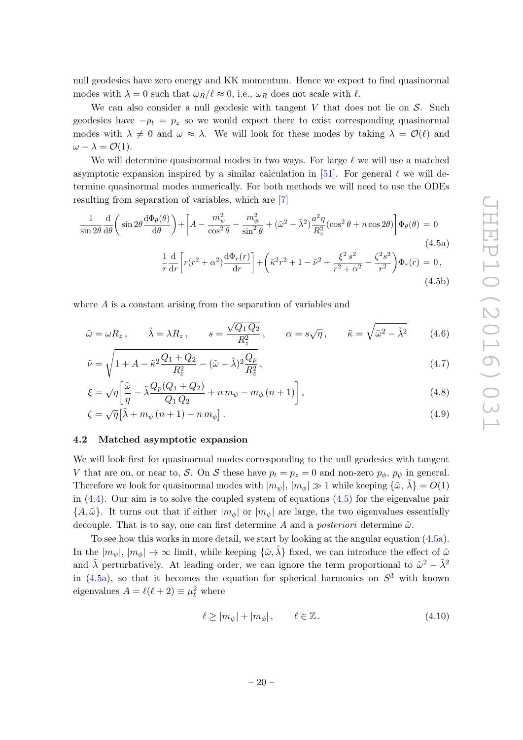null geodesics have zero energy and KK momentum. Hence we expect to find quasinormal modes with  $\lambda = 0$  such that  $\omega_R/\ell \approx 0$ , i.e.,  $\omega_R$  does not scale with  $\ell$ .

We can also consider a null geodesic with tangent V that does not lie on  $S$ . Such geodesics have  $-p_t = p_z$  so we would expect there to exist corresponding quasinormal modes with  $\lambda \neq 0$  and  $\omega \approx \lambda$ . We will look for these modes by taking  $\lambda = \mathcal{O}(\ell)$  and  $\omega - \lambda = \mathcal{O}(1).$ 

We will determine quasinormal modes in two ways. For large  $\ell$  we will use a matched asymptotic expansion inspired by a similar calculation in [\[51\]](#page-42-17). For general  $\ell$  we will determine quasinormal modes numerically. For both methods we will need to use the ODEs resulting from separation of variables, which are [\[7\]](#page-40-13)

<span id="page-20-2"></span><span id="page-20-1"></span>
$$
\frac{1}{\sin 2\theta} \frac{d}{d\theta} \left( \sin 2\theta \frac{d\Phi_{\theta}(\theta)}{d\theta} \right) + \left[ A - \frac{m_{\psi}^2}{\cos^2 \theta} - \frac{m_{\phi}^2}{\sin^2 \theta} + (\tilde{\omega}^2 - \tilde{\lambda}^2) \frac{a^2 \eta}{R_z^2} (\cos^2 \theta + n \cos 2\theta) \right] \Phi_{\theta}(\theta) = 0
$$
\n
$$
(4.5a)
$$
\n
$$
\frac{1}{r} \frac{d}{dr} \left[ r(r^2 + \alpha^2) \frac{d\Phi_r(r)}{dr} \right] + \left( \tilde{\kappa}^2 r^2 + 1 - \tilde{\nu}^2 + \frac{\xi^2 s^2}{r^2 + \alpha^2} - \frac{\zeta^2 s^2}{r^2} \right) \Phi_r(r) = 0,
$$
\n
$$
(4.5b)
$$

where A is a constant arising from the separation of variables and

$$
\tilde{\omega} = \omega R_z, \qquad \tilde{\lambda} = \lambda R_z, \qquad s = \frac{\sqrt{Q_1 Q_2}}{R_z^2}, \qquad \alpha = s\sqrt{\eta}, \qquad \tilde{\kappa} = \sqrt{\tilde{\omega}^2 - \tilde{\lambda}^2}
$$
\n(4.6)

$$
\tilde{\nu} = \sqrt{1 + A - \tilde{\kappa}^2 \frac{Q_1 + Q_2}{R_z^2} - (\tilde{\omega} - \tilde{\lambda})^2 \frac{Q_p}{R_z^2}},\tag{4.7}
$$

$$
\xi = \sqrt{\eta} \left[ \frac{\tilde{\omega}}{\eta} - \tilde{\lambda} \frac{Q_p(Q_1 + Q_2)}{Q_1 Q_2} + n \, m_\psi - m_\phi \left( n + 1 \right) \right],\tag{4.8}
$$

$$
\zeta = \sqrt{\eta} \left[ \tilde{\lambda} + m_{\psi} \left( n + 1 \right) - n \, m_{\phi} \right]. \tag{4.9}
$$

#### <span id="page-20-0"></span>4.2 Matched asymptotic expansion

We will look first for quasinormal modes corresponding to the null geodesics with tangent V that are on, or near to, S. On S these have  $p_t = p_z = 0$  and non-zero  $p_{\phi}, p_{\psi}$  in general. Therefore we look for quasinormal modes with  $|m_{\psi}|$ ,  $|m_{\phi}| \gg 1$  while keeping  $\{\tilde{\omega}, \lambda\} = O(1)$ in  $(4.4)$ . Our aim is to solve the coupled system of equations  $(4.5)$  for the eigenvalue pair  $\{A, \tilde{\omega}\}.$  It turns out that if either  $|m_{\phi}|$  or  $|m_{\psi}|$  are large, the two eigenvalues essentially decouple. That is to say, one can first determine A and a *posteriori* determine  $\tilde{\omega}$ .

To see how this works in more detail, we start by looking at the angular equation [\(4.5a\)](#page-20-2). In the  $|m_{\psi}|, |m_{\phi}| \to \infty$  limit, while keeping  $\{\tilde{\omega}, \tilde{\lambda}\}$  fixed, we can introduce the effect of  $\tilde{\omega}$ and  $\tilde{\lambda}$  perturbatively. At leading order, we can ignore the term proportional to  $\tilde{\omega}^2 - \tilde{\lambda}^2$ in  $(4.5a)$ , so that it becomes the equation for spherical harmonics on  $S^3$  with known eigenvalues  $A = \ell(\ell + 2) \equiv \mu_{\ell}^2$  where

<span id="page-20-4"></span><span id="page-20-3"></span>
$$
\ell \ge |m_{\psi}| + |m_{\phi}|, \qquad \ell \in \mathbb{Z}. \tag{4.10}
$$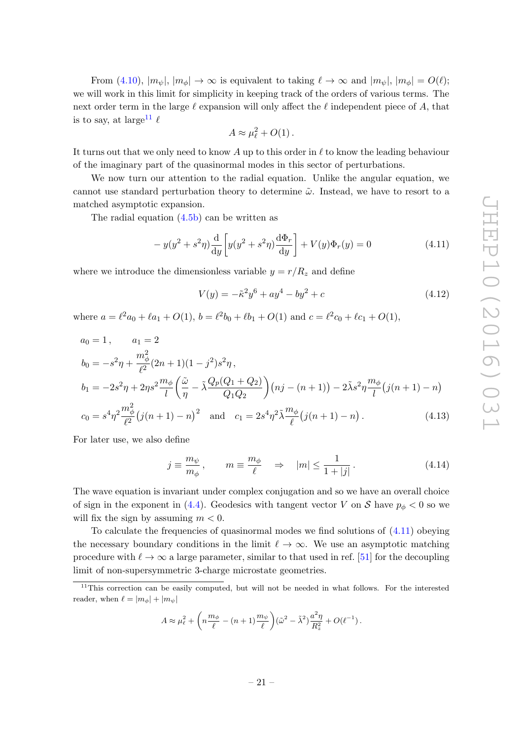From [\(4.10\)](#page-20-3),  $|m_{\psi}|, |m_{\phi}| \to \infty$  is equivalent to taking  $\ell \to \infty$  and  $|m_{\psi}|, |m_{\phi}| = O(\ell);$ we will work in this limit for simplicity in keeping track of the orders of various terms. The next order term in the large  $\ell$  expansion will only affect the  $\ell$  independent piece of A, that is to say, at large<sup>[11](#page-21-0)</sup>  $\ell$ 

$$
A \approx \mu_{\ell}^2 + O(1) \, .
$$

It turns out that we only need to know A up to this order in  $\ell$  to know the leading behaviour of the imaginary part of the quasinormal modes in this sector of perturbations.

We now turn our attention to the radial equation. Unlike the angular equation, we cannot use standard perturbation theory to determine  $\tilde{\omega}$ . Instead, we have to resort to a matched asymptotic expansion.

The radial equation [\(4.5b\)](#page-20-2) can be written as

<span id="page-21-1"></span>
$$
-y(y^2 + s^2\eta)\frac{\mathrm{d}}{\mathrm{d}y}\left[y(y^2 + s^2\eta)\frac{\mathrm{d}\Phi_r}{\mathrm{d}y}\right] + V(y)\Phi_r(y) = 0\tag{4.11}
$$

where we introduce the dimensionless variable  $y = r/R_z$  and define

$$
V(y) = -\tilde{\kappa}^2 y^6 + ay^4 - by^2 + c \tag{4.12}
$$

where  $a = \ell^2 a_0 + \ell a_1 + O(1)$ ,  $b = \ell^2 b_0 + \ell b_1 + O(1)$  and  $c = \ell^2 c_0 + \ell c_1 + O(1)$ ,

$$
a_0 = 1, \t a_1 = 2
$$
  
\n
$$
b_0 = -s^2 \eta + \frac{m_\phi^2}{\ell^2} (2n+1)(1-j^2)s^2 \eta,
$$
  
\n
$$
b_1 = -2s^2 \eta + 2\eta s^2 \frac{m_\phi}{l} \left(\frac{\tilde{\omega}}{\eta} - \tilde{\lambda} \frac{Q_p(Q_1+Q_2)}{Q_1Q_2}\right) (nj - (n+1)) - 2\tilde{\lambda} s^2 \eta \frac{m_\phi}{l} (j(n+1) - n)
$$
  
\n
$$
c_0 = s^4 \eta^2 \frac{m_\phi^2}{\ell^2} (j(n+1) - n)^2 \quad \text{and} \quad c_1 = 2s^4 \eta^2 \tilde{\lambda} \frac{m_\phi}{\ell} (j(n+1) - n).
$$
\n(4.13)

For later use, we also define

$$
j \equiv \frac{m_{\psi}}{m_{\phi}}, \qquad m \equiv \frac{m_{\phi}}{\ell} \quad \Rightarrow \quad |m| \le \frac{1}{1+|j|}.
$$
 (4.14)

The wave equation is invariant under complex conjugation and so we have an overall choice of sign in the exponent in [\(4.4\)](#page-19-3). Geodesics with tangent vector V on S have  $p_{\phi} < 0$  so we will fix the sign by assuming  $m < 0$ .

To calculate the frequencies of quasinormal modes we find solutions of [\(4.11\)](#page-21-1) obeying the necessary boundary conditions in the limit  $\ell \to \infty$ . We use an asymptotic matching procedure with  $\ell \to \infty$  a large parameter, similar to that used in ref. [\[51\]](#page-42-17) for the decoupling limit of non-supersymmetric 3-charge microstate geometries.

$$
A \approx \mu_{\ell}^2 + \left( n \frac{m_{\phi}}{\ell} - (n+1) \frac{m_{\psi}}{\ell} \right) (\tilde{\omega}^2 - \tilde{\lambda}^2) \frac{a^2 \eta}{R_z^2} + O(\ell^{-1}).
$$

<span id="page-21-0"></span><sup>&</sup>lt;sup>11</sup>This correction can be easily computed, but will not be needed in what follows. For the interested reader, when  $\ell = |m_{\phi}| + |m_{\psi}|$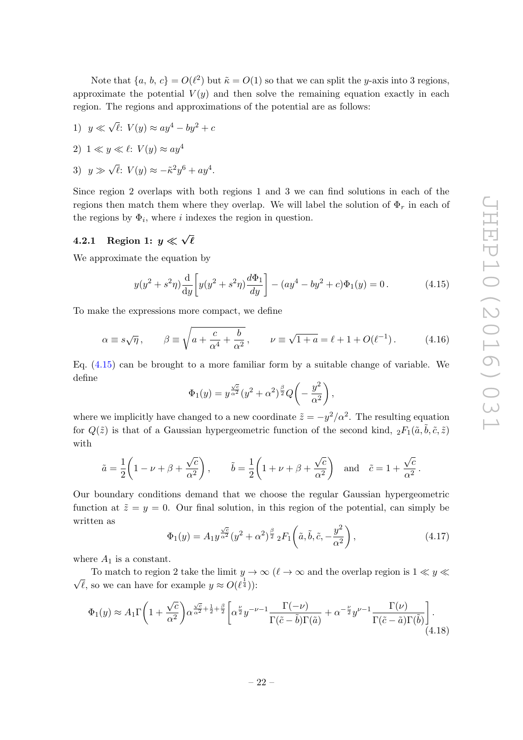Note that  $\{a, b, c\} = O(\ell^2)$  but  $\tilde{\kappa} = O(1)$  so that we can split the y-axis into 3 regions, approximate the potential  $V(y)$  and then solve the remaining equation exactly in each region. The regions and approximations of the potential are as follows:

1) 
$$
y \ll \sqrt{\ell}: V(y) \approx ay^4 - by^2 + c
$$

2) 
$$
1 \ll y \ll \ell
$$
:  $V(y) \approx ay^4$ 

3) 
$$
y \gg \sqrt{\ell}
$$
:  $V(y) \approx -\tilde{\kappa}^2 y^6 + ay^4$ .

Since region 2 overlaps with both regions 1 and 3 we can find solutions in each of the regions then match them where they overlap. We will label the solution of  $\Phi_r$  in each of the regions by  $\Phi_i$ , where *i* indexes the region in question.

#### <span id="page-22-0"></span>4.2.1 Region 1:  $y \ll$ √  $\ell$

We approximate the equation by

<span id="page-22-1"></span>
$$
y(y^2 + s^2 \eta) \frac{d}{dy} \left[ y(y^2 + s^2 \eta) \frac{d\Phi_1}{dy} \right] - (ay^4 - by^2 + c)\Phi_1(y) = 0.
$$
 (4.15)

To make the expressions more compact, we define

$$
\alpha \equiv s\sqrt{\eta} , \qquad \beta \equiv \sqrt{a + \frac{c}{\alpha^4} + \frac{b}{\alpha^2}}, \qquad \nu \equiv \sqrt{1 + a} = \ell + 1 + O(\ell^{-1}). \tag{4.16}
$$

Eq. [\(4.15\)](#page-22-1) can be brought to a more familiar form by a suitable change of variable. We define

$$
\Phi_1(y) = y^{\frac{\sqrt{c}}{\alpha^2}} (y^2 + \alpha^2)^{\frac{\beta}{2}} Q\left(-\frac{y^2}{\alpha^2}\right),
$$

where we implicitly have changed to a new coordinate  $\tilde{z} = -y^2/\alpha^2$ . The resulting equation for  $Q(\tilde{z})$  is that of a Gaussian hypergeometric function of the second kind,  ${}_2F_1(\tilde{a},\tilde{b},\tilde{c},\tilde{z})$ with

$$
\tilde{a} = \frac{1}{2} \left( 1 - \nu + \beta + \frac{\sqrt{c}}{\alpha^2} \right), \qquad \tilde{b} = \frac{1}{2} \left( 1 + \nu + \beta + \frac{\sqrt{c}}{\alpha^2} \right) \text{ and } \tilde{c} = 1 + \frac{\sqrt{c}}{\alpha^2}.
$$

Our boundary conditions demand that we choose the regular Gaussian hypergeometric function at  $\tilde{z} = y = 0$ . Our final solution, in this region of the potential, can simply be written as

$$
\Phi_1(y) = A_1 y^{\frac{\sqrt{c}}{\alpha^2}} (y^2 + \alpha^2)^{\frac{\beta}{2}} {}_2F_1\left(\tilde{a}, \tilde{b}, \tilde{c}, -\frac{y^2}{\alpha^2}\right),\tag{4.17}
$$

where  $A_1$  is a constant.

To match to region 2 take the limit  $y \to \infty$  ( $\ell \to \infty$  and the overlap region is  $1 \ll y \ll \ell$ ) √  $\overline{\ell}$ , so we can have for example  $y \approx O(\ell^{\frac{1}{4}})$ :

<span id="page-22-2"></span>
$$
\Phi_1(y) \approx A_1 \Gamma \left( 1 + \frac{\sqrt{c}}{\alpha^2} \right) \alpha^{\frac{\sqrt{c}}{\alpha^2} + \frac{1}{2} + \frac{\beta}{2}} \left[ \alpha^{\frac{\nu}{2}} y^{-\nu - 1} \frac{\Gamma(-\nu)}{\Gamma(\tilde{c} - \tilde{b}) \Gamma(\tilde{a})} + \alpha^{-\frac{\nu}{2}} y^{\nu - 1} \frac{\Gamma(\nu)}{\Gamma(\tilde{c} - \tilde{a}) \Gamma(\tilde{b})} \right].
$$
\n(4.18)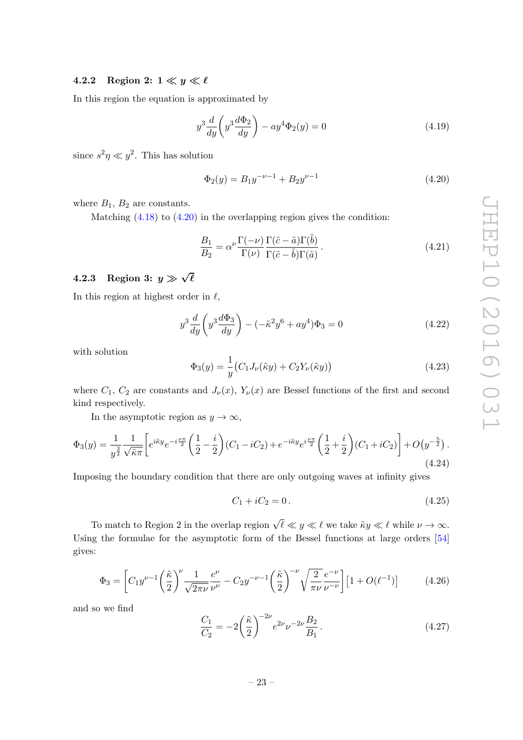# <span id="page-23-0"></span>4.2.2 Region 2:  $1 \ll y \ll l$

In this region the equation is approximated by

$$
y^3 \frac{d}{dy} \left( y^3 \frac{d\Phi_2}{dy} \right) - ay^4 \Phi_2(y) = 0 \tag{4.19}
$$

since  $s^2\eta \ll y^2$ . This has solution

<span id="page-23-2"></span>
$$
\Phi_2(y) = B_1 y^{-\nu - 1} + B_2 y^{\nu - 1} \tag{4.20}
$$

where  $B_1$ ,  $B_2$  are constants.

Matching  $(4.18)$  to  $(4.20)$  in the overlapping region gives the condition:

<span id="page-23-3"></span>
$$
\frac{B_1}{B_2} = \alpha^{\nu} \frac{\Gamma(-\nu)}{\Gamma(\nu)} \frac{\Gamma(\tilde{c} - \tilde{a}) \Gamma(\tilde{b})}{\Gamma(\tilde{c} - \tilde{b}) \Gamma(\tilde{a})}.
$$
\n(4.21)

#### <span id="page-23-1"></span>4.2.3 Region 3:  $y \gg$ √  $\ell$

In this region at highest order in  $\ell$ ,

$$
y^3 \frac{d}{dy} \left( y^3 \frac{d\Phi_3}{dy} \right) - (-\tilde{\kappa}^2 y^6 + ay^4) \Phi_3 = 0 \tag{4.22}
$$

with solution

$$
\Phi_3(y) = \frac{1}{y} (C_1 J_\nu(\tilde{\kappa}y) + C_2 Y_\nu(\tilde{\kappa}y))
$$
\n(4.23)

where  $C_1$ ,  $C_2$  are constants and  $J_{\nu}(x)$ ,  $Y_{\nu}(x)$  are Bessel functions of the first and second kind respectively.

In the asymptotic region as  $y \to \infty$ ,

$$
\Phi_3(y) = \frac{1}{y^{\frac{3}{2}}} \frac{1}{\sqrt{\tilde{\kappa}\pi}} \left[ e^{i\tilde{\kappa}y} e^{-i\frac{\nu\pi}{2}} \left( \frac{1}{2} - \frac{i}{2} \right) (C_1 - iC_2) + e^{-i\tilde{\kappa}y} e^{i\frac{\nu\pi}{2}} \left( \frac{1}{2} + \frac{i}{2} \right) (C_1 + iC_2) \right] + O\left(y^{-\frac{5}{2}}\right). \tag{4.24}
$$

Imposing the boundary condition that there are only outgoing waves at infinity gives

<span id="page-23-4"></span>
$$
C_1 + iC_2 = 0. \t\t(4.25)
$$

To match to Region 2 in the overlap region  $\sqrt{\ell} \ll y \ll \ell$  we take  $\tilde{\kappa}y \ll \ell$  while  $\nu \to \infty$ . Using the formulae for the asymptotic form of the Bessel functions at large orders [\[54\]](#page-42-18) gives:

$$
\Phi_3 = \left[ C_1 y^{\nu - 1} \left( \frac{\tilde{\kappa}}{2} \right)^{\nu} \frac{1}{\sqrt{2\pi\nu}} \frac{e^{\nu}}{\nu^{\nu}} - C_2 y^{-\nu - 1} \left( \frac{\tilde{\kappa}}{2} \right)^{-\nu} \sqrt{\frac{2}{\pi\nu}} \frac{e^{-\nu}}{\nu^{-\nu}} \right] \left[ 1 + O(\ell^{-1}) \right] \tag{4.26}
$$

and so we find

<span id="page-23-5"></span>
$$
\frac{C_1}{C_2} = -2\left(\frac{\tilde{\kappa}}{2}\right)^{-2\nu} e^{2\nu} \nu^{-2\nu} \frac{B_2}{B_1} \,. \tag{4.27}
$$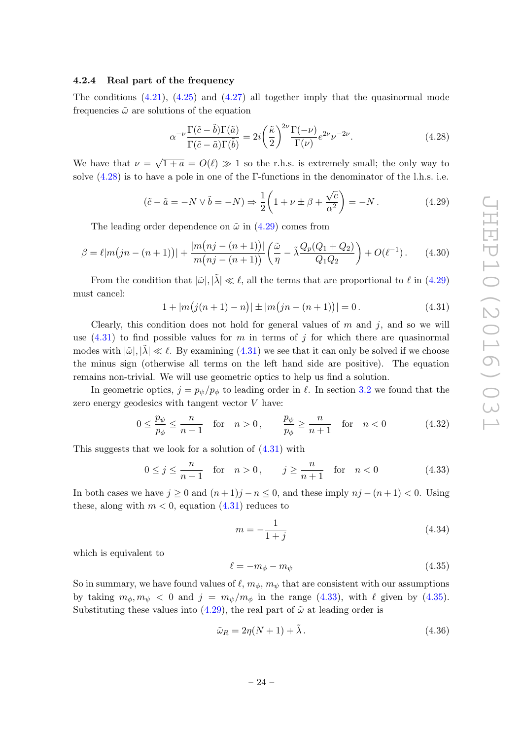# <span id="page-24-0"></span>4.2.4 Real part of the frequency

The conditions  $(4.21)$ ,  $(4.25)$  and  $(4.27)$  all together imply that the quasinormal mode frequencies  $\tilde{\omega}$  are solutions of the equation

<span id="page-24-1"></span>
$$
\alpha^{-\nu} \frac{\Gamma(\tilde{c} - \tilde{b})\Gamma(\tilde{a})}{\Gamma(\tilde{c} - \tilde{a})\Gamma(\tilde{b})} = 2i \left(\frac{\tilde{\kappa}}{2}\right)^{2\nu} \frac{\Gamma(-\nu)}{\Gamma(\nu)} e^{2\nu} \nu^{-2\nu}.
$$
\n(4.28)

We have that  $\nu =$ √  $1 + a = O(\ell) \gg 1$  so the r.h.s. is extremely small; the only way to solve [\(4.28\)](#page-24-1) is to have a pole in one of the Γ-functions in the denominator of the l.h.s. i.e.

<span id="page-24-2"></span>
$$
(\tilde{c} - \tilde{a} = -N \vee \tilde{b} = -N) \Rightarrow \frac{1}{2} \left( 1 + \nu \pm \beta + \frac{\sqrt{c}}{\alpha^2} \right) = -N. \tag{4.29}
$$

The leading order dependence on  $\tilde{\omega}$  in [\(4.29\)](#page-24-2) comes from

$$
\beta = \ell |m(jn - (n+1))| + \frac{|m(nj - (n+1))|}{m(nj - (n+1))} \left(\frac{\tilde{\omega}}{\eta} - \tilde{\lambda} \frac{Q_p(Q_1 + Q_2)}{Q_1 Q_2}\right) + O(\ell^{-1}). \tag{4.30}
$$

From the condition that  $|\tilde{\omega}|, |\tilde{\lambda}| \ll \ell$ , all the terms that are proportional to  $\ell$  in [\(4.29\)](#page-24-2) must cancel:

<span id="page-24-3"></span>
$$
1 + |m(j(n+1) - n)| \pm |m(jn - (n+1))| = 0.
$$
\n(4.31)

Clearly, this condition does not hold for general values of  $m$  and  $j$ , and so we will use  $(4.31)$  to find possible values for m in terms of j for which there are quasinormal modes with  $|\tilde{\omega}|, |\lambda| \ll \ell$ . By examining [\(4.31\)](#page-24-3) we see that it can only be solved if we choose the minus sign (otherwise all terms on the left hand side are positive). The equation remains non-trivial. We will use geometric optics to help us find a solution.

In geometric optics,  $j = p_{\psi}/p_{\phi}$  to leading order in  $\ell$ . In section [3.2](#page-17-0) we found that the zero energy geodesics with tangent vector V have:

$$
0 \le \frac{p_{\psi}}{p_{\phi}} \le \frac{n}{n+1} \quad \text{for} \quad n > 0 \,, \qquad \frac{p_{\psi}}{p_{\phi}} \ge \frac{n}{n+1} \quad \text{for} \quad n < 0 \tag{4.32}
$$

This suggests that we look for a solution of  $(4.31)$  with

<span id="page-24-4"></span>
$$
0 \le j \le \frac{n}{n+1}
$$
 for  $n > 0$ ,  $j \ge \frac{n}{n+1}$  for  $n < 0$  (4.33)

In both cases we have  $j \ge 0$  and  $(n+1)j - n \le 0$ , and these imply  $nj - (n+1) < 0$ . Using these, along with  $m < 0$ , equation [\(4.31\)](#page-24-3) reduces to

<span id="page-24-7"></span>
$$
m = -\frac{1}{1+j} \tag{4.34}
$$

which is equivalent to

<span id="page-24-5"></span>
$$
\ell = -m_{\phi} - m_{\psi} \tag{4.35}
$$

So in summary, we have found values of  $\ell, m_\phi, m_\psi$  that are consistent with our assumptions by taking  $m_{\phi}, m_{\psi} < 0$  and  $j = m_{\psi}/m_{\phi}$  in the range [\(4.33\)](#page-24-4), with  $\ell$  given by [\(4.35\)](#page-24-5). Substituting these values into [\(4.29\)](#page-24-2), the real part of  $\tilde{\omega}$  at leading order is

<span id="page-24-6"></span>
$$
\tilde{\omega}_R = 2\eta (N+1) + \tilde{\lambda} \,. \tag{4.36}
$$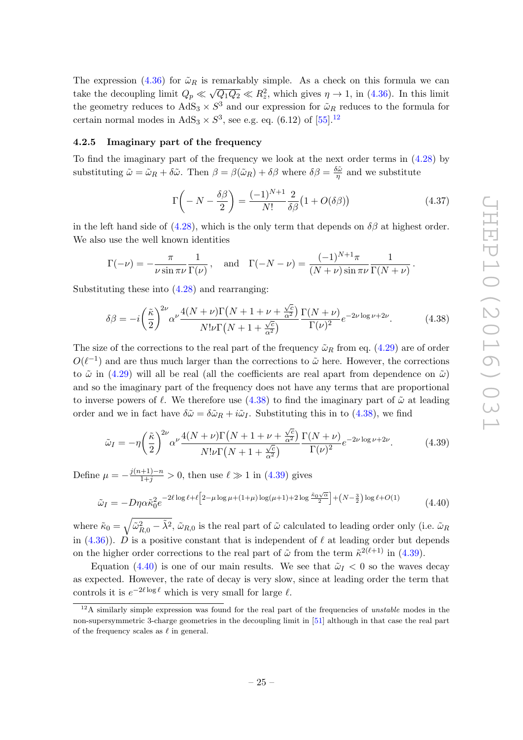The expression [\(4.36\)](#page-24-6) for  $\tilde{\omega}_R$  is remarkably simple. As a check on this formula we can take the decoupling limit  $Q_p \ll$  $\sqrt{Q_1 Q_2} \ll R_z^2$ , which gives  $\eta \to 1$ , in [\(4.36\)](#page-24-6). In this limit the geometry reduces to  $AdS_3 \times S^3$  and our expression for  $\tilde{\omega}_R$  reduces to the formula for certain normal modes in  $AdS_3 \times S^3$ , see e.g. eq. (6.12) of [\[55\]](#page-43-0).<sup>[12](#page-25-1)</sup>

#### <span id="page-25-0"></span>4.2.5 Imaginary part of the frequency

To find the imaginary part of the frequency we look at the next order terms in [\(4.28\)](#page-24-1) by substituting  $\tilde{\omega} = \tilde{\omega}_R + \delta \tilde{\omega}$ . Then  $\beta = \beta(\tilde{\omega}_R) + \delta \beta$  where  $\delta \beta = \frac{\delta \tilde{\omega}}{n}$  $\frac{\partial \omega}{\partial \eta}$  and we substitute

$$
\Gamma\left(-N - \frac{\delta\beta}{2}\right) = \frac{(-1)^{N+1}}{N!} \frac{2}{\delta\beta} \left(1 + O(\delta\beta)\right) \tag{4.37}
$$

in the left hand side of [\(4.28\)](#page-24-1), which is the only term that depends on  $\delta\beta$  at highest order. We also use the well known identities

$$
\Gamma(-\nu) = -\frac{\pi}{\nu \sin \pi \nu} \frac{1}{\Gamma(\nu)}, \text{ and } \Gamma(-N - \nu) = \frac{(-1)^{N+1} \pi}{(N+\nu) \sin \pi \nu} \frac{1}{\Gamma(N+\nu)}.
$$

Substituting these into [\(4.28\)](#page-24-1) and rearranging:

<span id="page-25-2"></span>
$$
\delta\beta = -i\left(\frac{\tilde{\kappa}}{2}\right)^{2\nu} \alpha^{\nu} \frac{4(N+\nu)\Gamma(N+1+\nu+\frac{\sqrt{c}}{\alpha^2})}{N!\nu\Gamma(N+1+\frac{\sqrt{c}}{\alpha^2})} \frac{\Gamma(N+\nu)}{\Gamma(\nu)^2} e^{-2\nu\log\nu+2\nu}.
$$
 (4.38)

The size of the corrections to the real part of the frequency  $\tilde{\omega}_R$  from eq. [\(4.29\)](#page-24-2) are of order  $O(\ell^{-1})$  and are thus much larger than the corrections to  $\tilde{\omega}$  here. However, the corrections to  $\tilde{\omega}$  in [\(4.29\)](#page-24-2) will all be real (all the coefficients are real apart from dependence on  $\tilde{\omega}$ ) and so the imaginary part of the frequency does not have any terms that are proportional to inverse powers of  $\ell$ . We therefore use [\(4.38\)](#page-25-2) to find the imaginary part of  $\tilde{\omega}$  at leading order and we in fact have  $\delta \tilde{\omega} = \delta \tilde{\omega}_R + i \tilde{\omega}_I$ . Substituting this in to [\(4.38\)](#page-25-2), we find

<span id="page-25-3"></span>
$$
\tilde{\omega}_I = -\eta \left(\frac{\tilde{\kappa}}{2}\right)^{2\nu} \alpha^{\nu} \frac{4(N+\nu)\Gamma(N+1+\nu+\frac{\sqrt{c}}{\alpha^2})}{N!\nu\Gamma(N+1+\frac{\sqrt{c}}{\alpha^2})} \frac{\Gamma(N+\nu)}{\Gamma(\nu)^2} e^{-2\nu \log \nu + 2\nu}.
$$
\n(4.39)

Define  $\mu = -\frac{j(n+1)-n}{1+j} > 0$ , then use  $\ell \gg 1$  in [\(4.39\)](#page-25-3) gives

<span id="page-25-4"></span>
$$
\tilde{\omega}_I = -D\eta \alpha \tilde{\kappa}_0^2 e^{-2\ell \log \ell + \ell \left[2 - \mu \log \mu + (1 + \mu) \log(\mu + 1) + 2 \log \frac{\tilde{\kappa}_0 \sqrt{\alpha}}{2}\right] + (N - \frac{3}{2}) \log \ell + O(1)}
$$
\n(4.40)

where  $\tilde{\kappa}_0 = \sqrt{\tilde{\omega}_{R,0}^2 - \tilde{\lambda}^2}$ ,  $\tilde{\omega}_{R,0}$  is the real part of  $\tilde{\omega}$  calculated to leading order only (i.e.  $\tilde{\omega}_R$ in [\(4.36\)](#page-24-6)). D is a positive constant that is independent of  $\ell$  at leading order but depends on the higher order corrections to the real part of  $\tilde{\omega}$  from the term  $\tilde{\kappa}^{2(\ell+1)}$  in [\(4.39\)](#page-25-3).

Equation [\(4.40\)](#page-25-4) is one of our main results. We see that  $\tilde{\omega}_I < 0$  so the waves decay as expected. However, the rate of decay is very slow, since at leading order the term that controls it is  $e^{-2\ell \log \ell}$  which is very small for large  $\ell$ .

<span id="page-25-1"></span> $12A$  similarly simple expression was found for the real part of the frequencies of *unstable* modes in the non-supersymmetric 3-charge geometries in the decoupling limit in [\[51\]](#page-42-17) although in that case the real part of the frequency scales as  $\ell$  in general.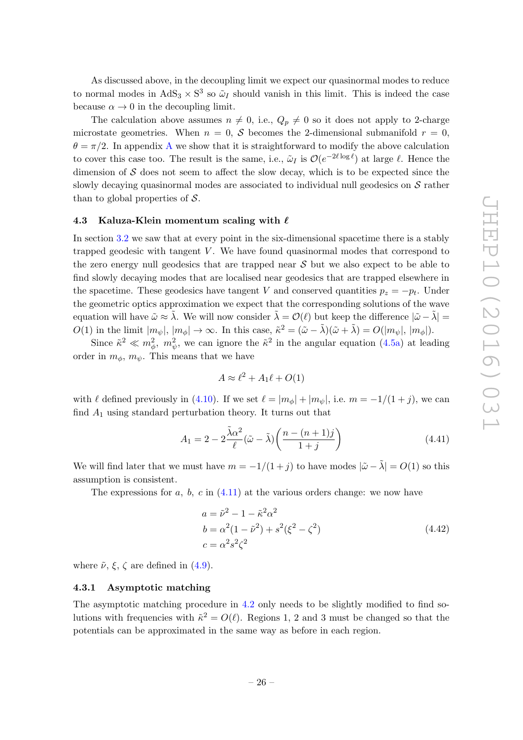As discussed above, in the decoupling limit we expect our quasinormal modes to reduce to normal modes in  $AdS_3 \times S^3$  so  $\tilde{\omega}_I$  should vanish in this limit. This is indeed the case because  $\alpha \rightarrow 0$  in the decoupling limit.

The calculation above assumes  $n \neq 0$ , i.e.,  $Q_p \neq 0$  so it does not apply to 2-charge microstate geometries. When  $n = 0$ , S becomes the 2-dimensional submanifold  $r = 0$ ,  $\theta = \pi/2$ . In appendix [A](#page-35-0) we show that it is straightforward to modify the above calculation to cover this case too. The result is the same, i.e.,  $\tilde{\omega}_I$  is  $\mathcal{O}(e^{-2\ell \log \ell})$  at large  $\ell$ . Hence the dimension of  $\mathcal S$  does not seem to affect the slow decay, which is to be expected since the slowly decaying quasinormal modes are associated to individual null geodesics on  $S$  rather than to global properties of  $S$ .

#### <span id="page-26-0"></span>4.3 Kaluza-Klein momentum scaling with  $\ell$

In section [3.2](#page-17-0) we saw that at every point in the six-dimensional spacetime there is a stably trapped geodesic with tangent  $V$ . We have found quasinormal modes that correspond to the zero energy null geodesics that are trapped near  $S$  but we also expect to be able to find slowly decaying modes that are localised near geodesics that are trapped elsewhere in the spacetime. These geodesics have tangent V and conserved quantities  $p_z = -p_t$ . Under the geometric optics approximation we expect that the corresponding solutions of the wave equation will have  $\tilde{\omega} \approx \tilde{\lambda}$ . We will now consider  $\tilde{\lambda} = \mathcal{O}(\ell)$  but keep the difference  $|\tilde{\omega} - \tilde{\lambda}| =$  $O(1)$  in the limit  $|m_{\psi}|$ ,  $|m_{\phi}| \to \infty$ . In this case,  $\tilde{\kappa}^2 = (\tilde{\omega} - \tilde{\lambda})(\tilde{\omega} + \tilde{\lambda}) = O(|m_{\psi}|, |m_{\phi}|)$ .

Since  $\tilde{\kappa}^2 \ll m_{\phi}^2$ ,  $m_{\psi}^2$ , we can ignore the  $\tilde{\kappa}^2$  in the angular equation [\(4.5a\)](#page-20-2) at leading order in  $m_{\phi}$ ,  $m_{\psi}$ . This means that we have

$$
A \approx \ell^2 + A_1 \ell + O(1)
$$

with  $\ell$  defined previously in [\(4.10\)](#page-20-3). If we set  $\ell = |m_{\phi}| + |m_{\psi}|$ , i.e.  $m = -1/(1 + j)$ , we can find  $A_1$  using standard perturbation theory. It turns out that

$$
A_1 = 2 - 2\frac{\tilde{\lambda}\alpha^2}{\ell}(\tilde{\omega} - \tilde{\lambda})\left(\frac{n - (n+1)j}{1+j}\right)
$$
\n(4.41)

We will find later that we must have  $m = -1/(1 + i)$  to have modes  $|\tilde{\omega} - \tilde{\lambda}| = O(1)$  so this assumption is consistent.

The expressions for a, b, c in  $(4.11)$  at the various orders change: we now have

$$
a = \tilde{\nu}^2 - 1 - \tilde{\kappa}^2 \alpha^2
$$
  
\n
$$
b = \alpha^2 (1 - \tilde{\nu}^2) + s^2 (\xi^2 - \zeta^2)
$$
  
\n
$$
c = \alpha^2 s^2 \zeta^2
$$
\n(4.42)

where  $\tilde{\nu}$ ,  $\xi$ ,  $\zeta$  are defined in [\(4.9\)](#page-20-4).

## <span id="page-26-1"></span>4.3.1 Asymptotic matching

The asymptotic matching procedure in [4.2](#page-20-0) only needs to be slightly modified to find solutions with frequencies with  $\tilde{\kappa}^2 = O(\ell)$ . Regions 1, 2 and 3 must be changed so that the potentials can be approximated in the same way as before in each region.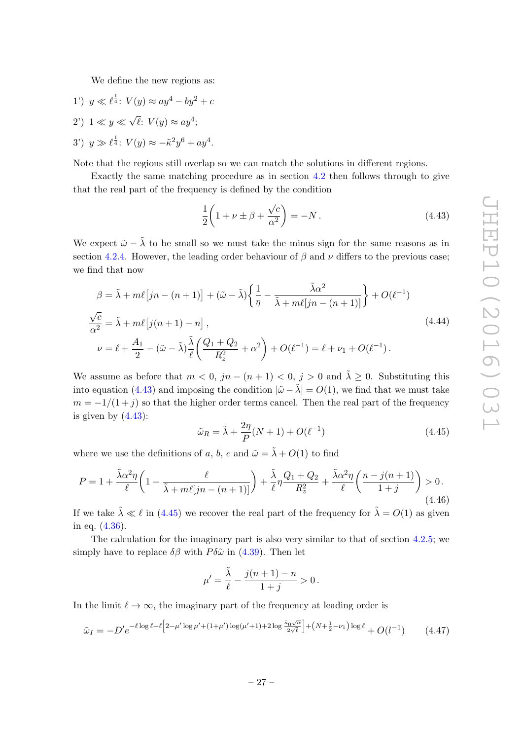We define the new regions as:

1')  $y \ll \ell^{\frac{1}{4}}$ :  $V(y) \approx ay^4 - by^2 + c$ 2')  $1 \ll y \ll$  $\sqrt{\ell}$ :  $V(y) \approx ay^4$ ; 3')  $y \gg \ell^{\frac{1}{4}}$ :  $V(y) \approx -\tilde{\kappa}^2 y^6 + ay^4$ .

Note that the regions still overlap so we can match the solutions in different regions.

Exactly the same matching procedure as in section [4.2](#page-20-0) then follows through to give that the real part of the frequency is defined by the condition

<span id="page-27-0"></span>
$$
\frac{1}{2}\left(1+\nu\pm\beta+\frac{\sqrt{c}}{\alpha^2}\right)=-N.\tag{4.43}
$$

We expect  $\tilde{\omega} - \tilde{\lambda}$  to be small so we must take the minus sign for the same reasons as in section [4.2.4.](#page-24-0) However, the leading order behaviour of  $\beta$  and  $\nu$  differs to the previous case; we find that now

<span id="page-27-2"></span>
$$
\beta = \tilde{\lambda} + m\ell \left[ jn - (n+1) \right] + (\tilde{\omega} - \tilde{\lambda}) \left\{ \frac{1}{\eta} - \frac{\tilde{\lambda} \alpha^2}{\tilde{\lambda} + m\ell \left[ jn - (n+1) \right]} \right\} + O(\ell^{-1})
$$
  

$$
\frac{\sqrt{c}}{\alpha^2} = \tilde{\lambda} + m\ell \left[ j(n+1) - n \right],
$$
  

$$
\nu = \ell + \frac{A_1}{2} - (\tilde{\omega} - \tilde{\lambda}) \frac{\tilde{\lambda}}{\ell} \left( \frac{Q_1 + Q_2}{R_z^2} + \alpha^2 \right) + O(\ell^{-1}) = \ell + \nu_1 + O(\ell^{-1}).
$$
  
(4.44)

We assume as before that  $m < 0$ ,  $jn - (n + 1) < 0$ ,  $j > 0$  and  $\tilde{\lambda} \ge 0$ . Substituting this into equation [\(4.43\)](#page-27-0) and imposing the condition  $|\tilde{\omega} - \tilde{\lambda}| = O(1)$ , we find that we must take  $m = -1/(1+j)$  so that the higher order terms cancel. Then the real part of the frequency is given by  $(4.43)$ :

<span id="page-27-1"></span>
$$
\tilde{\omega}_R = \tilde{\lambda} + \frac{2\eta}{P}(N+1) + O(\ell^{-1})\tag{4.45}
$$

where we use the definitions of a, b, c and  $\tilde{\omega} = \tilde{\lambda} + O(1)$  to find

$$
P = 1 + \frac{\tilde{\lambda}\alpha^2\eta}{\ell} \left( 1 - \frac{\ell}{\tilde{\lambda} + m\ell[jn - (n+1)]} \right) + \frac{\tilde{\lambda}}{\ell} \eta \frac{Q_1 + Q_2}{R_z^2} + \frac{\tilde{\lambda}\alpha^2\eta}{\ell} \left( \frac{n - j(n+1)}{1 + j} \right) > 0. \tag{4.46}
$$

If we take  $\tilde{\lambda} \ll \ell$  in [\(4.45\)](#page-27-1) we recover the real part of the frequency for  $\tilde{\lambda} = O(1)$  as given in eq. [\(4.36\)](#page-24-6).

The calculation for the imaginary part is also very similar to that of section [4.2.5;](#page-25-0) we simply have to replace  $\delta\beta$  with  $P\delta\tilde{\omega}$  in [\(4.39\)](#page-25-3). Then let

$$
\mu' = \frac{\tilde{\lambda}}{\ell} - \frac{j(n+1) - n}{1 + j} > 0.
$$

In the limit  $\ell \to \infty$ , the imaginary part of the frequency at leading order is

<span id="page-27-3"></span>
$$
\tilde{\omega}_I = -D'e^{-\ell \log \ell + \ell \left[2 - \mu' \log \mu' + (1 + \mu') \log(\mu' + 1) + 2 \log \frac{\tilde{\kappa}_0 \sqrt{\alpha}}{2\sqrt{\ell}}\right] + (N + \frac{1}{2} - \nu_1) \log \ell} + O(l^{-1})\tag{4.47}
$$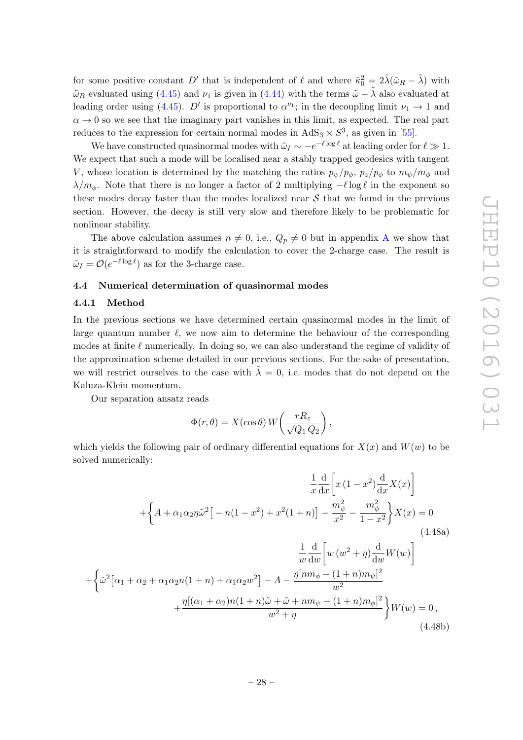for some positive constant D' that is independent of  $\ell$  and where  $\tilde{\kappa}_0^2 = 2\tilde{\lambda}(\tilde{\omega}_R - \tilde{\lambda})$  with  $\tilde{\omega}_R$  evaluated using [\(4.45\)](#page-27-1) and  $\nu_1$  is given in [\(4.44\)](#page-27-2) with the terms  $\tilde{\omega} - \tilde{\lambda}$  also evaluated at leading order using [\(4.45\)](#page-27-1). D' is proportional to  $\alpha^{\nu_1}$ ; in the decoupling limit  $\nu_1 \to 1$  and  $\alpha \to 0$  so we see that the imaginary part vanishes in this limit, as expected. The real part reduces to the expression for certain normal modes in  $AdS_3 \times S^3$ , as given in [\[55\]](#page-43-0).

We have constructed quasinormal modes with  $\tilde{\omega}_I \sim -e^{-\ell \log \ell}$  at leading order for  $\ell \gg 1$ . We expect that such a mode will be localised near a stably trapped geodesics with tangent V, whose location is determined by the matching the ratios  $p_{\psi}/p_{\phi}$ ,  $p_{z}/p_{\phi}$  to  $m_{\psi}/m_{\phi}$  and  $\lambda/m_\phi$ . Note that there is no longer a factor of 2 multiplying  $-\ell \log \ell$  in the exponent so these modes decay faster than the modes localized near  $S$  that we found in the previous section. However, the decay is still very slow and therefore likely to be problematic for nonlinear stability.

The above calculation assumes  $n \neq 0$ , i.e.,  $Q_p \neq 0$  but in appendix [A](#page-35-0) we show that it is straightforward to modify the calculation to cover the 2-charge case. The result is  $\tilde{\omega}_I = \mathcal{O}(e^{-\ell \log \ell})$  as for the 3-charge case.

# <span id="page-28-0"></span>4.4 Numerical determination of quasinormal modes

# <span id="page-28-1"></span>4.4.1 Method

In the previous sections we have determined certain quasinormal modes in the limit of large quantum number  $\ell$ , we now aim to determine the behaviour of the corresponding modes at finite  $\ell$  numerically. In doing so, we can also understand the regime of validity of the approximation scheme detailed in our previous sections. For the sake of presentation, we will restrict ourselves to the case with  $\lambda = 0$ , i.e. modes that do not depend on the Kaluza-Klein momentum.

Our separation ansatz reads

<span id="page-28-3"></span><span id="page-28-2"></span>
$$
\Phi(r,\theta) = X(\cos\theta) W\left(\frac{rR_z}{\sqrt{Q_1 Q_2}}\right),\,
$$

which yields the following pair of ordinary differential equations for  $X(x)$  and  $W(w)$  to be solved numerically:

$$
\frac{1}{x}\frac{d}{dx}\left[x(1-x^{2})\frac{d}{dx}X(x)\right]
$$
  
+
$$
\left\{A + \alpha_{1}\alpha_{2}\eta\tilde{\omega}^{2}\left[-n(1-x^{2}) + x^{2}(1+n)\right] - \frac{m_{\psi}^{2}}{x^{2}} - \frac{m_{\phi}^{2}}{1-x^{2}}\right\}X(x) = 0
$$
  
(4.48a)  
+
$$
\left\{\tilde{\omega}^{2}\left[\alpha_{1} + \alpha_{2} + \alpha_{1}\alpha_{2}n(1+n) + \alpha_{1}\alpha_{2}w^{2}\right] - A - \frac{\eta[nm_{\phi} - (1+n)m_{\psi}]^{2}}{w^{2}} + \frac{\eta[(\alpha_{1} + \alpha_{2})n(1+n)\tilde{\omega} + \tilde{\omega} + nm_{\psi} - (1+n)m_{\phi}]^{2}}{w^{2} + \eta}\right\}W(w) = 0,
$$
  
(4.48b)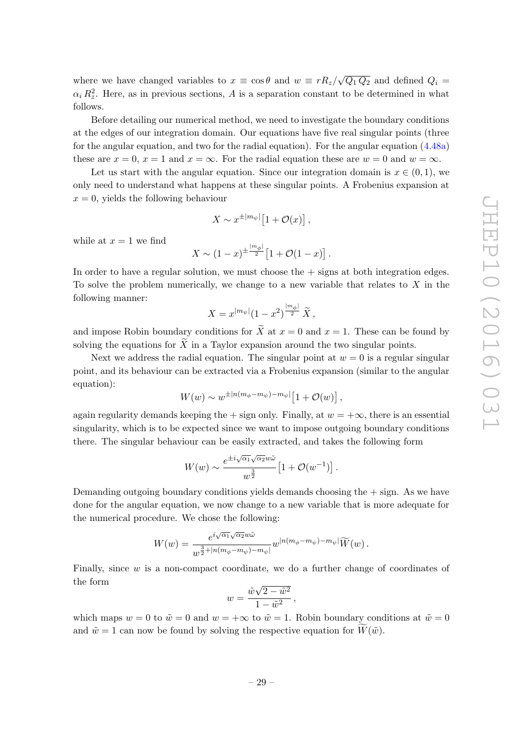where we have changed variables to  $x \equiv \cos \theta$  and  $w \equiv rR_z$ √  $\overline{Q_1 Q_2}$  and defined  $Q_i =$  $\alpha_i R_z^2$ . Here, as in previous sections, A is a separation constant to be determined in what follows.

Before detailing our numerical method, we need to investigate the boundary conditions at the edges of our integration domain. Our equations have five real singular points (three for the angular equation, and two for the radial equation). For the angular equation [\(4.48a\)](#page-28-2) these are  $x = 0$ ,  $x = 1$  and  $x = \infty$ . For the radial equation these are  $w = 0$  and  $w = \infty$ .

Let us start with the angular equation. Since our integration domain is  $x \in (0,1)$ , we only need to understand what happens at these singular points. A Frobenius expansion at  $x = 0$ , yields the following behaviour

$$
X \sim x^{\pm |m_{\psi}|} [1 + \mathcal{O}(x)],
$$

while at  $x = 1$  we find

$$
X \sim (1-x)^{\pm \frac{|m_{\phi}|}{2}} [1 + \mathcal{O}(1-x)].
$$

In order to have a regular solution, we must choose the + signs at both integration edges. To solve the problem numerically, we change to a new variable that relates to  $X$  in the following manner:

$$
X = x^{|m_{\psi}|} (1 - x^2)^{\frac{|m_{\phi}|}{2}} \widetilde{X},
$$

and impose Robin boundary conditions for  $\widetilde{X}$  at  $x = 0$  and  $x = 1$ . These can be found by solving the equations for  $\widetilde{X}$  in a Taylor expansion around the two singular points.

Next we address the radial equation. The singular point at  $w = 0$  is a regular singular point, and its behaviour can be extracted via a Frobenius expansion (similar to the angular equation):

$$
W(w) \sim w^{\pm |n(m_{\phi} - m_{\psi}) - m_{\psi}|} [1 + \mathcal{O}(w)],
$$

again regularity demands keeping the  $+$  sign only. Finally, at  $w = +\infty$ , there is an essential singularity, which is to be expected since we want to impose outgoing boundary conditions there. The singular behaviour can be easily extracted, and takes the following form

$$
W(w) \sim \frac{e^{\pm i\sqrt{\alpha_1}\sqrt{\alpha_2}w\tilde{\omega}}}{w^{\frac{3}{2}}} \left[1 + \mathcal{O}(w^{-1})\right].
$$

Demanding outgoing boundary conditions yields demands choosing the  $+$  sign. As we have done for the angular equation, we now change to a new variable that is more adequate for the numerical procedure. We chose the following:

$$
W(w) = \frac{e^{i\sqrt{\alpha_1}\sqrt{\alpha_2}w\tilde{\omega}}}{w^{\frac{3}{2}+|n(m_{\phi}-m_{\psi})-m_{\psi}|}} w^{|n(m_{\phi}-m_{\psi})-m_{\psi}|} \widetilde{W}(w).
$$

Finally, since  $w$  is a non-compact coordinate, we do a further change of coordinates of the form √

$$
w = \frac{\tilde{w}\sqrt{2 - \tilde{w}^2}}{1 - \tilde{w}^2},
$$

which maps  $w = 0$  to  $\tilde{w} = 0$  and  $w = +\infty$  to  $\tilde{w} = 1$ . Robin boundary conditions at  $\tilde{w} = 0$ and  $\tilde{w} = 1$  can now be found by solving the respective equation for  $\tilde{W}(\tilde{w})$ .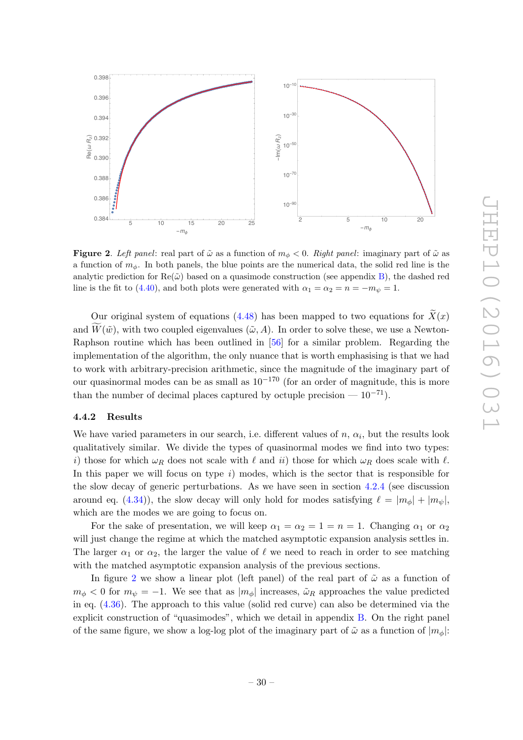

<span id="page-30-1"></span>**Figure 2.** Left panel: real part of  $\tilde{\omega}$  as a function of  $m_{\phi} < 0$ . Right panel: imaginary part of  $\tilde{\omega}$  as a function of  $m_{\phi}$ . In both panels, the blue points are the numerical data, the solid red line is the analytic prediction for  $\text{Re}(\tilde{\omega})$  based on a quasimode construction (see appendix [B\)](#page-38-1), the dashed red line is the fit to [\(4.40\)](#page-25-4), and both plots were generated with  $\alpha_1 = \alpha_2 = n = -m_{\psi} = 1$ .

Our original system of equations [\(4.48\)](#page-28-3) has been mapped to two equations for  $X(x)$ and  $W(\tilde w)$ , with two coupled eigenvalues  $(\tilde \omega, A)$ . In order to solve these, we use a Newton-Raphson routine which has been outlined in [\[56\]](#page-43-1) for a similar problem. Regarding the implementation of the algorithm, the only nuance that is worth emphasising is that we had to work with arbitrary-precision arithmetic, since the magnitude of the imaginary part of our quasinormal modes can be as small as  $10^{-170}$  (for an order of magnitude, this is more than the number of decimal places captured by octuple precision —  $10^{-71}$ ).

# <span id="page-30-0"></span>4.4.2 Results

We have varied parameters in our search, i.e. different values of  $n, \alpha_i$ , but the results look qualitatively similar. We divide the types of quasinormal modes we find into two types: i) those for which  $\omega_R$  does not scale with  $\ell$  and ii) those for which  $\omega_R$  does scale with  $\ell$ . In this paper we will focus on type  $i$ ) modes, which is the sector that is responsible for the slow decay of generic perturbations. As we have seen in section [4.2.4](#page-24-0) (see discussion around eq. [\(4.34\)](#page-24-7)), the slow decay will only hold for modes satisfying  $\ell = |m_{\phi}| + |m_{\psi}|$ , which are the modes we are going to focus on.

For the sake of presentation, we will keep  $\alpha_1 = \alpha_2 = 1 = n = 1$ . Changing  $\alpha_1$  or  $\alpha_2$ will just change the regime at which the matched asymptotic expansion analysis settles in. The larger  $\alpha_1$  or  $\alpha_2$ , the larger the value of  $\ell$  we need to reach in order to see matching with the matched asymptotic expansion analysis of the previous sections.

In figure [2](#page-30-1) we show a linear plot (left panel) of the real part of  $\tilde{\omega}$  as a function of  $m_{\phi} < 0$  for  $m_{\psi} = -1$ . We see that as  $|m_{\phi}|$  increases,  $\tilde{\omega}_R$  approaches the value predicted in eq. [\(4.36\)](#page-24-6). The approach to this value (solid red curve) can also be determined via the explicit construction of "quasimodes", which we detail in appendix [B.](#page-38-1) On the right panel of the same figure, we show a log-log plot of the imaginary part of  $\tilde{\omega}$  as a function of  $|m_{\phi}|$ :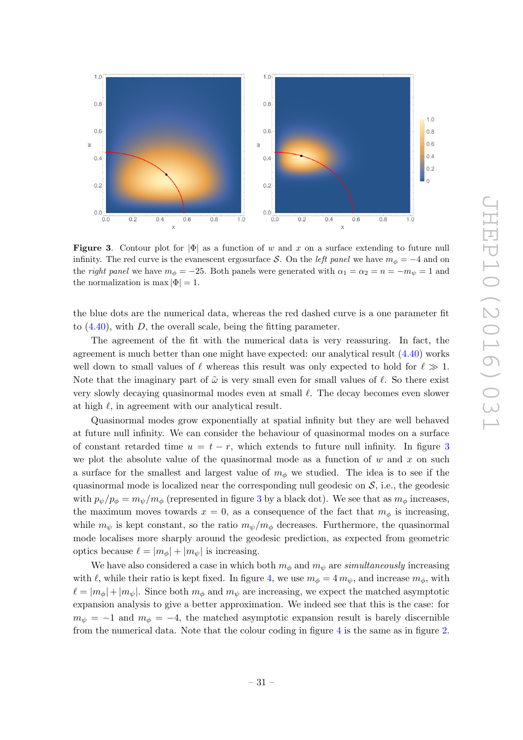

<span id="page-31-0"></span>**Figure 3.** Contour plot for  $|\Phi|$  as a function of w and x on a surface extending to future null infinity. The red curve is the evanescent ergosurface S. On the *left panel* we have  $m_{\phi} = -4$  and on the *right panel* we have  $m_{\phi} = -25$ . Both panels were generated with  $\alpha_1 = \alpha_2 = n = -m_{\psi} = 1$  and the normalization is max  $|\Phi|=1$ .

the blue dots are the numerical data, whereas the red dashed curve is a one parameter fit to  $(4.40)$ , with D, the overall scale, being the fitting parameter.

The agreement of the fit with the numerical data is very reassuring. In fact, the agreement is much better than one might have expected: our analytical result [\(4.40\)](#page-25-4) works well down to small values of  $\ell$  whereas this result was only expected to hold for  $\ell \gg 1$ . Note that the imaginary part of  $\tilde{\omega}$  is very small even for small values of  $\ell$ . So there exist very slowly decaying quasinormal modes even at small  $\ell$ . The decay becomes even slower at high  $\ell$ , in agreement with our analytical result.

Quasinormal modes grow exponentially at spatial infinity but they are well behaved at future null infinity. We can consider the behaviour of quasinormal modes on a surface of constant retarded time  $u = t - r$ , which extends to future null infinity. In figure [3](#page-31-0) we plot the absolute value of the quasinormal mode as a function of  $w$  and  $x$  on such a surface for the smallest and largest value of  $m_{\phi}$  we studied. The idea is to see if the quasinormal mode is localized near the corresponding null geodesic on  $S$ , i.e., the geodesic with  $p_{\psi}/p_{\phi} = m_{\psi}/m_{\phi}$  (represented in figure [3](#page-31-0) by a black dot). We see that as  $m_{\phi}$  increases, the maximum moves towards  $x = 0$ , as a consequence of the fact that  $m_{\phi}$  is increasing, while  $m_{\psi}$  is kept constant, so the ratio  $m_{\psi}/m_{\phi}$  decreases. Furthermore, the quasinormal mode localises more sharply around the geodesic prediction, as expected from geometric optics because  $\ell = |m_{\phi}| + |m_{\psi}|$  is increasing.

We have also considered a case in which both  $m_{\phi}$  and  $m_{\psi}$  are simultaneously increasing with  $\ell$ , while their ratio is kept fixed. In figure [4,](#page-32-0) we use  $m_{\phi} = 4 m_{\psi}$ , and increase  $m_{\phi}$ , with  $\ell = |m_{\phi}|+|m_{\psi}|$ . Since both  $m_{\phi}$  and  $m_{\psi}$  are increasing, we expect the matched asymptotic expansion analysis to give a better approximation. We indeed see that this is the case: for  $m_{\psi} = -1$  and  $m_{\phi} = -4$ , the matched asymptotic expansion result is barely discernible from the numerical data. Note that the colour coding in figure [4](#page-32-0) is the same as in figure [2.](#page-30-1)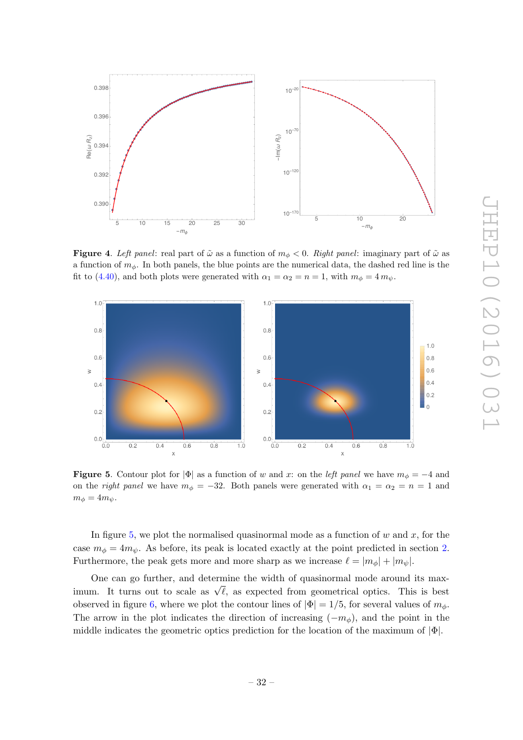

<span id="page-32-0"></span>**Figure 4.** Left panel: real part of  $\tilde{\omega}$  as a function of  $m_{\phi} < 0$ . Right panel: imaginary part of  $\tilde{\omega}$  as a function of  $m_{\phi}$ . In both panels, the blue points are the numerical data, the dashed red line is the fit to (4.40), and both plots were generated with  $\alpha_1 = \alpha_2 = n = 1$ , with  $m_{\phi} = 4 m_{\psi}$ .



<span id="page-32-1"></span>**Figure 5.** Contour plot for  $|\Phi|$  as a function of w and x: on the *left panel* we have  $m_{\phi} = -4$  and on the *right panel* we have  $m_{\phi} = -32$ . Both panels were generated with  $\alpha_1 = \alpha_2 = n = 1$  and  $m_{\phi} = 4m_{\psi}.$ 

In figure 5, we plot the normalised quasinormal mode as a function of  $w$  and  $x$ , for the case  $m_{\phi} = 4m_{\psi}$ . As before, its peak is located exactly at the point predicted in section 2. Furthermore, the peak gets more and more sharp as we increase  $\ell = |m_{\phi}| + |m_{\psi}|$ .

One can go further, and determine the width of quasinormal mode around its maximum. It turns out to scale as  $\sqrt{\ell}$ , as expected from geometrical optics. This is best observed in figure 6, where we plot the contour lines of  $|\Phi| = 1/5$ , for several values of  $m_{\phi}$ . The arrow in the plot indicates the direction of increasing  $(-m_{\phi})$ , and the point in the middle indicates the geometric optics prediction for the location of the maximum of  $|\Phi|$ .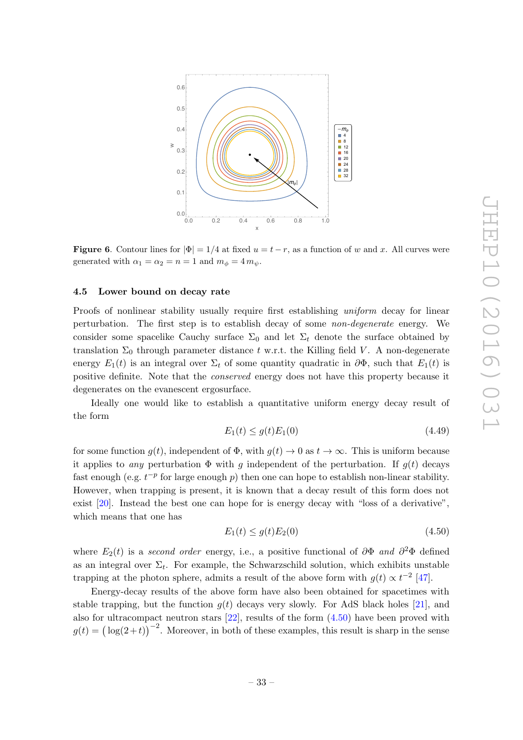

<span id="page-33-1"></span>Figure 6. Contour lines for  $|\Phi| = 1/4$  at fixed  $u = t - r$ , as a function of w and x. All curves were generated with  $\alpha_1 = \alpha_2 = n = 1$  and  $m_{\phi} = 4 m_{\psi}$ .

#### <span id="page-33-0"></span>4.5 Lower bound on decay rate

Proofs of nonlinear stability usually require first establishing *uniform* decay for linear perturbation. The first step is to establish decay of some non-degenerate energy. We consider some spacelike Cauchy surface  $\Sigma_0$  and let  $\Sigma_t$  denote the surface obtained by translation  $\Sigma_0$  through parameter distance t w.r.t. the Killing field V. A non-degenerate energy  $E_1(t)$  is an integral over  $\Sigma_t$  of some quantity quadratic in  $\partial \Phi$ , such that  $E_1(t)$  is positive definite. Note that the conserved energy does not have this property because it degenerates on the evanescent ergosurface.

Ideally one would like to establish a quantitative uniform energy decay result of the form

$$
E_1(t) \le g(t)E_1(0) \tag{4.49}
$$

for some function  $g(t)$ , independent of  $\Phi$ , with  $g(t) \to 0$  as  $t \to \infty$ . This is uniform because it applies to any perturbation  $\Phi$  with g independent of the perturbation. If  $g(t)$  decays fast enough (e.g.  $t^{-p}$  for large enough p) then one can hope to establish non-linear stability. However, when trapping is present, it is known that a decay result of this form does not exist [\[20\]](#page-41-2). Instead the best one can hope for is energy decay with "loss of a derivative", which means that one has

<span id="page-33-2"></span>
$$
E_1(t) \le g(t)E_2(0) \tag{4.50}
$$

where  $E_2(t)$  is a second order energy, i.e., a positive functional of  $\partial \Phi$  and  $\partial^2 \Phi$  defined as an integral over  $\Sigma_t$ . For example, the Schwarzschild solution, which exhibits unstable trapping at the photon sphere, admits a result of the above form with  $g(t) \propto t^{-2}$  [\[47\]](#page-42-11).

Energy-decay results of the above form have also been obtained for spacetimes with stable trapping, but the function  $g(t)$  decays very slowly. For AdS black holes [\[21\]](#page-41-3), and also for ultracompact neutron stars  $[22]$ , results of the form  $(4.50)$  have been proved with  $g(t) = (\log(2+t))^{-2}$ . Moreover, in both of these examples, this result is sharp in the sense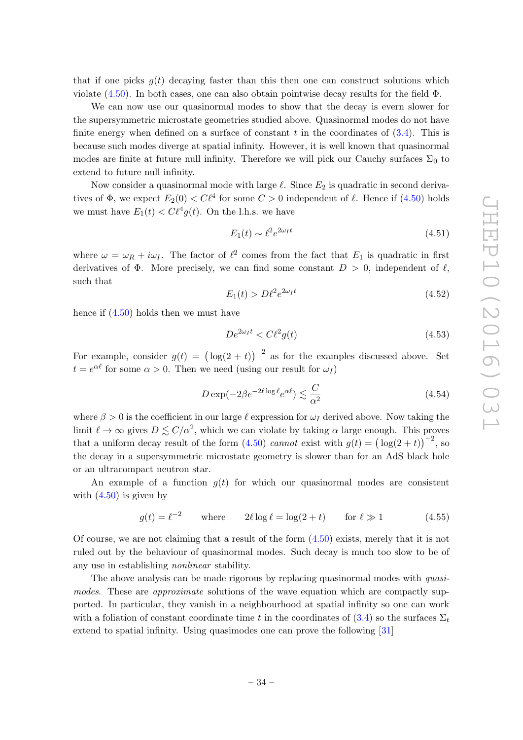that if one picks  $q(t)$  decaying faster than this then one can construct solutions which violate  $(4.50)$ . In both cases, one can also obtain pointwise decay results for the field  $\Phi$ .

We can now use our quasinormal modes to show that the decay is evern slower for the supersymmetric microstate geometries studied above. Quasinormal modes do not have finite energy when defined on a surface of constant t in the coordinates of  $(3.4)$ . This is because such modes diverge at spatial infinity. However, it is well known that quasinormal modes are finite at future null infinity. Therefore we will pick our Cauchy surfaces  $\Sigma_0$  to extend to future null infinity.

Now consider a quasinormal mode with large  $\ell$ . Since  $E_2$  is quadratic in second derivatives of  $\Phi$ , we expect  $E_2(0) < C\ell^4$  for some  $C > 0$  independent of  $\ell$ . Hence if  $(4.50)$  holds we must have  $E_1(t) < C\ell^4 g(t)$ . On the l.h.s. we have

$$
E_1(t) \sim \ell^2 e^{2\omega_I t} \tag{4.51}
$$

where  $\omega = \omega_R + i\omega_I$ . The factor of  $\ell^2$  comes from the fact that  $E_1$  is quadratic in first derivatives of  $\Phi$ . More precisely, we can find some constant  $D > 0$ , independent of  $\ell$ , such that

$$
E_1(t) > D\ell^2 e^{2\omega_I t} \tag{4.52}
$$

hence if  $(4.50)$  holds then we must have

$$
De^{2\omega_I t} < C\ell^2 g(t) \tag{4.53}
$$

For example, consider  $g(t) = (\log(2 + t))^{-2}$  as for the examples discussed above. Set  $t = e^{\alpha \ell}$  for some  $\alpha > 0$ . Then we need (using our result for  $\omega_I$ )

$$
D\exp(-2\beta e^{-2\ell\log\ell}e^{\alpha\ell}) \lesssim \frac{C}{\alpha^2} \tag{4.54}
$$

where  $\beta > 0$  is the coefficient in our large  $\ell$  expression for  $\omega_I$  derived above. Now taking the limit  $\ell \to \infty$  gives  $D \lesssim C/\alpha^2$ , which we can violate by taking  $\alpha$  large enough. This proves that a uniform decay result of the form  $(4.50)$  cannot exist with  $g(t) = (\log(2+t))^{-2}$ , so the decay in a supersymmetric microstate geometry is slower than for an AdS black hole or an ultracompact neutron star.

An example of a function  $q(t)$  for which our quasinormal modes are consistent with  $(4.50)$  is given by

$$
g(t) = \ell^{-2} \qquad \text{where} \qquad 2\ell \log \ell = \log(2+t) \qquad \text{for } \ell \gg 1 \tag{4.55}
$$

Of course, we are not claiming that a result of the form  $(4.50)$  exists, merely that it is not ruled out by the behaviour of quasinormal modes. Such decay is much too slow to be of any use in establishing nonlinear stability.

The above analysis can be made rigorous by replacing quasinormal modes with *quasi*modes. These are *approximate* solutions of the wave equation which are compactly supported. In particular, they vanish in a neighbourhood at spatial infinity so one can work with a foliation of constant coordinate time t in the coordinates of  $(3.4)$  so the surfaces  $\Sigma_t$ extend to spatial infinity. Using quasimodes one can prove the following [\[31\]](#page-41-13)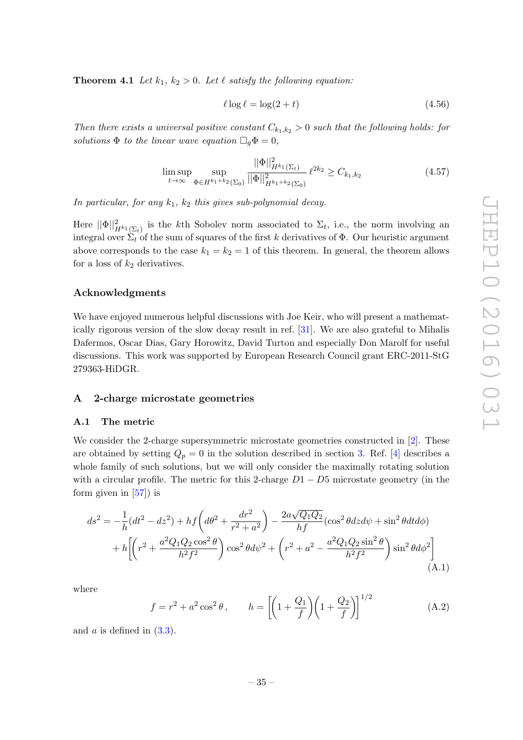**Theorem 4.1** Let  $k_1$ ,  $k_2 > 0$ . Let  $\ell$  satisfy the following equation:

$$
\ell \log \ell = \log(2 + t) \tag{4.56}
$$

Then there exists a universal positive constant  $C_{k_1,k_2} > 0$  such that the following holds: for solutions  $\Phi$  to the linear wave equation  $\Box_q \Phi = 0$ ,

$$
\limsup_{t \to \infty} \sup_{\Phi \in H^{k_1+k_2}(\Sigma_0)} \frac{||\Phi||^2_{H^{k_1}(\Sigma_t)}}{||\Phi||^2_{H^{k_1+k_2}(\Sigma_0)}} \ell^{2k_2} \ge C_{k_1,k_2}
$$
\n(4.57)

In particular, for any  $k_1$ ,  $k_2$  this gives sub-polynomial decay.

Here  $||\Phi||_{H^{k_1}(\Sigma_t)}^2$  is the kth Sobolev norm associated to  $\Sigma_t$ , i.e., the norm involving an integral over  $\sum_{t=0}^{k}$  of the sum of squares of the first k derivatives of  $\Phi$ . Our heuristic argument above corresponds to the case  $k_1 = k_2 = 1$  of this theorem. In general, the theorem allows for a loss of  $k_2$  derivatives.

# Acknowledgments

We have enjoyed numerous helpful discussions with Joe Keir, who will present a mathematically rigorous version of the slow decay result in ref. [\[31\]](#page-41-13). We are also grateful to Mihalis Dafermos, Oscar Dias, Gary Horowitz, David Turton and especially Don Marolf for useful discussions. This work was supported by European Research Council grant ERC-2011-StG 279363-HiDGR.

#### <span id="page-35-0"></span>A 2-charge microstate geometries

#### <span id="page-35-1"></span>A.1 The metric

We consider the 2-charge supersymmetric microstate geometries constructed in [\[2\]](#page-40-10). These are obtained by setting  $Q_p = 0$  in the solution described in section [3.](#page-16-0) Ref. [\[4\]](#page-40-14) describes a whole family of such solutions, but we will only consider the maximally rotating solution with a circular profile. The metric for this 2-charge  $D1 - D5$  microstate geometry (in the form given in  $[57]$  is

<span id="page-35-2"></span>
$$
ds^{2} = -\frac{1}{h}(dt^{2} - dz^{2}) + hf \left(d\theta^{2} + \frac{dr^{2}}{r^{2} + a^{2}}\right) - \frac{2a\sqrt{Q_{1}Q_{2}}}{hf}(\cos^{2}\theta dz d\psi + \sin^{2}\theta dt d\phi) + h \left[\left(r^{2} + \frac{a^{2}Q_{1}Q_{2}\cos^{2}\theta}{h^{2}f^{2}}\right)\cos^{2}\theta d\psi^{2} + \left(r^{2} + a^{2} - \frac{a^{2}Q_{1}Q_{2}\sin^{2}\theta}{h^{2}f^{2}}\right)\sin^{2}\theta d\phi^{2}\right]
$$
(A.1)

where

$$
f = r^2 + a^2 \cos^2 \theta
$$
,  $h = \left[ \left( 1 + \frac{Q_1}{f} \right) \left( 1 + \frac{Q_2}{f} \right) \right]^{1/2}$  (A.2)

and a is defined in  $(3.3)$ .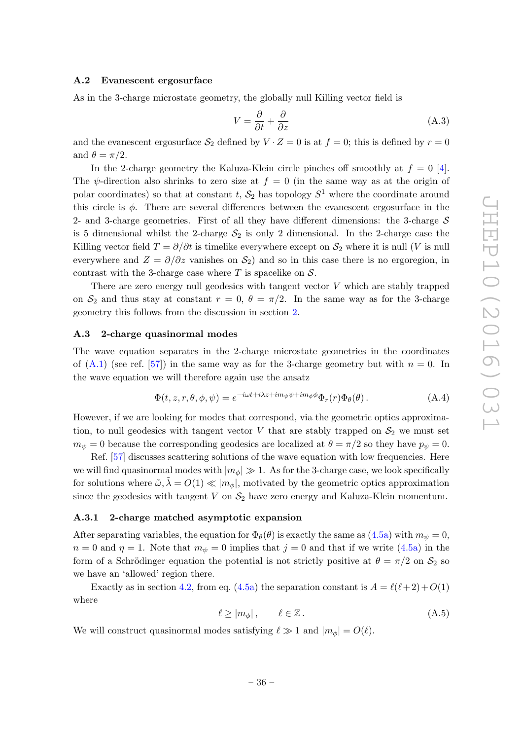#### <span id="page-36-0"></span>A.2 Evanescent ergosurface

As in the 3-charge microstate geometry, the globally null Killing vector field is

$$
V = \frac{\partial}{\partial t} + \frac{\partial}{\partial z} \tag{A.3}
$$

and the evanescent ergosurface  $S_2$  defined by  $V \cdot Z = 0$  is at  $f = 0$ ; this is defined by  $r = 0$ and  $\theta = \pi/2$ .

In the 2-charge geometry the Kaluza-Klein circle pinches off smoothly at  $f = 0$  [\[4\]](#page-40-14). The  $\psi$ -direction also shrinks to zero size at  $f = 0$  (in the same way as at the origin of polar coordinates) so that at constant  $t, S_2$  has topology  $S<sup>1</sup>$  where the coordinate around this circle is  $\phi$ . There are several differences between the evanescent ergosurface in the 2- and 3-charge geometries. First of all they have different dimensions: the 3-charge  $S$ is 5 dimensional whilst the 2-charge  $S_2$  is only 2 dimensional. In the 2-charge case the Killing vector field  $T = \partial/\partial t$  is timelike everywhere except on  $S_2$  where it is null (V is null everywhere and  $Z = \partial/\partial z$  vanishes on  $\mathcal{S}_2$  and so in this case there is no ergoregion, in contrast with the 3-charge case where  $T$  is spacelike on  $S$ .

There are zero energy null geodesics with tangent vector  $V$  which are stably trapped on  $S_2$  and thus stay at constant  $r = 0$ ,  $\theta = \pi/2$ . In the same way as for the 3-charge geometry this follows from the discussion in section [2.](#page-6-0)

# <span id="page-36-1"></span>A.3 2-charge quasinormal modes

The wave equation separates in the 2-charge microstate geometries in the coordinates of  $(A.1)$  (see ref. [\[57\]](#page-43-2)) in the same way as for the 3-charge geometry but with  $n = 0$ . In the wave equation we will therefore again use the ansatz

$$
\Phi(t, z, r, \theta, \phi, \psi) = e^{-i\omega t + i\lambda z + im_{\psi}\psi + im_{\phi}\phi} \Phi_r(r) \Phi_{\theta}(\theta).
$$
\n(A.4)

However, if we are looking for modes that correspond, via the geometric optics approximation, to null geodesics with tangent vector  $V$  that are stably trapped on  $S_2$  we must set  $m_{\psi} = 0$  because the corresponding geodesics are localized at  $\theta = \pi/2$  so they have  $p_{\psi} = 0$ .

Ref. [\[57\]](#page-43-2) discusses scattering solutions of the wave equation with low frequencies. Here we will find quasinormal modes with  $|m_{\phi}| \gg 1$ . As for the 3-charge case, we look specifically for solutions where  $\tilde{\omega}, \tilde{\lambda} = O(1) \ll |m_{\phi}|$ , motivated by the geometric optics approximation since the geodesics with tangent  $V$  on  $S_2$  have zero energy and Kaluza-Klein momentum.

#### <span id="page-36-2"></span>A.3.1 2-charge matched asymptotic expansion

After separating variables, the equation for  $\Phi_{\theta}(\theta)$  is exactly the same as [\(4.5a\)](#page-20-2) with  $m_{\psi} = 0$ ,  $n = 0$  and  $\eta = 1$ . Note that  $m_{\psi} = 0$  implies that  $j = 0$  and that if we write [\(4.5a\)](#page-20-2) in the form of a Schrödinger equation the potential is not strictly positive at  $\theta = \pi/2$  on  $S_2$  so we have an 'allowed' region there.

Exactly as in section [4.2,](#page-20-0) from eq. [\(4.5a\)](#page-20-2) the separation constant is  $A = \ell(\ell+2)+O(1)$ where

$$
\ell \ge |m_{\phi}|\,, \qquad \ell \in \mathbb{Z}\,.
$$

We will construct quasinormal modes satisfying  $\ell \gg 1$  and  $|m_{\phi}| = O(\ell)$ .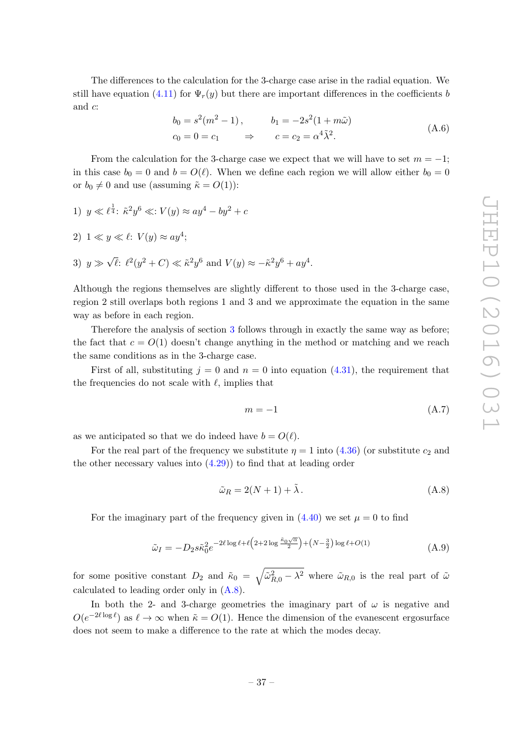The differences to the calculation for the 3-charge case arise in the radial equation. We still have equation [\(4.11\)](#page-21-1) for  $\Psi_r(y)$  but there are important differences in the coefficients b and c:

$$
b_0 = s^2(m^2 - 1),
$$
  $b_1 = -2s^2(1 + m\tilde{\omega})$   
\n $c_0 = 0 = c_1$   $\Rightarrow$   $c = c_2 = \alpha^4 \tilde{\lambda}^2.$  (A.6)

From the calculation for the 3-charge case we expect that we will have to set  $m = -1$ ; in this case  $b_0 = 0$  and  $b = O(\ell)$ . When we define each region we will allow either  $b_0 = 0$ or  $b_0 \neq 0$  and use (assuming  $\tilde{\kappa} = O(1)$ ):

1)  $y \ll \ell^{\frac{1}{4}}$ :  $\tilde{\kappa}^2 y^6 \ll : V(y) \approx ay^4 - by^2 + c$ 

2) 
$$
1 \ll y \ll \ell
$$
:  $V(y) \approx ay^4$ ;

3) 
$$
y \gg \sqrt{\ell}
$$
:  $\ell^2(y^2 + C) \ll \tilde{\kappa}^2 y^6$  and  $V(y) \approx -\tilde{\kappa}^2 y^6 + ay^4$ .

Although the regions themselves are slightly different to those used in the 3-charge case, region 2 still overlaps both regions 1 and 3 and we approximate the equation in the same way as before in each region.

Therefore the analysis of section [3](#page-16-0) follows through in exactly the same way as before; the fact that  $c = O(1)$  doesn't change anything in the method or matching and we reach the same conditions as in the 3-charge case.

First of all, substituting  $j = 0$  and  $n = 0$  into equation  $(4.31)$ , the requirement that the frequencies do not scale with  $\ell$ , implies that

$$
m = -1 \tag{A.7}
$$

as we anticipated so that we do indeed have  $b = O(\ell)$ .

For the real part of the frequency we substitute  $\eta = 1$  into [\(4.36\)](#page-24-6) (or substitute  $c_2$  and the other necessary values into  $(4.29)$  to find that at leading order

<span id="page-37-0"></span>
$$
\tilde{\omega}_R = 2(N+1) + \tilde{\lambda} \,. \tag{A.8}
$$

For the imaginary part of the frequency given in  $(4.40)$  we set  $\mu = 0$  to find

$$
\tilde{\omega}_I = -D_2 s \tilde{\kappa}_0^2 e^{-2\ell \log \ell + \ell \left(2 + 2 \log \frac{\tilde{\kappa}_0 \sqrt{\alpha}}{2}\right) + \left(N - \frac{3}{2}\right) \log \ell + O(1)}\tag{A.9}
$$

for some positive constant  $D_2$  and  $\tilde{\kappa}_0 = \sqrt{\tilde{\omega}_{R,0}^2 - \lambda^2}$  where  $\tilde{\omega}_{R,0}$  is the real part of  $\tilde{\omega}$ calculated to leading order only in [\(A.8\)](#page-37-0).

In both the 2- and 3-charge geometries the imaginary part of  $\omega$  is negative and  $O(e^{-2\ell \log \ell})$  as  $\ell \to \infty$  when  $\tilde{\kappa} = O(1)$ . Hence the dimension of the evanescent ergosurface does not seem to make a difference to the rate at which the modes decay.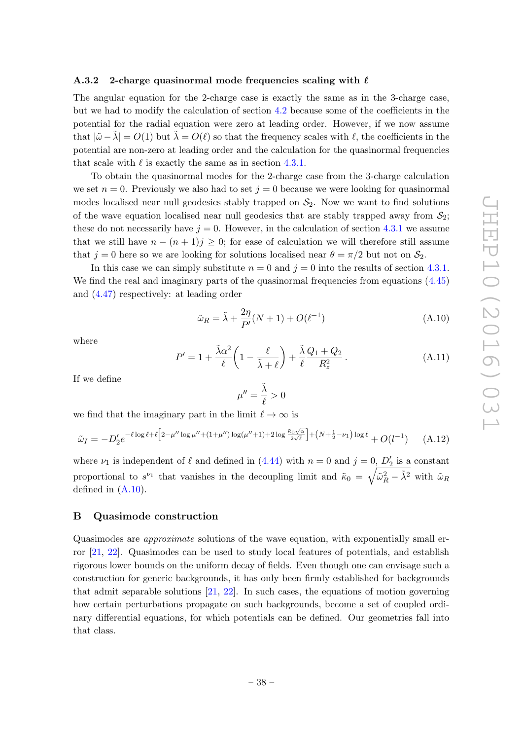#### <span id="page-38-0"></span>A.3.2 2-charge quasinormal mode frequencies scaling with  $\ell$

The angular equation for the 2-charge case is exactly the same as in the 3-charge case, but we had to modify the calculation of section [4.2](#page-20-0) because some of the coefficients in the potential for the radial equation were zero at leading order. However, if we now assume that  $|\tilde{\omega} - \tilde{\lambda}| = O(1)$  but  $\tilde{\lambda} = O(\ell)$  so that the frequency scales with  $\ell$ , the coefficients in the potential are non-zero at leading order and the calculation for the quasinormal frequencies that scale with  $\ell$  is exactly the same as in section [4.3.1.](#page-26-1)

To obtain the quasinormal modes for the 2-charge case from the 3-charge calculation we set  $n = 0$ . Previously we also had to set  $j = 0$  because we were looking for quasinormal modes localised near null geodesics stably trapped on  $S_2$ . Now we want to find solutions of the wave equation localised near null geodesics that are stably trapped away from  $S_2$ ; these do not necessarily have  $j = 0$ . However, in the calculation of section [4.3.1](#page-26-1) we assume that we still have  $n - (n + 1)j \geq 0$ ; for ease of calculation we will therefore still assume that  $j = 0$  here so we are looking for solutions localised near  $\theta = \pi/2$  but not on  $\mathcal{S}_2$ .

In this case we can simply substitute  $n = 0$  and  $j = 0$  into the results of section [4.3.1.](#page-26-1) We find the real and imaginary parts of the quasinormal frequencies from equations  $(4.45)$ and [\(4.47\)](#page-27-3) respectively: at leading order

<span id="page-38-2"></span>
$$
\tilde{\omega}_R = \tilde{\lambda} + \frac{2\eta}{P'}(N+1) + O(\ell^{-1})
$$
\n(A.10)

where

$$
P' = 1 + \frac{\tilde{\lambda}\alpha^2}{\ell} \left( 1 - \frac{\ell}{\tilde{\lambda} + \ell} \right) + \frac{\tilde{\lambda}}{\ell} \frac{Q_1 + Q_2}{R_z^2} \,. \tag{A.11}
$$

If we define

$$
\mu''=\frac{\tilde{\lambda}}{\ell}>0
$$

we find that the imaginary part in the limit  $\ell \to \infty$  is

$$
\tilde{\omega}_I = -D_2' e^{-\ell \log \ell + \ell \left[2 - \mu'' \log \mu'' + (1 + \mu'') \log(\mu'' + 1) + 2 \log \frac{\tilde{\kappa}_0 \sqrt{\alpha}}{2\sqrt{\ell}}\right]} + (N + \frac{1}{2} - \nu_1) \log \ell + O(l^{-1}) \tag{A.12}
$$

where  $\nu_1$  is independent of  $\ell$  and defined in [\(4.44\)](#page-27-2) with  $n = 0$  and  $j = 0, D'_2$  is a constant proportional to  $s^{\nu_1}$  that vanishes in the decoupling limit and  $\tilde{\kappa}_0 = \sqrt{\tilde{\omega}_R^2 - \tilde{\lambda}^2}$  with  $\tilde{\omega}_R$ defined in [\(A.10\)](#page-38-2).

# <span id="page-38-1"></span>B Quasimode construction

Quasimodes are approximate solutions of the wave equation, with exponentially small error [\[21,](#page-41-3) [22\]](#page-41-4). Quasimodes can be used to study local features of potentials, and establish rigorous lower bounds on the uniform decay of fields. Even though one can envisage such a construction for generic backgrounds, it has only been firmly established for backgrounds that admit separable solutions  $[21, 22]$  $[21, 22]$ . In such cases, the equations of motion governing how certain perturbations propagate on such backgrounds, become a set of coupled ordinary differential equations, for which potentials can be defined. Our geometries fall into that class.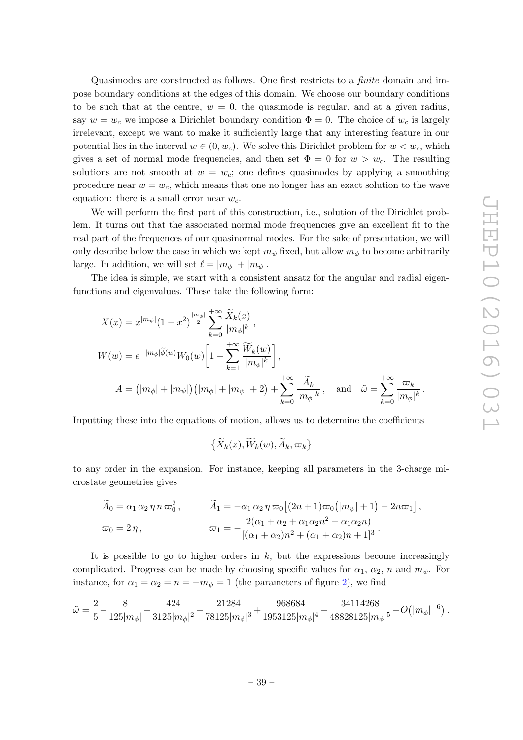Quasimodes are constructed as follows. One first restricts to a finite domain and impose boundary conditions at the edges of this domain. We choose our boundary conditions to be such that at the centre,  $w = 0$ , the quasimode is regular, and at a given radius, say  $w = w_c$  we impose a Dirichlet boundary condition  $\Phi = 0$ . The choice of  $w_c$  is largely irrelevant, except we want to make it sufficiently large that any interesting feature in our potential lies in the interval  $w \in (0, w_c)$ . We solve this Dirichlet problem for  $w < w_c$ , which gives a set of normal mode frequencies, and then set  $\Phi = 0$  for  $w > w_c$ . The resulting solutions are not smooth at  $w = w_c$ ; one defines quasimodes by applying a smoothing procedure near  $w = w_c$ , which means that one no longer has an exact solution to the wave equation: there is a small error near  $w_c$ .

We will perform the first part of this construction, i.e., solution of the Dirichlet problem. It turns out that the associated normal mode frequencies give an excellent fit to the real part of the frequences of our quasinormal modes. For the sake of presentation, we will only describe below the case in which we kept  $m_{\psi}$  fixed, but allow  $m_{\phi}$  to become arbitrarily large. In addition, we will set  $\ell = |m_{\phi}| + |m_{\psi}|$ .

The idea is simple, we start with a consistent ansatz for the angular and radial eigenfunctions and eigenvalues. These take the following form:

$$
X(x) = x^{|m_{\psi}|}(1 - x^2)^{\frac{|m_{\phi}|}{2}} \sum_{k=0}^{+\infty} \frac{\widetilde{X}_k(x)}{|m_{\phi}|^k},
$$
  
\n
$$
W(w) = e^{-|m_{\phi}|\widetilde{\phi}(w)}W_0(w)\left[1 + \sum_{k=1}^{+\infty} \frac{\widetilde{W}_k(w)}{|m_{\phi}|^k}\right],
$$
  
\n
$$
A = (|m_{\phi}| + |m_{\psi}|)(|m_{\phi}| + |m_{\psi}| + 2) + \sum_{k=0}^{+\infty} \frac{\widetilde{A}_k}{|m_{\phi}|^k}, \text{ and } \widetilde{\omega} = \sum_{k=0}^{+\infty} \frac{\varpi_k}{|m_{\phi}|^k}.
$$

Inputting these into the equations of motion, allows us to determine the coefficients

$$
\left\{\widetilde{X}_k(x), \widetilde{W}_k(w), \widetilde{A}_k, \varpi_k\right\}
$$

to any order in the expansion. For instance, keeping all parameters in the 3-charge microstate geometries gives

$$
\widetilde{A}_0 = \alpha_1 \alpha_2 \eta n \varpi_0^2, \qquad \widetilde{A}_1 = -\alpha_1 \alpha_2 \eta \varpi_0 \left[ (2n+1) \varpi_0 \left( |m_{\psi}| + 1 \right) - 2n \varpi_1 \right],
$$
  

$$
\varpi_0 = 2 \eta, \qquad \qquad \varpi_1 = -\frac{2(\alpha_1 + \alpha_2 + \alpha_1 \alpha_2 n^2 + \alpha_1 \alpha_2 n)}{\left[ (\alpha_1 + \alpha_2)n^2 + (\alpha_1 + \alpha_2)n + 1 \right]^3}.
$$

It is possible to go to higher orders in  $k$ , but the expressions become increasingly complicated. Progress can be made by choosing specific values for  $\alpha_1$ ,  $\alpha_2$ , n and  $m_{\psi}$ . For instance, for  $\alpha_1 = \alpha_2 = n = -m_{\psi} = 1$  (the parameters of figure [2\)](#page-30-1), we find

$$
\tilde{\omega} = \frac{2}{5} - \frac{8}{125|m_{\phi}|} + \frac{424}{3125|m_{\phi}|^2} - \frac{21284}{78125|m_{\phi}|^3} + \frac{968684}{1953125|m_{\phi}|^4} - \frac{34114268}{48828125|m_{\phi}|^5} + O\big(|m_{\phi}|^{-6}\big) \,.
$$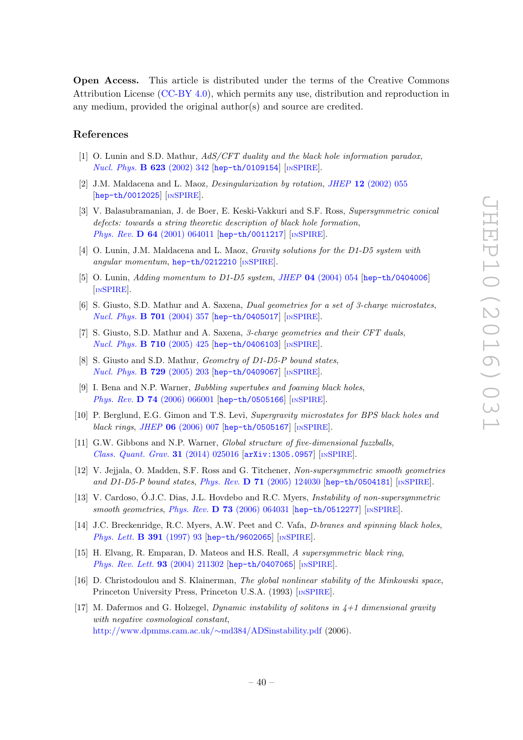Open Access. This article is distributed under the terms of the Creative Commons Attribution License [\(CC-BY 4.0\)](http://creativecommons.org/licenses/by/4.0/), which permits any use, distribution and reproduction in any medium, provided the original author(s) and source are credited.

# References

- <span id="page-40-0"></span>[1] O. Lunin and S.D. Mathur,  $AdS/CFT$  duality and the black hole information paradox, [Nucl. Phys.](http://dx.doi.org/10.1016/S0550-3213(01)00620-4) **B 623** (2002) 342 [[hep-th/0109154](https://arxiv.org/abs/hep-th/0109154)] [IN[SPIRE](http://inspirehep.net/search?p=find+EPRINT+hep-th/0109154)].
- <span id="page-40-10"></span>[2] J.M. Maldacena and L. Maoz, Desingularization by rotation, JHEP 12 [\(2002\) 055](http://dx.doi.org/10.1088/1126-6708/2002/12/055) [[hep-th/0012025](https://arxiv.org/abs/hep-th/0012025)] [IN[SPIRE](http://inspirehep.net/search?p=find+EPRINT+hep-th/0012025)].
- <span id="page-40-12"></span>[3] V. Balasubramanian, J. de Boer, E. Keski-Vakkuri and S.F. Ross, Supersymmetric conical defects: towards a string theoretic description of black hole formation, Phys. Rev. D 64 [\(2001\) 064011](http://dx.doi.org/10.1103/PhysRevD.64.064011) [[hep-th/0011217](https://arxiv.org/abs/hep-th/0011217)] [IN[SPIRE](http://inspirehep.net/search?p=find+EPRINT+hep-th/0011217)].
- <span id="page-40-14"></span>[4] O. Lunin, J.M. Maldacena and L. Maoz, Gravity solutions for the D1-D5 system with angular momentum, [hep-th/0212210](https://arxiv.org/abs/hep-th/0212210) [IN[SPIRE](http://inspirehep.net/search?p=find+EPRINT+hep-th/0212210)].
- [5] O. Lunin, *Adding momentum to D1-D5 system, JHEP* 04 [\(2004\) 054](http://dx.doi.org/10.1088/1126-6708/2004/04/054) [[hep-th/0404006](https://arxiv.org/abs/hep-th/0404006)] [IN[SPIRE](http://inspirehep.net/search?p=find+EPRINT+hep-th/0404006)].
- <span id="page-40-9"></span>[6] S. Giusto, S.D. Mathur and A. Saxena, Dual geometries for a set of 3-charge microstates, [Nucl. Phys.](http://dx.doi.org/10.1016/j.nuclphysb.2004.09.001) B 701 (2004) 357 [[hep-th/0405017](https://arxiv.org/abs/hep-th/0405017)] [IN[SPIRE](http://inspirehep.net/search?p=find+EPRINT+hep-th/0405017)].
- <span id="page-40-13"></span>[7] S. Giusto, S.D. Mathur and A. Saxena, 3-charge geometries and their CFT duals, [Nucl. Phys.](http://dx.doi.org/10.1016/j.nuclphysb.2005.01.009) B 710 (2005) 425 [[hep-th/0406103](https://arxiv.org/abs/hep-th/0406103)] [IN[SPIRE](http://inspirehep.net/search?p=find+EPRINT+hep-th/0406103)].
- <span id="page-40-11"></span>[8] S. Giusto and S.D. Mathur, *Geometry of D1-D5-P bound states*, [Nucl. Phys.](http://dx.doi.org/10.1016/j.nuclphysb.2005.09.037) B 729 (2005) 203 [[hep-th/0409067](https://arxiv.org/abs/hep-th/0409067)] [IN[SPIRE](http://inspirehep.net/search?p=find+EPRINT+hep-th/0409067)].
- [9] I. Bena and N.P. Warner, Bubbling supertubes and foaming black holes, Phys. Rev. **D 74** [\(2006\) 066001](http://dx.doi.org/10.1103/PhysRevD.74.066001) [[hep-th/0505166](https://arxiv.org/abs/hep-th/0505166)] [IN[SPIRE](http://inspirehep.net/search?p=find+EPRINT+hep-th/0505166)].
- <span id="page-40-1"></span>[10] P. Berglund, E.G. Gimon and T.S. Levi, Supergravity microstates for BPS black holes and black rings, JHEP 06 [\(2006\) 007](http://dx.doi.org/10.1088/1126-6708/2006/06/007) [[hep-th/0505167](https://arxiv.org/abs/hep-th/0505167)] [IN[SPIRE](http://inspirehep.net/search?p=find+EPRINT+hep-th/0505167)].
- <span id="page-40-2"></span>[11] G.W. Gibbons and N.P. Warner, Global structure of five-dimensional fuzzballs, [Class. Quant. Grav.](http://dx.doi.org/10.1088/0264-9381/31/2/025016) 31 (2014) 025016 [[arXiv:1305.0957](https://arxiv.org/abs/1305.0957)] [IN[SPIRE](http://inspirehep.net/search?p=find+EPRINT+arXiv:1305.0957)].
- <span id="page-40-3"></span>[12] V. Jejjala, O. Madden, S.F. Ross and G. Titchener, Non-supersymmetric smooth geometries and D1-D5-P bound states, Phys. Rev. D 71 [\(2005\) 124030](http://dx.doi.org/10.1103/PhysRevD.71.124030) [[hep-th/0504181](https://arxiv.org/abs/hep-th/0504181)] [IN[SPIRE](http://inspirehep.net/search?p=find+EPRINT+hep-th/0504181)].
- <span id="page-40-4"></span>[13] V. Cardoso, O.J.C. Dias, J.L. Hovdebo and R.C. Myers, *Instability of non-supersymmetric* smooth geometries, Phys. Rev. D 73 [\(2006\) 064031](http://dx.doi.org/10.1103/PhysRevD.73.064031) [[hep-th/0512277](https://arxiv.org/abs/hep-th/0512277)] [IN[SPIRE](http://inspirehep.net/search?p=find+EPRINT+hep-th/0512277)].
- <span id="page-40-5"></span>[14] J.C. Breckenridge, R.C. Myers, A.W. Peet and C. Vafa, *D-branes and spinning black holes*, *[Phys. Lett.](http://dx.doi.org/10.1016/S0370-2693(96)01460-8)* **B 391** (1997) 93  $[hep-th/9602065]$  $[hep-th/9602065]$  $[hep-th/9602065]$   $[INSPIRE]$  $[INSPIRE]$  $[INSPIRE]$ .
- <span id="page-40-6"></span>[15] H. Elvang, R. Emparan, D. Mateos and H.S. Reall, A supersymmetric black ring, [Phys. Rev. Lett.](http://dx.doi.org/10.1103/PhysRevLett.93.211302) 93 (2004) 211302 [[hep-th/0407065](https://arxiv.org/abs/hep-th/0407065)] [IN[SPIRE](http://inspirehep.net/search?p=find+EPRINT+hep-th/0407065)].
- <span id="page-40-7"></span>[16] D. Christodoulou and S. Klainerman, The global nonlinear stability of the Minkowski space, Princeton University Press, Princeton U.S.A. (1993) [IN[SPIRE](http://inspirehep.net/search?p=find+IRN+SPIRES-7008686)].
- <span id="page-40-8"></span>[17] M. Dafermos and G. Holzegel, *Dynamic instability of solitons in*  $4+1$  *dimensional gravity* with negative cosmological constant, [http://www.dpmms.cam.ac.uk/](http://www.dpmms.cam.ac.uk/~md384/ADSinstability.pdf)∼md384/ADSinstability.pdf (2006).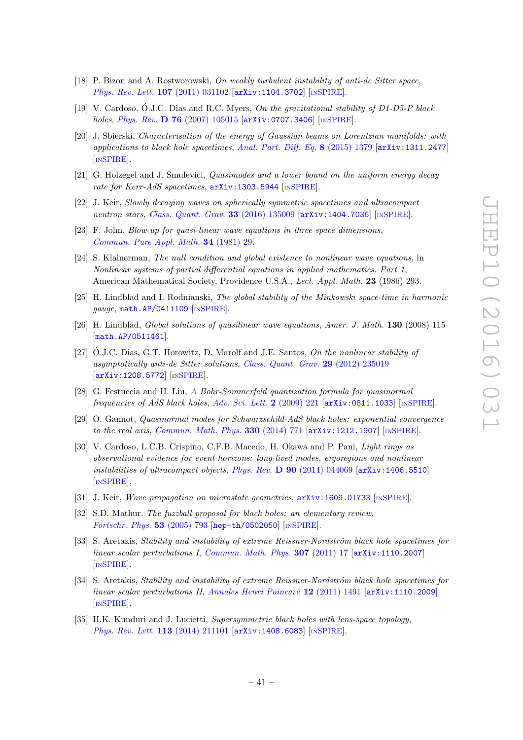- <span id="page-41-0"></span>[18] P. Bizon and A. Rostworowski, On weakly turbulent instability of anti-de Sitter space, [Phys. Rev. Lett.](http://dx.doi.org/10.1103/PhysRevLett.107.031102) 107 (2011) 031102 [[arXiv:1104.3702](https://arxiv.org/abs/1104.3702)] [IN[SPIRE](http://inspirehep.net/search?p=find+EPRINT+arXiv:1104.3702)].
- <span id="page-41-1"></span>[19] V. Cardoso, O.J.C. Dias and R.C. Myers, On the gravitational stability of  $D1-D5-P$  black holes, Phys. Rev. **D 76** [\(2007\) 105015](http://dx.doi.org/10.1103/PhysRevD.76.105015) [[arXiv:0707.3406](https://arxiv.org/abs/0707.3406)] [IN[SPIRE](http://inspirehep.net/search?p=find+EPRINT+arXiv:0707.3406)].
- <span id="page-41-2"></span>[20] J. Sbierski, Characterisation of the energy of Gaussian beams on Lorentzian manifolds: with applications to black hole spacetimes, [Anal. Part. Diff. Eq.](http://dx.doi.org/10.2140/apde.2015.8.1379) 8 (2015) 1379 [[arXiv:1311.2477](https://arxiv.org/abs/1311.2477)] [IN[SPIRE](http://inspirehep.net/search?p=find+EPRINT+arXiv:1311.2477)].
- <span id="page-41-3"></span>[21] G. Holzegel and J. Smulevici, Quasimodes and a lower bound on the uniform energy decay rate for Kerr-AdS spacetimes,  $arXiv:1303.5944$  [IN[SPIRE](http://inspirehep.net/search?p=find+EPRINT+arXiv:1303.5944)].
- <span id="page-41-4"></span>[22] J. Keir, Slowly decaying waves on spherically symmetric spacetimes and ultracompact neutron stars, [Class. Quant. Grav.](http://dx.doi.org/10.1088/0264-9381/33/13/135009) **33** (2016) 135009 [[arXiv:1404.7036](https://arxiv.org/abs/1404.7036)] [IN[SPIRE](http://inspirehep.net/search?p=find+EPRINT+arXiv:1404.7036)].
- <span id="page-41-5"></span>[23] F. John, Blow-up for quasi-linear wave equations in three space dimensions, [Commun. Pure Appl. Math.](http://dx.doi.org/10.1002/cpa.3160340103) 34 (1981) 29.
- <span id="page-41-6"></span>[24] S. Klainerman, The null condition and global existence to nonlinear wave equations, in Nonlinear systems of partial differential equations in applied mathematics. Part 1, American Mathematical Society, Providence U.S.A., Lect. Appl. Math. 23 (1986) 293.
- <span id="page-41-7"></span>[25] H. Lindblad and I. Rodnianski, The global stability of the Minkowski space-time in harmonic gauge, [math.AP/0411109](https://arxiv.org/abs/math.AP/0411109) [IN[SPIRE](http://inspirehep.net/search?p=find+EPRINT+math/0411109)].
- <span id="page-41-8"></span>[26] H. Lindblad, Global solutions of quasilinear wave equations, Amer. J. Math. 130 (2008) 115  $[\text{math.AP}/0511461]$ .
- <span id="page-41-12"></span>[27]  $\dot{\text{O}}$ .J.C. Dias, G.T. Horowitz, D. Marolf and J.E. Santos, On the nonlinear stability of asymptotically anti-de Sitter solutions, [Class. Quant. Grav.](http://dx.doi.org/10.1088/0264-9381/29/23/235019) 29 (2012) 235019 [[arXiv:1208.5772](https://arxiv.org/abs/1208.5772)] [IN[SPIRE](http://inspirehep.net/search?p=find+EPRINT+arXiv:1208.5772)].
- <span id="page-41-9"></span>[28] G. Festuccia and H. Liu, A Bohr-Sommerfeld quantization formula for quasinormal frequencies of AdS black holes, [Adv. Sci. Lett.](http://dx.doi.org/10.1166/asl.2009.1029) 2 (2009) 221  $\arXiv:0811.1033$  $\arXiv:0811.1033$  [IN[SPIRE](http://inspirehep.net/search?p=find+EPRINT+arXiv:0811.1033)].
- <span id="page-41-10"></span>[29] O. Gannot, Quasinormal modes for Schwarzschild-AdS black holes: exponential convergence to the real axis, [Commun. Math. Phys.](http://dx.doi.org/10.1007/s00220-014-2002-4) 330 (2014) 771  $\left[$ [arXiv:1212.1907](https://arxiv.org/abs/1212.1907) $\right]$   $\left[$ IN[SPIRE](http://inspirehep.net/search?p=find+EPRINT+arXiv:1212.1907) $\right]$ .
- <span id="page-41-11"></span>[30] V. Cardoso, L.C.B. Crispino, C.F.B. Macedo, H. Okawa and P. Pani, Light rings as observational evidence for event horizons: long-lived modes, ergoregions and nonlinear instabilities of ultracompact objects, Phys. Rev.  $\bf{D}$  90 [\(2014\) 044069](http://dx.doi.org/10.1103/PhysRevD.90.044069) [[arXiv:1406.5510](https://arxiv.org/abs/1406.5510)] [IN[SPIRE](http://inspirehep.net/search?p=find+EPRINT+arXiv:1406.5510)].
- <span id="page-41-13"></span>[31] J. Keir, Wave propagation on microstate geometries,  $arXiv:1609.01733$  [IN[SPIRE](http://inspirehep.net/search?p=find+EPRINT+arXiv:1609.01733)].
- <span id="page-41-14"></span>[32] S.D. Mathur, The fuzzball proposal for black holes: an elementary review, [Fortschr. Phys.](http://dx.doi.org/10.1002/prop.200410203) 53 (2005) 793 [[hep-th/0502050](https://arxiv.org/abs/hep-th/0502050)] [IN[SPIRE](http://inspirehep.net/search?p=find+EPRINT+hep-th/0502050)].
- <span id="page-41-15"></span>[33] S. Aretakis, Stability and instability of extreme Reissner-Nordström black hole spacetimes for linear scalar perturbations I, [Commun. Math. Phys.](http://dx.doi.org/10.1007/s00220-011-1254-5) 307 (2011) 17 [[arXiv:1110.2007](https://arxiv.org/abs/1110.2007)] [IN[SPIRE](http://inspirehep.net/search?p=find+EPRINT+arXiv:1110.2007)].
- <span id="page-41-16"></span>[34] S. Aretakis, Stability and instability of extreme Reissner-Nordström black hole spacetimes for linear scalar perturbations II, Annales Henri Poincaré 12 (2011) 1491 [[arXiv:1110.2009](https://arxiv.org/abs/1110.2009)] [IN[SPIRE](http://inspirehep.net/search?p=find+EPRINT+arXiv:1110.2009)].
- <span id="page-41-17"></span>[35] H.K. Kunduri and J. Lucietti, Supersymmetric black holes with lens-space topology, [Phys. Rev. Lett.](http://dx.doi.org/10.1103/PhysRevLett.113.211101) 113 (2014) 211101 [[arXiv:1408.6083](https://arxiv.org/abs/1408.6083)] [IN[SPIRE](http://inspirehep.net/search?p=find+EPRINT+arXiv:1408.6083)].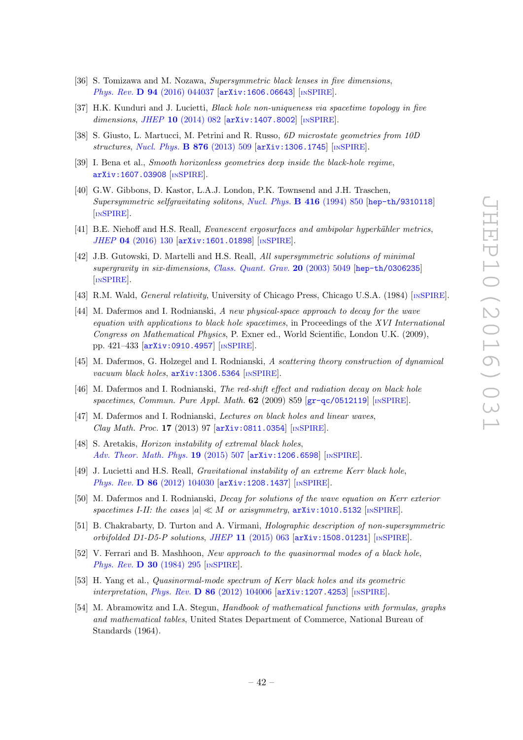- <span id="page-42-0"></span>[36] S. Tomizawa and M. Nozawa, Supersymmetric black lenses in five dimensions, Phys. Rev. **D 94** [\(2016\) 044037](http://dx.doi.org/10.1103/PhysRevD.94.044037) [[arXiv:1606.06643](https://arxiv.org/abs/1606.06643)] [IN[SPIRE](http://inspirehep.net/search?p=find+EPRINT+arXiv:1606.06643)].
- <span id="page-42-1"></span>[37] H.K. Kunduri and J. Lucietti, Black hole non-uniqueness via spacetime topology in five dimensions, JHEP 10 [\(2014\) 082](http://dx.doi.org/10.1007/JHEP10(2014)082) [[arXiv:1407.8002](https://arxiv.org/abs/1407.8002)] [IN[SPIRE](http://inspirehep.net/search?p=find+EPRINT+arXiv:1407.8002)].
- <span id="page-42-2"></span>[38] S. Giusto, L. Martucci, M. Petrini and R. Russo, 6D microstate geometries from 10D structures, [Nucl. Phys.](http://dx.doi.org/10.1016/j.nuclphysb.2013.08.018) B 876 (2013) 509 [[arXiv:1306.1745](https://arxiv.org/abs/1306.1745)] [IN[SPIRE](http://inspirehep.net/search?p=find+EPRINT+arXiv:1306.1745)].
- <span id="page-42-3"></span>[39] I. Bena et al., Smooth horizonless geometries deep inside the black-hole regime, [arXiv:1607.03908](https://arxiv.org/abs/1607.03908) [IN[SPIRE](http://inspirehep.net/search?p=find+EPRINT+arXiv:1607.03908)].
- <span id="page-42-4"></span>[40] G.W. Gibbons, D. Kastor, L.A.J. London, P.K. Townsend and J.H. Traschen, Supersymmetric selfgravitating solitons, [Nucl. Phys.](http://dx.doi.org/10.1016/0550-3213(94)90558-4) B 416 (1994) 850 [[hep-th/9310118](https://arxiv.org/abs/hep-th/9310118)] [IN[SPIRE](http://inspirehep.net/search?p=find+EPRINT+hep-th/9310118)].
- <span id="page-42-5"></span>[41] B.E. Niehoff and H.S. Reall, *Evanescent ergosurfaces and ambipolar hyperkähler metrics*, JHEP 04 [\(2016\) 130](http://dx.doi.org/10.1007/JHEP04(2016)130) [[arXiv:1601.01898](https://arxiv.org/abs/1601.01898)] [IN[SPIRE](http://inspirehep.net/search?p=find+EPRINT+arXiv:1601.01898)].
- <span id="page-42-6"></span>[42] J.B. Gutowski, D. Martelli and H.S. Reall, All supersymmetric solutions of minimal supergravity in six-dimensions, [Class. Quant. Grav.](http://dx.doi.org/10.1088/0264-9381/20/23/008) 20 (2003) 5049 [[hep-th/0306235](https://arxiv.org/abs/hep-th/0306235)] [IN[SPIRE](http://inspirehep.net/search?p=find+EPRINT+hep-th/0306235)].
- <span id="page-42-7"></span>[43] R.M. Wald, General relativity, University of Chicago Press, Chicago U.S.A. (1984) [IN[SPIRE](http://inspirehep.net/search?p=find+IRN+SPIRES-1334239)].
- <span id="page-42-8"></span>[44] M. Dafermos and I. Rodnianski, A new physical-space approach to decay for the wave equation with applications to black hole spacetimes, in Proceedings of the XVI International Congress on Mathematical Physics, P. Exner ed., World Scientific, London U.K. (2009), pp. 421–433 [[arXiv:0910.4957](https://arxiv.org/abs/0910.4957)] [IN[SPIRE](http://inspirehep.net/search?p=find+EPRINT+arXiv:0910.4957)].
- <span id="page-42-9"></span>[45] M. Dafermos, G. Holzegel and I. Rodnianski, A scattering theory construction of dynamical vacuum black holes,  $arXiv:1306.5364$  [IN[SPIRE](http://inspirehep.net/search?p=find+EPRINT+arXiv:1306.5364)].
- <span id="page-42-10"></span>[46] M. Dafermos and I. Rodnianski, The red-shift effect and radiation decay on black hole spacetimes, Commun. Pure Appl. Math.  $62$  (2009) 859 [[gr-qc/0512119](https://arxiv.org/abs/gr-qc/0512119)] [IN[SPIRE](http://inspirehep.net/search?p=find+EPRINT+gr-qc/0512119)].
- <span id="page-42-11"></span>[47] M. Dafermos and I. Rodnianski, Lectures on black holes and linear waves, Clay Math. Proc. 17 (2013) 97 [[arXiv:0811.0354](https://arxiv.org/abs/0811.0354)] [IN[SPIRE](http://inspirehep.net/search?p=find+EPRINT+arXiv:0811.0354)].
- <span id="page-42-12"></span>[48] S. Aretakis, *Horizon instability of extremal black holes*, [Adv. Theor. Math. Phys.](http://dx.doi.org/10.4310/ATMP.2015.v19.n3.a1) 19 (2015) 507 [[arXiv:1206.6598](https://arxiv.org/abs/1206.6598)] [IN[SPIRE](http://inspirehep.net/search?p=find+EPRINT+arXiv:1206.6598)].
- <span id="page-42-13"></span>[49] J. Lucietti and H.S. Reall, Gravitational instability of an extreme Kerr black hole, Phys. Rev. **D 86** [\(2012\) 104030](http://dx.doi.org/10.1103/PhysRevD.86.104030) [[arXiv:1208.1437](https://arxiv.org/abs/1208.1437)] [IN[SPIRE](http://inspirehep.net/search?p=find+EPRINT+arXiv:1208.1437)].
- <span id="page-42-14"></span>[50] M. Dafermos and I. Rodnianski, Decay for solutions of the wave equation on Kerr exterior spacetimes I-II: the cases  $|a| \ll M$  or axisymmetry,  $\arcsin(1010.5132)$  [IN[SPIRE](http://inspirehep.net/search?p=find+EPRINT+arXiv:1010.5132)].
- <span id="page-42-17"></span>[51] B. Chakrabarty, D. Turton and A. Virmani, Holographic description of non-supersymmetric orbifolded D1-D5-P solutions, JHEP 11 [\(2015\) 063](http://dx.doi.org/10.1007/JHEP11(2015)063) [[arXiv:1508.01231](https://arxiv.org/abs/1508.01231)] [IN[SPIRE](http://inspirehep.net/search?p=find+EPRINT+arXiv:1508.01231)].
- <span id="page-42-15"></span>[52] V. Ferrari and B. Mashhoon, New approach to the quasinormal modes of a black hole, [Phys. Rev.](http://dx.doi.org/10.1103/PhysRevD.30.295) D 30 (1984) 295 [IN[SPIRE](http://inspirehep.net/search?p=find+J+%22Phys.Rev.,D30,295%22)].
- <span id="page-42-16"></span>[53] H. Yang et al., Quasinormal-mode spectrum of Kerr black holes and its geometric interpretation, *Phys. Rev.* **D 86** [\(2012\) 104006](http://dx.doi.org/10.1103/PhysRevD.86.104006) [[arXiv:1207.4253](https://arxiv.org/abs/1207.4253)] [IN[SPIRE](http://inspirehep.net/search?p=find+EPRINT+arXiv:1207.4253)].
- <span id="page-42-18"></span>[54] M. Abramowitz and I.A. Stegun, Handbook of mathematical functions with formulas, graphs and mathematical tables, United States Department of Commerce, National Bureau of Standards (1964).